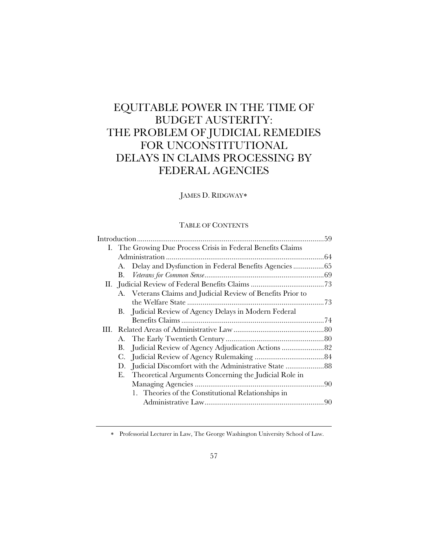# EQUITABLE POWER IN THE TIME OF BUDGET AUSTERITY: THE PROBLEM OF JUDICIAL REMEDIES FOR UNCONSTITUTIONAL DELAYS IN CLAIMS PROCESSING BY FEDERAL AGENCIES

# JAMES D. RIDGWAY

## TABLE OF CONTENTS

| I. The Growing Due Process Crisis in Federal Benefits Claims |  |
|--------------------------------------------------------------|--|
|                                                              |  |
| Delay and Dysfunction in Federal Benefits Agencies 65<br>А.  |  |
| В.                                                           |  |
|                                                              |  |
| A. Veterans Claims and Judicial Review of Benefits Prior to  |  |
|                                                              |  |
| B. Judicial Review of Agency Delays in Modern Federal        |  |
|                                                              |  |
|                                                              |  |
| А.                                                           |  |
| Judicial Review of Agency Adjudication Actions  82<br>В.     |  |
| C.                                                           |  |
| Judicial Discomfort with the Administrative State 88<br>D.   |  |
| Theoretical Arguments Concerning the Judicial Role in<br>Е.  |  |
|                                                              |  |
| 1. Theories of the Constitutional Relationships in           |  |
|                                                              |  |
|                                                              |  |

Professorial Lecturer in Law, The George Washington University School of Law.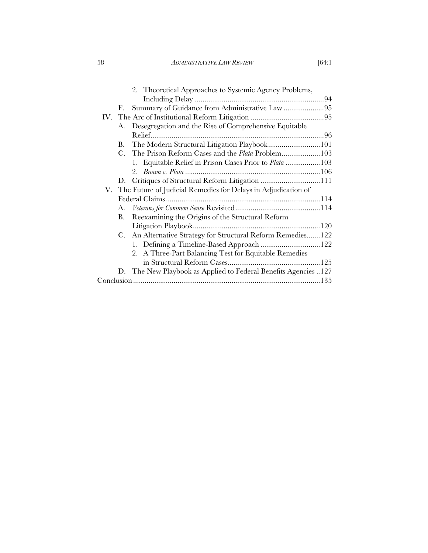58 *ADMINISTRATIVE LAW REVIEW* [64:1

|    | 2. Theoretical Approaches to Systemic Agency Problems,           |  |
|----|------------------------------------------------------------------|--|
|    |                                                                  |  |
| F. | Summary of Guidance from Administrative Law 95                   |  |
|    |                                                                  |  |
|    | A. Desegregation and the Rise of Comprehensive Equitable         |  |
|    |                                                                  |  |
|    | B. The Modern Structural Litigation Playbook101                  |  |
|    | C. The Prison Reform Cases and the <i>Plata</i> Problem103       |  |
|    | 1. Equitable Relief in Prison Cases Prior to <i>Plata</i> 103    |  |
|    |                                                                  |  |
|    |                                                                  |  |
|    | V. The Future of Judicial Remedies for Delays in Adjudication of |  |
|    |                                                                  |  |
| A. |                                                                  |  |
| В. | Reexamining the Origins of the Structural Reform                 |  |
|    |                                                                  |  |
|    | C. An Alternative Strategy for Structural Reform Remedies122     |  |
|    | 1. Defining a Timeline-Based Approach 122                        |  |
|    | 2. A Three-Part Balancing Test for Equitable Remedies            |  |
|    |                                                                  |  |
|    | D. The New Playbook as Applied to Federal Benefits Agencies 127  |  |
|    |                                                                  |  |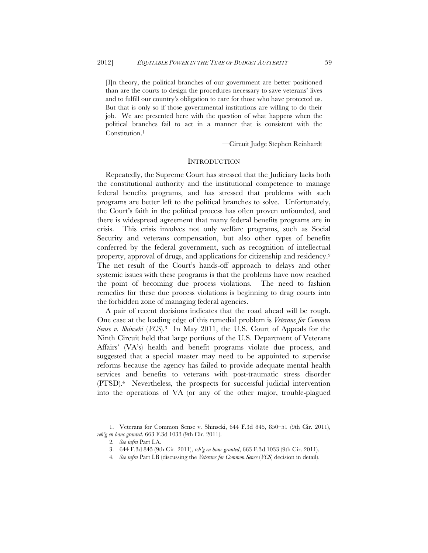[I]n theory, the political branches of our government are better positioned than are the courts to design the procedures necessary to save veterans' lives and to fulfill our country's obligation to care for those who have protected us. But that is only so if those governmental institutions are willing to do their job. We are presented here with the question of what happens when the political branches fail to act in a manner that is consistent with the Constitution.<sup>1</sup>

—Circuit Judge Stephen Reinhardt

#### **INTRODUCTION**

Repeatedly, the Supreme Court has stressed that the Judiciary lacks both the constitutional authority and the institutional competence to manage federal benefits programs, and has stressed that problems with such programs are better left to the political branches to solve. Unfortunately, the Court's faith in the political process has often proven unfounded, and there is widespread agreement that many federal benefits programs are in crisis. This crisis involves not only welfare programs, such as Social Security and veterans compensation, but also other types of benefits conferred by the federal government, such as recognition of intellectual property, approval of drugs, and applications for citizenship and residency.2 The net result of the Court's hands-off approach to delays and other systemic issues with these programs is that the problems have now reached the point of becoming due process violations. The need to fashion remedies for these due process violations is beginning to drag courts into the forbidden zone of managing federal agencies.

A pair of recent decisions indicates that the road ahead will be rough. One case at the leading edge of this remedial problem is *Veterans for Common Sense v. Shinseki* (*VCS*).3 In May 2011, the U.S. Court of Appeals for the Ninth Circuit held that large portions of the U.S. Department of Veterans Affairs' (VA's) health and benefit programs violate due process, and suggested that a special master may need to be appointed to supervise reforms because the agency has failed to provide adequate mental health services and benefits to veterans with post-traumatic stress disorder (PTSD).4 Nevertheless, the prospects for successful judicial intervention into the operations of VA (or any of the other major, trouble-plagued

<sup>1.</sup> Veterans for Common Sense v. Shinseki, 644 F.3d 845, 850–51 (9th Cir. 2011), *reh'g en banc granted*, 663 F.3d 1033 (9th Cir. 2011).

<sup>2</sup>*. See infra* Part I.A.

<sup>3. 644</sup> F.3d 845 (9th Cir. 2011), *reh'g en banc granted*, 663 F.3d 1033 (9th Cir. 2011).

<sup>4</sup>*. See infra* Part I.B (discussing the *Veterans for Common Sense* (*VCS*) decision in detail).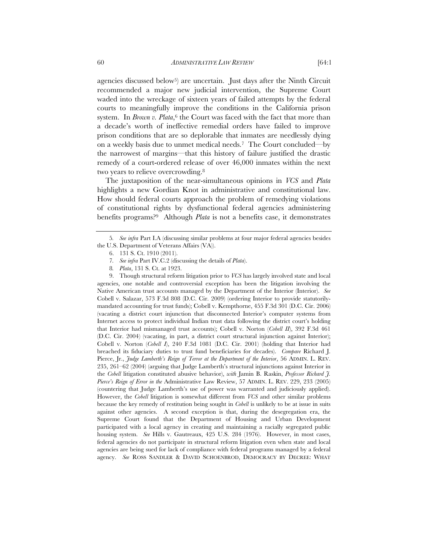agencies discussed below<sup>5</sup>) are uncertain. Just days after the Ninth Circuit recommended a major new judicial intervention, the Supreme Court waded into the wreckage of sixteen years of failed attempts by the federal courts to meaningfully improve the conditions in the California prison system. In *Brown v. Plata*,<sup>6</sup> the Court was faced with the fact that more than a decade's worth of ineffective remedial orders have failed to improve prison conditions that are so deplorable that inmates are needlessly dying on a weekly basis due to unmet medical needs.7 The Court concluded—by the narrowest of margins—that this history of failure justified the drastic remedy of a court-ordered release of over 46,000 inmates within the next two years to relieve overcrowding.8

The juxtaposition of the near-simultaneous opinions in *VCS* and *Plata* highlights a new Gordian Knot in administrative and constitutional law. How should federal courts approach the problem of remedying violations of constitutional rights by dysfunctional federal agencies administering benefits programs?9 Although *Plata* is not a benefits case, it demonstrates

9. Though structural reform litigation prior to *VCS* has largely involved state and local agencies, one notable and controversial exception has been the litigation involving the Native American trust accounts managed by the Department of the Interior (Interior). *See* Cobell v. Salazar, 573 F.3d 808 (D.C. Cir. 2009) (ordering Interior to provide statutorilymandated accounting for trust funds); Cobell v. Kempthorne, 455 F.3d 301 (D.C. Cir. 2006) (vacating a district court injunction that disconnected Interior's computer systems from Internet access to protect individual Indian trust data following the district court's holding that Interior had mismanaged trust accounts); Cobell v. Norton (*Cobell II*), 392 F.3d 461 (D.C. Cir. 2004) (vacating, in part, a district court structural injunction against Interior); Cobell v. Norton (*Cobell I*), 240 F.3d 1081 (D.C. Cir. 2001) (holding that Interior had breached its fiduciary duties to trust fund beneficiaries for decades). *Compare* Richard J. Pierce, Jr., *Judge Lamberth's Reign of Terror at the Department of the Interior*, 56 ADMIN. L. REV. 235, 261–62 (2004) (arguing that Judge Lamberth's structural injunctions against Interior in the *Cobell* litigation constituted abusive behavior), *with* Jamin B. Raskin, *Professor Richard J. Pierce's Reign of Error in the* Administrative Law Review, 57 ADMIN. L. REV. 229, 233 (2005) (countering that Judge Lamberth's use of power was warranted and judiciously applied). However, the *Cobell* litigation is somewhat different from *VCS* and other similar problems because the key remedy of restitution being sought in *Cobell* is unlikely to be at issue in suits against other agencies. A second exception is that, during the desegregation era, the Supreme Court found that the Department of Housing and Urban Development participated with a local agency in creating and maintaining a racially segregated public housing system. *See* Hills v. Gautreaux, 425 U.S. 284 (1976). However, in most cases, federal agencies do not participate in structural reform litigation even when state and local agencies are being sued for lack of compliance with federal programs managed by a federal agency. *See* ROSS SANDLER & DAVID SCHOENBROD, DEMOCRACY BY DECREE: WHAT

<sup>5</sup>*. See infra* Part I.A (discussing similar problems at four major federal agencies besides the U.S. Department of Veterans Affairs (VA)).

<sup>6. 131</sup> S. Ct. 1910 (2011).

<sup>7</sup>*. See infra* Part IV.C.2 (discussing the details of *Plata*).

<sup>8</sup>*. Plata*, 131 S. Ct. at 1923.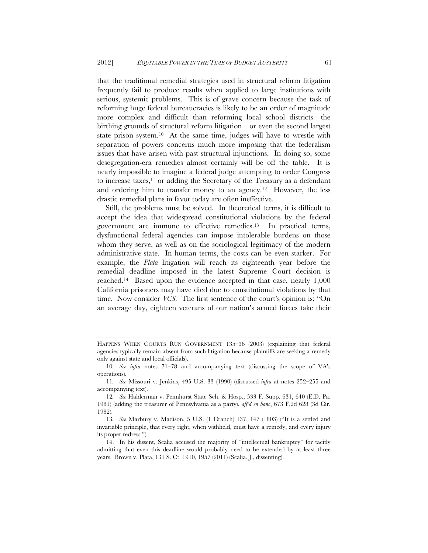that the traditional remedial strategies used in structural reform litigation frequently fail to produce results when applied to large institutions with serious, systemic problems. This is of grave concern because the task of reforming huge federal bureaucracies is likely to be an order of magnitude more complex and difficult than reforming local school districts—the birthing grounds of structural reform litigation—or even the second largest state prison system.10 At the same time, judges will have to wrestle with separation of powers concerns much more imposing that the federalism issues that have arisen with past structural injunctions. In doing so, some desegregation-era remedies almost certainly will be off the table. It is nearly impossible to imagine a federal judge attempting to order Congress to increase taxes,11 or adding the Secretary of the Treasury as a defendant and ordering him to transfer money to an agency.12 However, the less drastic remedial plans in favor today are often ineffective.

Still, the problems must be solved. In theoretical terms, it is difficult to accept the idea that widespread constitutional violations by the federal government are immune to effective remedies.13 In practical terms, dysfunctional federal agencies can impose intolerable burdens on those whom they serve, as well as on the sociological legitimacy of the modern administrative state. In human terms, the costs can be even starker. For example, the *Plata* litigation will reach its eighteenth year before the remedial deadline imposed in the latest Supreme Court decision is reached.14 Based upon the evidence accepted in that case, nearly 1,000 California prisoners may have died due to constitutional violations by that time. Now consider *VCS*. The first sentence of the court's opinion is: "On an average day, eighteen veterans of our nation's armed forces take their

11*. See* Missouri v. Jenkins, 495 U.S. 33 (1990) (discussed *infra* at notes 252–255 and accompanying text).

HAPPENS WHEN COURTS RUN GOVERNMENT 135–36 (2003) (explaining that federal agencies typically remain absent from such litigation because plaintiffs are seeking a remedy only against state and local officials).

<sup>10</sup>*. See infra* notes 71–78 and accompanying text (discussing the scope of VA's operations).

<sup>12</sup>*. See* Halderman v. Pennhurst State Sch. & Hosp., 533 F. Supp. 631, 640 (E.D. Pa. 1981) (adding the treasurer of Pennsylvania as a party), *aff'd en banc*, 673 F.2d 628 (3d Cir. 1982).

<sup>13</sup>*. See* Marbury v. Madison, 5 U.S. (1 Cranch) 137, 147 (1803) ("It is a settled and invariable principle, that every right, when withheld, must have a remedy, and every injury its proper redress.").

<sup>14.</sup> In his dissent, Scalia accused the majority of "intellectual bankruptcy" for tacitly admitting that even this deadline would probably need to be extended by at least three years. Brown v. Plata, 131 S. Ct. 1910, 1957 (2011) (Scalia, J., dissenting).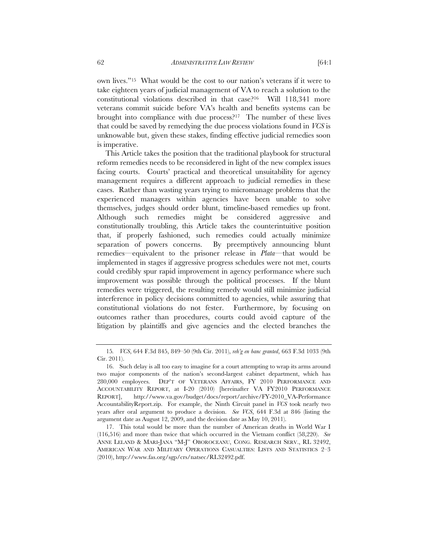own lives."15 What would be the cost to our nation's veterans if it were to take eighteen years of judicial management of VA to reach a solution to the constitutional violations described in that case?16 Will 118,341 more veterans commit suicide before VA's health and benefits systems can be brought into compliance with due process?17 The number of these lives that could be saved by remedying the due process violations found in *VCS* is unknowable but, given these stakes, finding effective judicial remedies soon is imperative.

This Article takes the position that the traditional playbook for structural reform remedies needs to be reconsidered in light of the new complex issues facing courts. Courts' practical and theoretical unsuitability for agency management requires a different approach to judicial remedies in these cases. Rather than wasting years trying to micromanage problems that the experienced managers within agencies have been unable to solve themselves, judges should order blunt, timeline-based remedies up front. Although such remedies might be considered aggressive and constitutionally troubling, this Article takes the counterintuitive position that, if properly fashioned, such remedies could actually minimize separation of powers concerns. By preemptively announcing blunt remedies—equivalent to the prisoner release in *Plata*—that would be implemented in stages if aggressive progress schedules were not met, courts could credibly spur rapid improvement in agency performance where such improvement was possible through the political processes. If the blunt remedies were triggered, the resulting remedy would still minimize judicial interference in policy decisions committed to agencies, while assuring that constitutional violations do not fester. Furthermore, by focusing on outcomes rather than procedures, courts could avoid capture of the litigation by plaintiffs and give agencies and the elected branches the

<sup>15</sup>*. VCS*, 644 F.3d 845, 849–50 (9th Cir. 2011), *reh'g en banc granted*, 663 F.3d 1033 (9th Cir. 2011).

<sup>16.</sup> Such delay is all too easy to imagine for a court attempting to wrap its arms around two major components of the nation's second-largest cabinet department, which has 280,000 employees. DEP'T OF VETERANS AFFAIRS, FY 2010 PERFORMANCE AND ACCOUNTABILITY REPORT, at I-20 (2010) [hereinafter VA FY2010 PERFORMANCE REPORT], http://www.va.gov/budget/docs/report/archive/FY-2010\_VA-Performance AccountabilityReport.zip. For example, the Ninth Circuit panel in *VCS* took nearly two years after oral argument to produce a decision. *See VCS*, 644 F.3d at 846 (listing the argument date as August 12, 2009, and the decision date as May 10, 2011).

<sup>17.</sup> This total would be more than the number of American deaths in World War I (116,516) and more than twice that which occurred in the Vietnam conflict (58,220). *See* ANNE LELAND & MARI-JANA "M-J" OBOROCEANU, CONG. RESEARCH SERV., RL 32492, AMERICAN WAR AND MILITARY OPERATIONS CASUALTIES: LISTS AND STATISTICS 2–3 (2010), http://www.fas.org/sgp/crs/natsec/RL32492.pdf.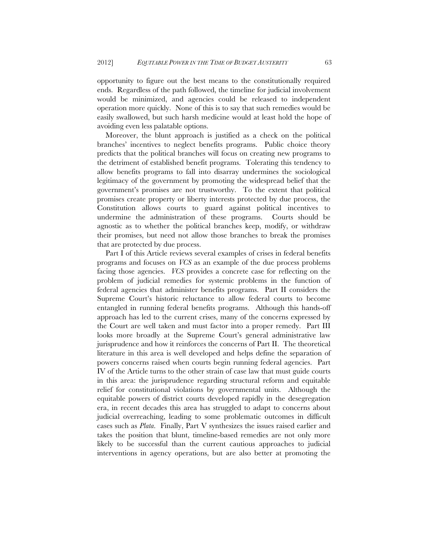opportunity to figure out the best means to the constitutionally required ends. Regardless of the path followed, the timeline for judicial involvement would be minimized, and agencies could be released to independent operation more quickly. None of this is to say that such remedies would be easily swallowed, but such harsh medicine would at least hold the hope of avoiding even less palatable options.

Moreover, the blunt approach is justified as a check on the political branches' incentives to neglect benefits programs. Public choice theory predicts that the political branches will focus on creating new programs to the detriment of established benefit programs. Tolerating this tendency to allow benefits programs to fall into disarray undermines the sociological legitimacy of the government by promoting the widespread belief that the government's promises are not trustworthy. To the extent that political promises create property or liberty interests protected by due process, the Constitution allows courts to guard against political incentives to undermine the administration of these programs. Courts should be agnostic as to whether the political branches keep, modify, or withdraw their promises, but need not allow those branches to break the promises that are protected by due process.

Part I of this Article reviews several examples of crises in federal benefits programs and focuses on *VCS* as an example of the due process problems facing those agencies. *VCS* provides a concrete case for reflecting on the problem of judicial remedies for systemic problems in the function of federal agencies that administer benefits programs. Part II considers the Supreme Court's historic reluctance to allow federal courts to become entangled in running federal benefits programs. Although this hands-off approach has led to the current crises, many of the concerns expressed by the Court are well taken and must factor into a proper remedy. Part III looks more broadly at the Supreme Court's general administrative law jurisprudence and how it reinforces the concerns of Part II. The theoretical literature in this area is well developed and helps define the separation of powers concerns raised when courts begin running federal agencies. Part IV of the Article turns to the other strain of case law that must guide courts in this area: the jurisprudence regarding structural reform and equitable relief for constitutional violations by governmental units. Although the equitable powers of district courts developed rapidly in the desegregation era, in recent decades this area has struggled to adapt to concerns about judicial overreaching, leading to some problematic outcomes in difficult cases such as *Plata*. Finally, Part V synthesizes the issues raised earlier and takes the position that blunt, timeline-based remedies are not only more likely to be successful than the current cautious approaches to judicial interventions in agency operations, but are also better at promoting the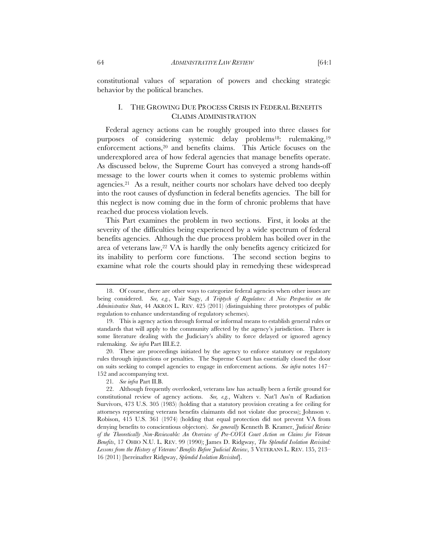constitutional values of separation of powers and checking strategic behavior by the political branches.

# I. THE GROWING DUE PROCESS CRISIS IN FEDERAL BENEFITS CLAIMS ADMINISTRATION

Federal agency actions can be roughly grouped into three classes for purposes of considering systemic delay problems18: rulemaking,19 enforcement actions,<sup>20</sup> and benefits claims. This Article focuses on the underexplored area of how federal agencies that manage benefits operate. As discussed below, the Supreme Court has conveyed a strong hands-off message to the lower courts when it comes to systemic problems within agencies.21 As a result, neither courts nor scholars have delved too deeply into the root causes of dysfunction in federal benefits agencies. The bill for this neglect is now coming due in the form of chronic problems that have reached due process violation levels.

This Part examines the problem in two sections. First, it looks at the severity of the difficulties being experienced by a wide spectrum of federal benefits agencies. Although the due process problem has boiled over in the area of veterans law,<sup>22</sup> VA is hardly the only benefits agency criticized for its inability to perform core functions. The second section begins to examine what role the courts should play in remedying these widespread

<sup>18.</sup> Of course, there are other ways to categorize federal agencies when other issues are being considered. *See, e.g.*, Yair Sagy, *A Triptych of Regulators: A New Perspective on the Administrative State*, 44 AKRON L. REV. 425 (2011) (distinguishing three prototypes of public regulation to enhance understanding of regulatory schemes).

<sup>19.</sup> This is agency action through formal or informal means to establish general rules or standards that will apply to the community affected by the agency's jurisdiction. There is some literature dealing with the Judiciary's ability to force delayed or ignored agency rulemaking. *See infra* Part III.E.2.

<sup>20.</sup> These are proceedings initiated by the agency to enforce statutory or regulatory rules through injunctions or penalties. The Supreme Court has essentially closed the door on suits seeking to compel agencies to engage in enforcement actions. *See infra* notes 147– 152 and accompanying text.

<sup>21</sup>*. See infra* Part II.B.

<sup>22.</sup> Although frequently overlooked, veterans law has actually been a fertile ground for constitutional review of agency actions. *See, e.g.*, Walters v. Nat'l Ass'n of Radiation Survivors, 473 U.S. 305 (1985) (holding that a statutory provision creating a fee ceiling for attorneys representing veterans benefits claimants did not violate due process); Johnson v. Robison, 415 U.S. 361 (1974) (holding that equal protection did not prevent VA from denying benefits to conscientious objectors). *See generally* Kenneth B. Kramer, *Judicial Review of the Theoretically Non-Reviewable: An Overview of Pre-COVA Court Action on Claims for Veteran Benefits*, 17 OHIO N.U. L. REV. 99 (1990); James D. Ridgway, *The Splendid Isolation Revisited: Lessons from the History of Veterans' Benefits Before Judicial Review*, 3 VETERANS L. REV. 135, 213– 16 (2011) [hereinafter Ridgway, *Splendid Isolation Revisited*].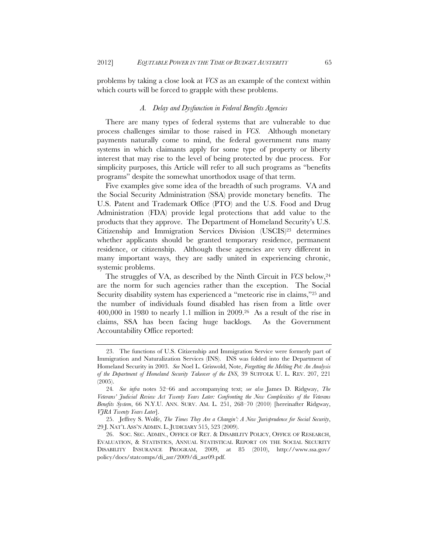problems by taking a close look at *VCS* as an example of the context within which courts will be forced to grapple with these problems.

#### *A. Delay and Dysfunction in Federal Benefits Agencies*

There are many types of federal systems that are vulnerable to due process challenges similar to those raised in *VCS*. Although monetary payments naturally come to mind, the federal government runs many systems in which claimants apply for some type of property or liberty interest that may rise to the level of being protected by due process. For simplicity purposes, this Article will refer to all such programs as "benefits programs" despite the somewhat unorthodox usage of that term.

Five examples give some idea of the breadth of such programs. VA and the Social Security Administration (SSA) provide monetary benefits. The U.S. Patent and Trademark Office (PTO) and the U.S. Food and Drug Administration (FDA) provide legal protections that add value to the products that they approve. The Department of Homeland Security's U.S. Citizenship and Immigration Services Division (USCIS)23 determines whether applicants should be granted temporary residence, permanent residence, or citizenship. Although these agencies are very different in many important ways, they are sadly united in experiencing chronic, systemic problems.

The struggles of VA, as described by the Ninth Circuit in *VCS* below,24 are the norm for such agencies rather than the exception. The Social Security disability system has experienced a "meteoric rise in claims,"25 and the number of individuals found disabled has risen from a little over  $400,000$  in 1980 to nearly 1.1 million in 2009.<sup>26</sup> As a result of the rise in claims, SSA has been facing huge backlogs. As the Government Accountability Office reported:

<sup>23.</sup> The functions of U.S. Citizenship and Immigration Service were formerly part of Immigration and Naturalization Services (INS). INS was folded into the Department of Homeland Security in 2003. *See* Noel L. Griswold, Note, *Forgetting the Melting Pot: An Analysis of the Department of Homeland Security Takeover of the INS*, 39 SUFFOLK U. L. REV. 207, 221 (2005).

<sup>24</sup>*. See infra* notes 52–66 and accompanying text; *see also* James D. Ridgway, *The Veterans' Judicial Review Act Twenty Years Later: Confronting the New Complexities of the Veterans Benefits System*, 66 N.Y.U. ANN. SURV. AM. L. 251, 268–70 (2010) [hereinafter Ridgway, *VJRA Twenty Years Later*].

<sup>25.</sup> Jeffrey S. Wolfe, *The Times They Are a Changin': A New Jurisprudence for Social Security*, 29 J. NAT'L ASS'N ADMIN. L. JUDICIARY 515, 523 (2009).

<sup>26.</sup> SOC. SEC. ADMIN., OFFICE OF RET. & DISABILITY POLICY, OFFICE OF RESEARCH, EVALUATION, & STATISTICS, ANNUAL STATISTICAL REPORT ON THE SOCIAL SECURITY DISABILITY INSURANCE PROGRAM, 2009, at 85 (2010), http://www.ssa.gov/ policy/docs/statcomps/di\_asr/2009/di\_asr09.pdf.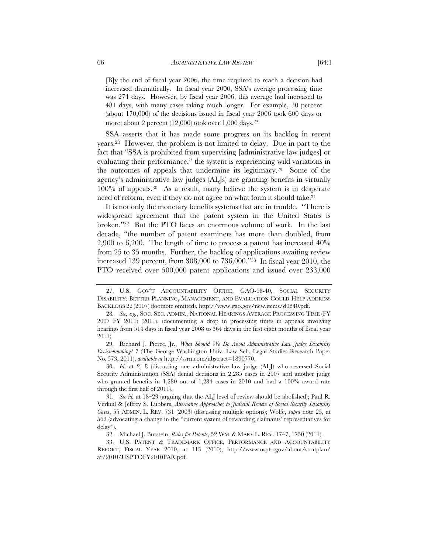[B]y the end of fiscal year 2006, the time required to reach a decision had increased dramatically. In fiscal year 2000, SSA's average processing time was 274 days. However, by fiscal year 2006, this average had increased to 481 days, with many cases taking much longer. For example, 30 percent (about 170,000) of the decisions issued in fiscal year 2006 took 600 days or more; about 2 percent (12,000) took over 1,000 days.27

SSA asserts that it has made some progress on its backlog in recent years.28 However, the problem is not limited to delay. Due in part to the fact that "SSA is prohibited from supervising [administrative law judges] or evaluating their performance," the system is experiencing wild variations in the outcomes of appeals that undermine its legitimacy.29 Some of the agency's administrative law judges (ALJs) are granting benefits in virtually 100% of appeals.30 As a result, many believe the system is in desperate need of reform, even if they do not agree on what form it should take.<sup>31</sup>

It is not only the monetary benefits systems that are in trouble. "There is widespread agreement that the patent system in the United States is broken."32 But the PTO faces an enormous volume of work. In the last decade, "the number of patent examiners has more than doubled, from 2,900 to 6,200. The length of time to process a patent has increased 40% from 25 to 35 months. Further, the backlog of applications awaiting review increased 139 percent, from 308,000 to 736,000."33 In fiscal year 2010, the PTO received over 500,000 patent applications and issued over 233,000

29. Richard J. Pierce, Jr., *What Should We Do About Administrative Law Judge Disability Decisionmaking?* 7 (The George Washington Univ. Law Sch. Legal Studies Research Paper No. 573, 2011), *available at* http://ssrn.com/abstract=1890770.

30*. Id.* at 2, 8 (discussing one administrative law judge (ALJ) who reversed Social Security Administration (SSA) denial decisions in 2,285 cases in 2007 and another judge who granted benefits in 1,280 out of 1,284 cases in 2010 and had a 100% award rate through the first half of 2011).

<sup>27.</sup> U.S. GOV'T ACCOUNTABILITY OFFICE, GAO-08-40, SOCIAL SECURITY DISABILITY: BETTER PLANNING, MANAGEMENT, AND EVALUATION COULD HELP ADDRESS BACKLOGS 22 (2007) (footnote omitted), http://www.gao.gov/new.items/d0840.pdf.

<sup>28</sup>*. See, e.g.*, SOC. SEC. ADMIN., NATIONAL HEARINGS AVERAGE PROCESSING TIME (FY 2007–FY 2011) (2011), (documenting a drop in processing times in appeals involving hearings from 514 days in fiscal year 2008 to 364 days in the first eight months of fiscal year 2011).

<sup>31</sup>*. See id.* at 18–23 (arguing that the ALJ level of review should be abolished); Paul R. Verkuil & Jeffrey S. Lubbers, *Alternative Approaches to Judicial Review of Social Security Disability Cases*, 55 ADMIN. L. REV. 731 (2003) (discussing multiple options); Wolfe, *supra* note 25, at 562 (advocating a change in the "current system of rewarding claimants' representatives for delay").

<sup>32.</sup> Michael J. Burstein, *Rules for Patents*, 52 WM. & MARY L. REV. 1747, 1750 (2011).

<sup>33.</sup> U.S. PATENT & TRADEMARK OFFICE, PERFORMANCE AND ACCOUNTABILITY REPORT, FISCAL YEAR 2010, at 113 (2010), http://www.uspto.gov/about/stratplan/ ar/2010/USPTOFY2010PAR.pdf.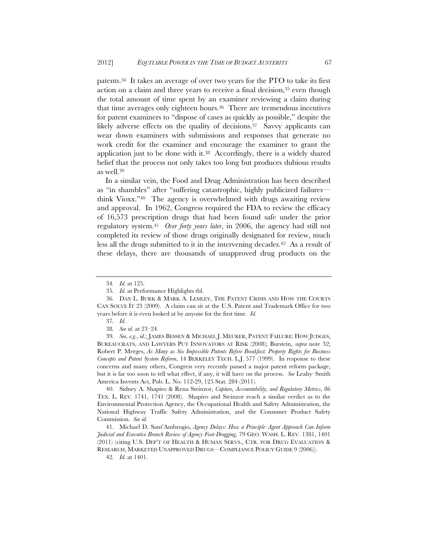patents.34 It takes an average of over two years for the PTO to take its first action on a claim and three years to receive a final decision,<sup>35</sup> even though the total amount of time spent by an examiner reviewing a claim during that time averages only eighteen hours.36 There are tremendous incentives for patent examiners to "dispose of cases as quickly as possible," despite the likely adverse effects on the quality of decisions.<sup>37</sup> Savvy applicants can wear down examiners with submissions and responses that generate no work credit for the examiner and encourage the examiner to grant the application just to be done with it.38 Accordingly, there is a widely shared belief that the process not only takes too long but produces dubious results as well.39

In a similar vein, the Food and Drug Administration has been described as "in shambles" after "suffering catastrophic, highly publicized failures think Vioxx."40 The agency is overwhelmed with drugs awaiting review and approval. In 1962, Congress required the FDA to review the efficacy of 16,573 prescription drugs that had been found safe under the prior regulatory system.41 *Over forty years later*, in 2006, the agency had still not completed its review of those drugs originally designated for review, much less all the drugs submitted to it in the intervening decades.<sup>42</sup> As a result of these delays, there are thousands of unapproved drug products on the

39*. See, e.g.*, *id*.; JAMES BESSEN & MICHAEL J. MEURER, PATENT FAILURE: HOW JUDGES, BUREAUCRATS, AND LAWYERS PUT INNOVATORS AT RISK (2008); Burstein, *supra* note 32; Robert P. Merges, *As Many as Six Impossible Patents Before Breakfast: Property Rights for Business Concepts and Patent System Reform*, 14 BERKELEY TECH. L.J. 577 (1999). In response to these concerns and many others, Congress very recently passed a major patent reform package, but it is far too soon to tell what effect, if any, it will have on the process. *See* Leahy–Smith America Invents Act, Pub. L. No. 112-29, 125 Stat. 284 (2011).

40. Sidney A. Shapiro & Rena Steinzor, *Capture, Accountability, and Regulatory Metrics*, 86 TEX. L. REV. 1741, 1741 (2008). Shapiro and Steinzor reach a similar verdict as to the Environmental Protection Agency, the Occupational Health and Safety Administration, the National Highway Traffic Safety Administration, and the Consumer Product Safety Commission. *See id.*

41. Michael D. Sant'Ambrogio, *Agency Delays: How a Principle–Agent Approach Can Inform Judicial and Executive Branch Review of Agency Foot-Dragging*, 79 GEO. WASH. L. REV. 1381, 1401 (2011) (citing U.S. DEP'T OF HEALTH & HUMAN SERVS., CTR. FOR DRUG EVALUATION & RESEARCH, MARKETED UNAPPROVED DRUGS—COMPLIANCE POLICY GUIDE 9 (2006)).

42*. Id.* at 1401.

<sup>34</sup>*. Id.* at 125.

<sup>35</sup>*. Id.* at Performance Highlights tbl.

<sup>36.</sup> DAN L. BURK & MARK A. LEMLEY, THE PATENT CRISIS AND HOW THE COURTS CAN SOLVE IT 23 (2009). A claim can sit at the U.S. Patent and Trademark Office for two years before it is even looked at by anyone for the first time. *Id.*

<sup>37</sup>*. Id*.

<sup>38</sup>*. See id.* at 23–24.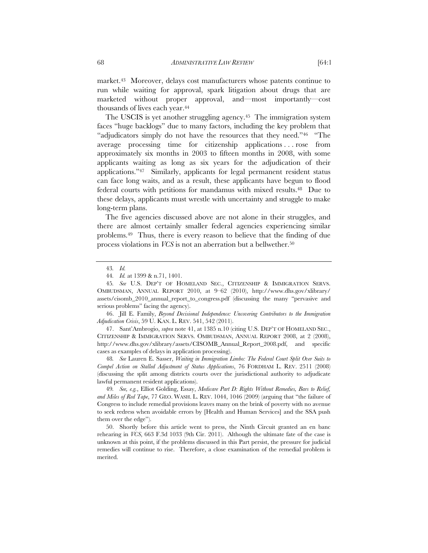market.43 Moreover, delays cost manufacturers whose patents continue to run while waiting for approval, spark litigation about drugs that are marketed without proper approval, and—most importantly—cost thousands of lives each year.44

The USCIS is yet another struggling agency.<sup>45</sup> The immigration system faces "huge backlogs" due to many factors, including the key problem that "adjudicators simply do not have the resources that they need."46 "The average processing time for citizenship applications . . . rose from approximately six months in 2003 to fifteen months in 2008, with some applicants waiting as long as six years for the adjudication of their applications."47 Similarly, applicants for legal permanent resident status can face long waits, and as a result, these applicants have begun to flood federal courts with petitions for mandamus with mixed results.48 Due to these delays, applicants must wrestle with uncertainty and struggle to make long-term plans.

The five agencies discussed above are not alone in their struggles, and there are almost certainly smaller federal agencies experiencing similar problems.49 Thus, there is every reason to believe that the finding of due process violations in *VCS* is not an aberration but a bellwether.50

46. Jill E. Family, *Beyond Decisional Independence: Uncovering Contributors to the Immigration Adjudication Crisis*, 59 U. KAN. L. REV. 541, 542 (2011).

47. Sant'Ambrogio, *supra* note 41, at 1385 n.10 (citing U.S. DEP'T OF HOMELAND SEC., CITIZENSHIP & IMMIGRATION SERVS. OMBUDSMAN, ANNUAL REPORT 2008, at 2 (2008), http://www.dhs.gov/xlibrary/assets/CISOMB\_Annual\_Report\_2008.pdf, and specific cases as examples of delays in application processing).

48*. See* Lauren E. Sasser, *Waiting in Immigration Limbo: The Federal Court Split Over Suits to Compel Action on Stalled Adjustment of Status Applications*, 76 FORDHAM L. REV. 2511 (2008) (discussing the split among districts courts over the jurisdictional authority to adjudicate lawful permanent resident applications).

49*. See, e.g.*, Elliot Golding, Essay, *Medicare Part D: Rights Without Remedies, Bars to Relief, and Miles of Red Tape*, 77 GEO. WASH. L. REV. 1044, 1046 (2009) (arguing that "the failure of Congress to include remedial provisions leaves many on the brink of poverty with no avenue to seek redress when avoidable errors by [Health and Human Services] and the SSA push them over the edge").

50. Shortly before this article went to press, the Ninth Circuit granted an en banc rehearing in *VCS*, 663 F.3d 1033 (9th Cir. 2011). Although the ultimate fate of the case is unknown at this point, if the problems discussed in this Part persist, the pressure for judicial remedies will continue to rise. Therefore, a close examination of the remedial problem is merited.

<sup>43</sup>*. Id.*

<sup>44</sup>*. Id.* at 1399 & n.71, 1401.

<sup>45</sup>*. See* U.S. DEP'T OF HOMELAND SEC., CITIZENSHIP & IMMIGRATION SERVS. OMBUDSMAN, ANNUAL REPORT 2010, at 9–62 (2010), http://www.dhs.gov/xlibrary/ assets/cisomb\_2010\_annual\_report\_to\_congress.pdf (discussing the many "pervasive and serious problems" facing the agency).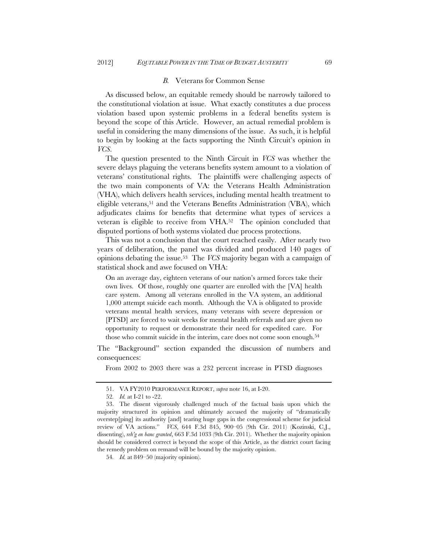#### *B.* Veterans for Common Sense

As discussed below, an equitable remedy should be narrowly tailored to the constitutional violation at issue. What exactly constitutes a due process violation based upon systemic problems in a federal benefits system is beyond the scope of this Article. However, an actual remedial problem is useful in considering the many dimensions of the issue. As such, it is helpful to begin by looking at the facts supporting the Ninth Circuit's opinion in *VCS*.

The question presented to the Ninth Circuit in *VCS* was whether the severe delays plaguing the veterans benefits system amount to a violation of veterans' constitutional rights. The plaintiffs were challenging aspects of the two main components of VA: the Veterans Health Administration (VHA), which delivers health services, including mental health treatment to eligible veterans,51 and the Veterans Benefits Administration (VBA), which adjudicates claims for benefits that determine what types of services a veteran is eligible to receive from VHA.52 The opinion concluded that disputed portions of both systems violated due process protections.

This was not a conclusion that the court reached easily. After nearly two years of deliberation, the panel was divided and produced 140 pages of opinions debating the issue.53 The *VCS* majority began with a campaign of statistical shock and awe focused on VHA:

On an average day, eighteen veterans of our nation's armed forces take their own lives. Of those, roughly one quarter are enrolled with the [VA] health care system. Among all veterans enrolled in the VA system, an additional 1,000 attempt suicide each month. Although the VA is obligated to provide veterans mental health services, many veterans with severe depression or [PTSD] are forced to wait weeks for mental health referrals and are given no opportunity to request or demonstrate their need for expedited care. For those who commit suicide in the interim, care does not come soon enough.<sup>54</sup>

The "Background" section expanded the discussion of numbers and consequences:

From 2002 to 2003 there was a 232 percent increase in PTSD diagnoses

<sup>51.</sup> VA FY2010 PERFORMANCE REPORT, *supra* note 16, at I-20.

<sup>52</sup>*. Id.* at I-21 to -22.

<sup>53.</sup> The dissent vigorously challenged much of the factual basis upon which the majority structured its opinion and ultimately accused the majority of "dramatically overstep[ping] its authority [and] tearing huge gaps in the congressional scheme for judicial review of VA actions." *VCS*, 644 F.3d 845, 900–05 (9th Cir. 2011) (Kozinski, C.J., dissenting), *reh'g en banc granted*, 663 F.3d 1033 (9th Cir. 2011). Whether the majority opinion should be considered correct is beyond the scope of this Article, as the district court facing the remedy problem on remand will be bound by the majority opinion.

<sup>54</sup>*. Id.* at 849–50 (majority opinion).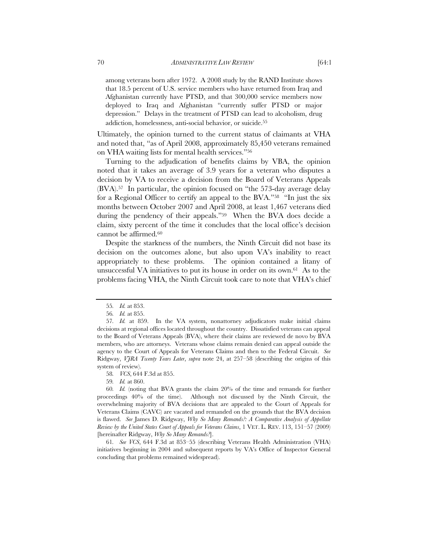among veterans born after 1972. A 2008 study by the RAND Institute shows that 18.5 percent of U.S. service members who have returned from Iraq and Afghanistan currently have PTSD, and that 300,000 service members now deployed to Iraq and Afghanistan "currently suffer PTSD or major depression." Delays in the treatment of PTSD can lead to alcoholism, drug addiction, homelessness, anti-social behavior, or suicide.55

Ultimately, the opinion turned to the current status of claimants at VHA and noted that, "as of April 2008, approximately 85,450 veterans remained on VHA waiting lists for mental health services."56

Turning to the adjudication of benefits claims by VBA, the opinion noted that it takes an average of 3.9 years for a veteran who disputes a decision by VA to receive a decision from the Board of Veterans Appeals (BVA).57 In particular, the opinion focused on "the 573-day average delay for a Regional Officer to certify an appeal to the BVA."58 "In just the six months between October 2007 and April 2008, at least 1,467 veterans died during the pendency of their appeals."59 When the BVA does decide a claim, sixty percent of the time it concludes that the local office's decision cannot be affirmed.60

Despite the starkness of the numbers, the Ninth Circuit did not base its decision on the outcomes alone, but also upon VA's inability to react appropriately to these problems. The opinion contained a litany of unsuccessful VA initiatives to put its house in order on its own.61 As to the problems facing VHA, the Ninth Circuit took care to note that VHA's chief

61*. See VCS*, 644 F.3d at 853–55 (describing Veterans Health Administration (VHA) initiatives beginning in 2004 and subsequent reports by VA's Office of Inspector General concluding that problems remained widespread).

<sup>55</sup>*. Id.* at 853.

<sup>56</sup>*. Id.* at 855.

<sup>57</sup>*. Id.* at 859. In the VA system, nonattorney adjudicators make initial claims decisions at regional offices located throughout the country. Dissatisfied veterans can appeal to the Board of Veterans Appeals (BVA), where their claims are reviewed de novo by BVA members, who are attorneys. Veterans whose claims remain denied can appeal outside the agency to the Court of Appeals for Veterans Claims and then to the Federal Circuit. *See*  Ridgway, *VJRA Twenty Years Later*, *supra* note 24, at 257–58 (describing the origins of this system of review).

<sup>58</sup>*. VCS*, 644 F.3d at 855.

<sup>59</sup>*. Id.* at 860.

<sup>60</sup>*. Id.* (noting that BVA grants the claim 20% of the time and remands for further proceedings 40% of the time). Although not discussed by the Ninth Circuit, the overwhelming majority of BVA decisions that are appealed to the Court of Appeals for Veterans Claims (CAVC) are vacated and remanded on the grounds that the BVA decision is flawed. *See* James D. Ridgway, *Why So Many Remands?: A Comparative Analysis of Appellate Review by the United States Court of Appeals for Veterans Claims*, 1 VET. L. REV. 113, 151–57 (2009) [hereinafter Ridgway, *Why So Many Remands?*].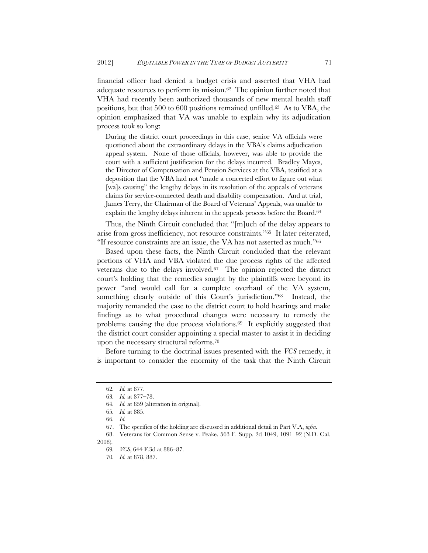financial officer had denied a budget crisis and asserted that VHA had adequate resources to perform its mission.62 The opinion further noted that VHA had recently been authorized thousands of new mental health staff positions, but that 500 to 600 positions remained unfilled.<sup>63</sup> As to VBA, the opinion emphasized that VA was unable to explain why its adjudication process took so long:

During the district court proceedings in this case, senior VA officials were questioned about the extraordinary delays in the VBA's claims adjudication appeal system. None of those officials, however, was able to provide the court with a sufficient justification for the delays incurred. Bradley Mayes, the Director of Compensation and Pension Services at the VBA, testified at a deposition that the VBA had not "made a concerted effort to figure out what [wa]s causing" the lengthy delays in its resolution of the appeals of veterans claims for service-connected death and disability compensation. And at trial, James Terry, the Chairman of the Board of Veterans' Appeals, was unable to explain the lengthy delays inherent in the appeals process before the Board.<sup>64</sup>

Thus, the Ninth Circuit concluded that "[m]uch of the delay appears to arise from gross inefficiency, not resource constraints."65 It later reiterated, "If resource constraints are an issue, the VA has not asserted as much."66

Based upon these facts, the Ninth Circuit concluded that the relevant portions of VHA and VBA violated the due process rights of the affected veterans due to the delays involved.67 The opinion rejected the district court's holding that the remedies sought by the plaintiffs were beyond its power "and would call for a complete overhaul of the VA system, something clearly outside of this Court's jurisdiction."68 Instead, the majority remanded the case to the district court to hold hearings and make findings as to what procedural changes were necessary to remedy the problems causing the due process violations.69 It explicitly suggested that the district court consider appointing a special master to assist it in deciding upon the necessary structural reforms.70

Before turning to the doctrinal issues presented with the *VCS* remedy, it is important to consider the enormity of the task that the Ninth Circuit

2008).

<sup>62</sup>*. Id.* at 877.

<sup>63</sup>*. Id.* at 877–78.

<sup>64</sup>*. Id.* at 859 (alteration in original).

<sup>65</sup>*. Id.* at 885.

<sup>66</sup>*. Id.*

<sup>67.</sup> The specifics of the holding are discussed in additional detail in Part V.A, *infra*.

<sup>68.</sup> Veterans for Common Sense v. Peake, 563 F. Supp. 2d 1049, 1091–92 (N.D. Cal.

<sup>69</sup>*. VCS*, 644 F.3d at 886–87.

<sup>70</sup>*. Id.* at 878, 887.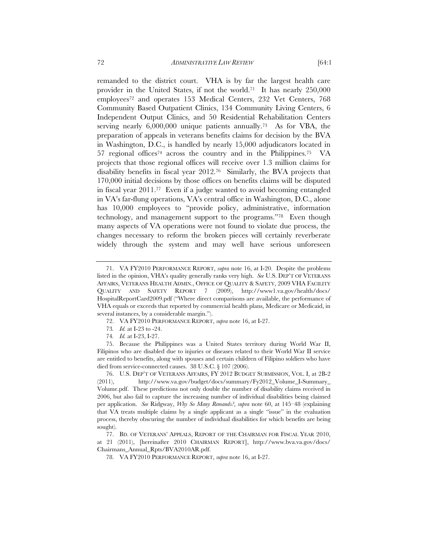remanded to the district court. VHA is by far the largest health care provider in the United States, if not the world.71 It has nearly 250,000 employees72 and operates 153 Medical Centers, 232 Vet Centers, 768 Community Based Outpatient Clinics, 134 Community Living Centers, 6 Independent Output Clinics, and 50 Residential Rehabilitation Centers serving nearly 6,000,000 unique patients annually.73 As for VBA, the preparation of appeals in veterans benefits claims for decision by the BVA in Washington, D.C., is handled by nearly 15,000 adjudicators located in 57 regional offices74 across the country and in the Philippines.75 VA projects that those regional offices will receive over 1.3 million claims for disability benefits in fiscal year 2012.76 Similarly, the BVA projects that 170,000 initial decisions by those offices on benefits claims will be disputed in fiscal year 2011.77 Even if a judge wanted to avoid becoming entangled in VA's far-flung operations, VA's central office in Washington, D.C., alone has  $10,000$  employees to "provide policy, administrative, information technology, and management support to the programs."78 Even though many aspects of VA operations were not found to violate due process, the changes necessary to reform the broken pieces will certainly reverberate widely through the system and may well have serious unforeseen

74*. Id.* at I-23, I-27.

75. Because the Philippines was a United States territory during World War II, Filipinos who are disabled due to injuries or diseases related to their World War II service are entitled to benefits, along with spouses and certain children of Filipino soldiers who have died from service-connected causes. 38 U.S.C. § 107 (2006).

76. U.S. DEP'T OF VETERANS AFFAIRS, FY 2012 BUDGET SUBMISSION, VOL. I, at 2B-2 (2011), http://www.va.gov/budget/docs/summary/Fy2012 Volume I-Summary Volume.pdf. These predictions not only double the number of disability claims received in 2006, but also fail to capture the increasing number of individual disabilities being claimed per application. *See* Ridgway, *Why So Many Remands?*, *supra* note 60, at 145–48 (explaining that VA treats multiple claims by a single applicant as a single "issue" in the evaluation process, thereby obscuring the number of individual disabilities for which benefits are being sought).

77. BD. OF VETERANS' APPEALS, REPORT OF THE CHAIRMAN FOR FISCAL YEAR 2010, at 21 (2011), [hereinafter 2010 CHAIRMAN REPORT], http://www.bva.va.gov/docs/ Chairmans\_Annual\_Rpts/BVA2010AR.pdf.

<sup>71.</sup> VA FY2010 PERFORMANCE REPORT, *supra* note 16, at I-20. Despite the problems listed in the opinion, VHA's quality generally ranks very high. *See* U.S. DEP'T OF VETERANS AFFAIRS, VETERANS HEALTH ADMIN., OFFICE OF QUALITY & SAFETY, 2009 VHA FACILITY QUALITY AND SAFETY REPORT 7 (2009), http://www1.va.gov/health/docs/ HospitalReportCard2009.pdf ("Where direct comparisons are available, the performance of VHA equals or exceeds that reported by commercial health plans, Medicare or Medicaid, in several instances, by a considerable margin.").

<sup>72.</sup> VA FY2010 PERFORMANCE REPORT, *supra* note 16, at I-27.

<sup>73</sup>*. Id.* at I-23 to -24.

<sup>78.</sup> VA FY2010 PERFORMANCE REPORT, *supra* note 16, at I-27.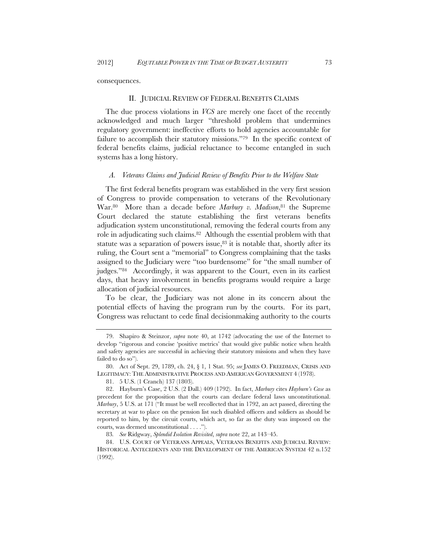consequences.

#### II. JUDICIAL REVIEW OF FEDERAL BENEFITS CLAIMS

The due process violations in *VCS* are merely one facet of the recently acknowledged and much larger "threshold problem that undermines regulatory government: ineffective efforts to hold agencies accountable for failure to accomplish their statutory missions."79 In the specific context of federal benefits claims, judicial reluctance to become entangled in such systems has a long history.

#### *A. Veterans Claims and Judicial Review of Benefits Prior to the Welfare State*

The first federal benefits program was established in the very first session of Congress to provide compensation to veterans of the Revolutionary War.<sup>80</sup> More than a decade before *Marbury v. Madison*,<sup>81</sup> the Supreme Court declared the statute establishing the first veterans benefits adjudication system unconstitutional, removing the federal courts from any role in adjudicating such claims.82 Although the essential problem with that statute was a separation of powers issue, $83$  it is notable that, shortly after its ruling, the Court sent a "memorial" to Congress complaining that the tasks assigned to the Judiciary were "too burdensome" for "the small number of judges."84 Accordingly, it was apparent to the Court, even in its earliest days, that heavy involvement in benefits programs would require a large allocation of judicial resources.

To be clear, the Judiciary was not alone in its concern about the potential effects of having the program run by the courts. For its part, Congress was reluctant to cede final decisionmaking authority to the courts

<sup>79.</sup> Shapiro & Steinzor, *supra* note 40, at 1742 (advocating the use of the Internet to develop "rigorous and concise 'positive metrics' that would give public notice when health and safety agencies are successful in achieving their statutory missions and when they have failed to do so").

<sup>80.</sup> Act of Sept. 29, 1789, ch. 24, § 1, 1 Stat. 95; *see* JAMES O. FREEDMAN, CRISIS AND LEGITIMACY: THE ADMINISTRATIVE PROCESS AND AMERICAN GOVERNMENT 4 (1978).

<sup>81. 5</sup> U.S. (1 Cranch) 137 (1803).

<sup>82.</sup> Hayburn's Case, 2 U.S. (2 Dall.) 409 (1792). In fact, *Marbury* cites *Hayburn's Case* as precedent for the proposition that the courts can declare federal laws unconstitutional. *Marbury*, 5 U.S. at 171 ("It must be well recollected that in 1792, an act passed, directing the secretary at war to place on the pension list such disabled officers and soldiers as should be reported to him, by the circuit courts, which act, so far as the duty was imposed on the courts, was deemed unconstitutional . . . .").

<sup>83</sup>*. See* Ridgway, *Splendid Isolation Revisited*, *supra* note 22, at 143–45.

<sup>84.</sup> U.S. COURT OF VETERANS APPEALS, VETERANS BENEFITS AND JUDICIAL REVIEW: HISTORICAL ANTECEDENTS AND THE DEVELOPMENT OF THE AMERICAN SYSTEM 42 n.152 (1992).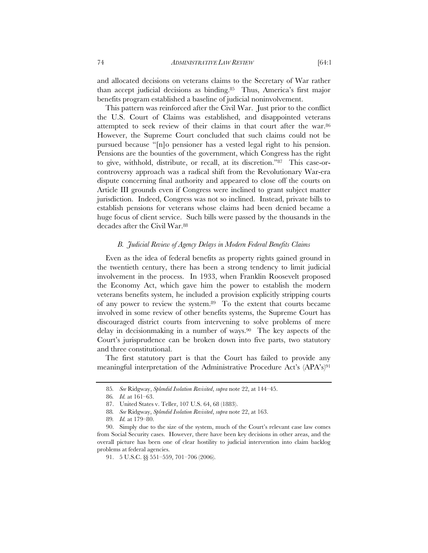and allocated decisions on veterans claims to the Secretary of War rather than accept judicial decisions as binding.85 Thus, America's first major benefits program established a baseline of judicial noninvolvement.

This pattern was reinforced after the Civil War. Just prior to the conflict the U.S. Court of Claims was established, and disappointed veterans attempted to seek review of their claims in that court after the war.86 However, the Supreme Court concluded that such claims could not be pursued because "[n]o pensioner has a vested legal right to his pension. Pensions are the bounties of the government, which Congress has the right to give, withhold, distribute, or recall, at its discretion."87 This case-orcontroversy approach was a radical shift from the Revolutionary War-era dispute concerning final authority and appeared to close off the courts on Article III grounds even if Congress were inclined to grant subject matter jurisdiction. Indeed, Congress was not so inclined. Instead, private bills to establish pensions for veterans whose claims had been denied became a huge focus of client service. Such bills were passed by the thousands in the decades after the Civil War.<sup>88</sup>

#### *B. Judicial Review of Agency Delays in Modern Federal Benefits Claims*

Even as the idea of federal benefits as property rights gained ground in the twentieth century, there has been a strong tendency to limit judicial involvement in the process. In 1933, when Franklin Roosevelt proposed the Economy Act, which gave him the power to establish the modern veterans benefits system, he included a provision explicitly stripping courts of any power to review the system.89 To the extent that courts became involved in some review of other benefits systems, the Supreme Court has discouraged district courts from intervening to solve problems of mere delay in decisionmaking in a number of ways.90 The key aspects of the Court's jurisprudence can be broken down into five parts, two statutory and three constitutional.

The first statutory part is that the Court has failed to provide any meaningful interpretation of the Administrative Procedure Act's (APA's)91

<sup>85</sup>*. See* Ridgway, *Splendid Isolation Revisited*, *supra* note 22, at 144–45.

<sup>86</sup>*. Id.* at 161–63.

<sup>87.</sup> United States v. Teller, 107 U.S. 64, 68 (1883).

<sup>88</sup>*. See* Ridgway, *Splendid Isolation Revisited*, *supra* note 22, at 163.

<sup>89</sup>*. Id.* at 179–80.

<sup>90.</sup> Simply due to the size of the system, much of the Court's relevant case law comes from Social Security cases. However, there have been key decisions in other areas, and the overall picture has been one of clear hostility to judicial intervention into claim backlog problems at federal agencies.

<sup>91. 5</sup> U.S.C. §§ 551–559, 701–706 (2006).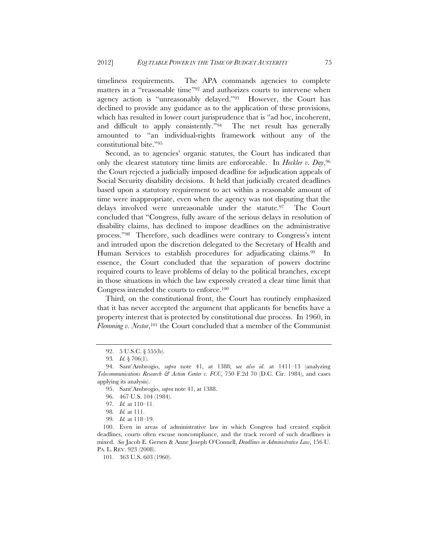timeliness requirements. The APA commands agencies to complete matters in a "reasonable time"92 and authorizes courts to intervene when agency action is "unreasonably delayed."93 However, the Court has declined to provide any guidance as to the application of these provisions, which has resulted in lower court jurisprudence that is "ad hoc, incoherent, and difficult to apply consistently."94 The net result has generally amounted to "an individual-rights framework without any of the constitutional bite."95

Second, as to agencies' organic statutes, the Court has indicated that only the clearest statutory time limits are enforceable. In *Heckler v. Day*,96 the Court rejected a judicially imposed deadline for adjudication appeals of Social Security disability decisions. It held that judicially created deadlines based upon a statutory requirement to act within a reasonable amount of time were inappropriate, even when the agency was not disputing that the delays involved were unreasonable under the statute.97 The Court concluded that "Congress, fully aware of the serious delays in resolution of disability claims, has declined to impose deadlines on the administrative process."98 Therefore, such deadlines were contrary to Congress's intent and intruded upon the discretion delegated to the Secretary of Health and Human Services to establish procedures for adjudicating claims.<sup>99</sup> In essence, the Court concluded that the separation of powers doctrine required courts to leave problems of delay to the political branches, except in those situations in which the law expressly created a clear time limit that Congress intended the courts to enforce.100

Third, on the constitutional front, the Court has routinely emphasized that it has never accepted the argument that applicants for benefits have a property interest that is protected by constitutional due process. In 1960, in *Flemming v. Nestor*,<sup>101</sup> the Court concluded that a member of the Communist

<sup>92. 5</sup> U.S.C. § 555(b).

<sup>93</sup>*. Id.* § 706(1).

<sup>94.</sup> Sant'Ambrogio, *supra* note 41, at 1388; s*ee also id*. at 1411–13 (analyzing *Telecommunications Research & Action Center v. FCC*, 750 F.2d 70 (D.C. Cir. 1984), and cases applying its analysis).

<sup>95.</sup> Sant'Ambrogio, *supra* note 41, at 1388.

<sup>96. 467</sup> U.S. 104 (1984).

<sup>97</sup>*. Id.* at 110–11.

<sup>98</sup>*. Id.* at 111.

<sup>99</sup>*. Id.* at 118–19.

 <sup>100.</sup> Even in areas of administrative law in which Congress had created explicit deadlines, courts often excuse noncompliance, and the track record of such deadlines is mixed. *See* Jacob E. Gersen & Anne Joseph O'Connell, *Deadlines in Administrative Law*, 156 U. PA. L. REV. 923 (2008).

<sup>101. 363</sup> U.S. 603 (1960).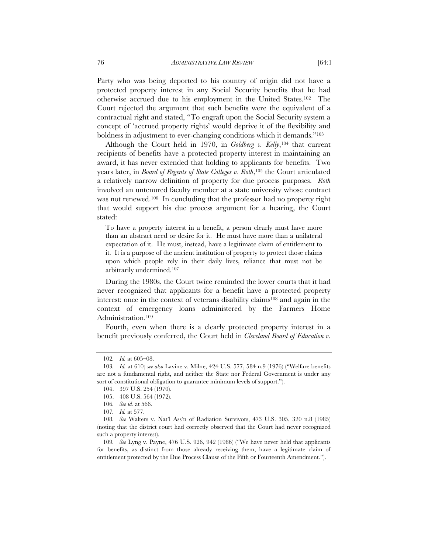Party who was being deported to his country of origin did not have a protected property interest in any Social Security benefits that he had otherwise accrued due to his employment in the United States.102 The Court rejected the argument that such benefits were the equivalent of a contractual right and stated, "To engraft upon the Social Security system a concept of 'accrued property rights' would deprive it of the flexibility and boldness in adjustment to ever-changing conditions which it demands."103

Although the Court held in 1970, in *Goldberg v. Kelly*,104 that current recipients of benefits have a protected property interest in maintaining an award, it has never extended that holding to applicants for benefits. Two years later, in *Board of Regents of State Colleges v. Roth*,105 the Court articulated a relatively narrow definition of property for due process purposes. *Roth*  involved an untenured faculty member at a state university whose contract was not renewed.<sup>106</sup> In concluding that the professor had no property right that would support his due process argument for a hearing, the Court stated:

To have a property interest in a benefit, a person clearly must have more than an abstract need or desire for it. He must have more than a unilateral expectation of it. He must, instead, have a legitimate claim of entitlement to it. It is a purpose of the ancient institution of property to protect those claims upon which people rely in their daily lives, reliance that must not be arbitrarily undermined.107

 During the 1980s, the Court twice reminded the lower courts that it had never recognized that applicants for a benefit have a protected property interest: once in the context of veterans disability claims108 and again in the context of emergency loans administered by the Farmers Home Administration.109

Fourth, even when there is a clearly protected property interest in a benefit previously conferred, the Court held in *Cleveland Board of Education v.* 

<sup>102</sup>*. Id.* at 605–08.

<sup>103</sup>*. Id.* at 610; *see also* Lavine v. Milne, 424 U.S. 577, 584 n.9 (1976) ("Welfare benefits are not a fundamental right, and neither the State nor Federal Government is under any sort of constitutional obligation to guarantee minimum levels of support.").

<sup>104. 397</sup> U.S. 254 (1970).

<sup>105. 408</sup> U.S. 564 (1972).

<sup>106</sup>*. See id.* at 566.

<sup>107</sup>*. Id.* at 577.

<sup>108</sup>*. See* Walters v. Nat'l Ass'n of Radiation Survivors, 473 U.S. 305, 320 n.8 (1985) (noting that the district court had correctly observed that the Court had never recognized such a property interest).

<sup>109</sup>*. See* Lyng v. Payne, 476 U.S. 926, 942 (1986) ("We have never held that applicants for benefits, as distinct from those already receiving them, have a legitimate claim of entitlement protected by the Due Process Clause of the Fifth or Fourteenth Amendment.").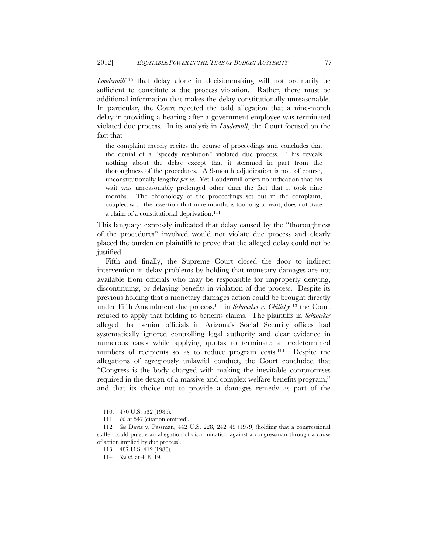*Loudermill*110 that delay alone in decisionmaking will not ordinarily be sufficient to constitute a due process violation. Rather, there must be additional information that makes the delay constitutionally unreasonable. In particular, the Court rejected the bald allegation that a nine-month delay in providing a hearing after a government employee was terminated violated due process. In its analysis in *Loudermill*, the Court focused on the fact that

the complaint merely recites the course of proceedings and concludes that the denial of a "speedy resolution" violated due process. This reveals nothing about the delay except that it stemmed in part from the thoroughness of the procedures. A 9-month adjudication is not, of course, unconstitutionally lengthy *per se*. Yet Loudermill offers no indication that his wait was unreasonably prolonged other than the fact that it took nine months. The chronology of the proceedings set out in the complaint, coupled with the assertion that nine months is too long to wait, does not state a claim of a constitutional deprivation.<sup>111</sup>

This language expressly indicated that delay caused by the "thoroughness of the procedures" involved would not violate due process and clearly placed the burden on plaintiffs to prove that the alleged delay could not be justified.

Fifth and finally, the Supreme Court closed the door to indirect intervention in delay problems by holding that monetary damages are not available from officials who may be responsible for improperly denying, discontinuing, or delaying benefits in violation of due process. Despite its previous holding that a monetary damages action could be brought directly under Fifth Amendment due process,<sup>112</sup> in *Schweiker v. Chilicky*<sup>113</sup> the Court refused to apply that holding to benefits claims. The plaintiffs in *Schweiker* alleged that senior officials in Arizona's Social Security offices had systematically ignored controlling legal authority and clear evidence in numerous cases while applying quotas to terminate a predetermined numbers of recipients so as to reduce program costs.114 Despite the allegations of egregiously unlawful conduct, the Court concluded that "Congress is the body charged with making the inevitable compromises required in the design of a massive and complex welfare benefits program," and that its choice not to provide a damages remedy as part of the

<sup>110. 470</sup> U.S. 532 (1985).

<sup>111</sup>*. Id.* at 547 (citation omitted).

<sup>112</sup>*. See* Davis v. Passman, 442 U.S. 228, 242–49 (1979) (holding that a congressional staffer could pursue an allegation of discrimination against a congressman through a cause of action implied by due process).

<sup>113. 487</sup> U.S. 412 (1988).

<sup>114</sup>*. See id.* at 418–19.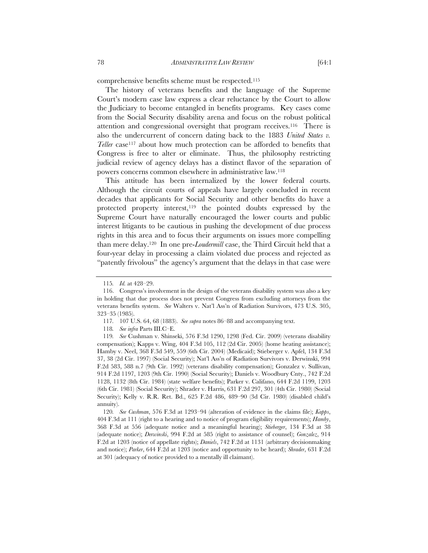comprehensive benefits scheme must be respected.115

The history of veterans benefits and the language of the Supreme Court's modern case law express a clear reluctance by the Court to allow the Judiciary to become entangled in benefits programs. Key cases come from the Social Security disability arena and focus on the robust political attention and congressional oversight that program receives.116 There is also the undercurrent of concern dating back to the 1883 *United States v. Teller* case<sup>117</sup> about how much protection can be afforded to benefits that Congress is free to alter or eliminate. Thus, the philosophy restricting judicial review of agency delays has a distinct flavor of the separation of powers concerns common elsewhere in administrative law.118

This attitude has been internalized by the lower federal courts. Although the circuit courts of appeals have largely concluded in recent decades that applicants for Social Security and other benefits do have a protected property interest,<sup>119</sup> the pointed doubts expressed by the Supreme Court have naturally encouraged the lower courts and public interest litigants to be cautious in pushing the development of due process rights in this area and to focus their arguments on issues more compelling than mere delay.120 In one pre-*Loudermill* case, the Third Circuit held that a four-year delay in processing a claim violated due process and rejected as "patently frivolous" the agency's argument that the delays in that case were

<sup>115</sup>*. Id.* at 428–29.

<sup>116.</sup> Congress's involvement in the design of the veterans disability system was also a key in holding that due process does not prevent Congress from excluding attorneys from the veterans benefits system. *See* Walters v. Nat'l Ass'n of Radiation Survivors, 473 U.S. 305, 323–35 (1985).

<sup>117</sup>*.* 107 U.S. 64, 68 (1883). *See supra* notes 86–88 and accompanying text.

<sup>118</sup>*. See infra* Parts III.C–E.

<sup>119</sup>*. See* Cushman v. Shinseki, 576 F.3d 1290, 1298 (Fed. Cir. 2009) (veterans disability compensation); Kapps v. Wing, 404 F.3d 105, 112 (2d Cir. 2005) (home heating assistance); Hamby v. Neel, 368 F.3d 549, 559 (6th Cir. 2004) (Medicaid); Stieberger v. Apfel, 134 F.3d 37, 38 (2d Cir. 1997) (Social Security); Nat'l Ass'n of Radiation Survivors v. Derwinski, 994 F.2d 583, 588 n.7 (9th Cir. 1992) (veterans disability compensation); Gonzalez v. Sullivan, 914 F.2d 1197, 1203 (9th Cir. 1990) (Social Security); Daniels v. Woodbury Cnty., 742 F.2d 1128, 1132 (8th Cir. 1984) (state welfare benefits); Parker v. Califano, 644 F.2d 1199, 1203 (6th Cir. 1981) (Social Security); Shrader v. Harris, 631 F.2d 297, 301 (4th Cir. 1980) (Social Security); Kelly v. R.R. Ret. Bd., 625 F.2d 486, 489–90 (3d Cir. 1980) (disabled child's annuity).

<sup>120</sup>*. See Cushman*, 576 F.3d at 1293–94 (alteration of evidence in the claims file); *Kapps*, 404 F.3d at 111 (right to a hearing and to notice of program eligibility requirements); *Hamby*, 368 F.3d at 556 (adequate notice and a meaningful hearing); *Stieberger*, 134 F.3d at 38 (adequate notice); *Derwinski*, 994 F.2d at 585 (right to assistance of counsel); *Gonzalez*, 914 F.2d at 1203 (notice of appellate rights); *Daniels*, 742 F.2d at 1131 (arbitrary decisionmaking and notice); *Parker*, 644 F.2d at 1203 (notice and opportunity to be heard); *Shrader*, 631 F.2d at 301 (adequacy of notice provided to a mentally ill claimant).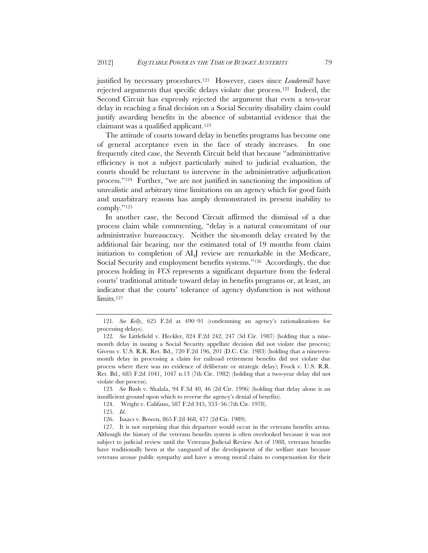justified by necessary procedures.121 However, cases since *Loudermill* have rejected arguments that specific delays violate due process.122 Indeed, the Second Circuit has expressly rejected the argument that even a ten-year delay in reaching a final decision on a Social Security disability claim could justify awarding benefits in the absence of substantial evidence that the claimant was a qualified applicant.123

The attitude of courts toward delay in benefits programs has become one of general acceptance even in the face of steady increases. In one frequently cited case, the Seventh Circuit held that because "administrative efficiency is not a subject particularly suited to judicial evaluation, the courts should be reluctant to intervene in the administrative adjudication process."124 Further, "we are not justified in sanctioning the imposition of unrealistic and arbitrary time limitations on an agency which for good faith and unarbitrary reasons has amply demonstrated its present inability to comply."125

 In another case, the Second Circuit affirmed the dismissal of a due process claim while commenting, "delay is a natural concomitant of our administrative bureaucracy. Neither the six-month delay created by the additional fair hearing, nor the estimated total of 19 months from claim initiation to completion of ALJ review are remarkable in the Medicare, Social Security and employment benefits systems."126 Accordingly, the due process holding in *VCS* represents a significant departure from the federal courts' traditional attitude toward delay in benefits programs or, at least, an indicator that the courts' tolerance of agency dysfunction is not without limits.<sup>127</sup>

123*. See* Bush v. Shalala, 94 F.3d 40, 46 (2d Cir. 1996) (holding that delay alone is an insufficient ground upon which to reverse the agency's denial of benefits).

124. Wright v. Califano, 587 F.2d 345, 353–56 (7th Cir. 1978).

125. *Id.*

126. Isaacs v. Bowen, 865 F.2d 468, 477 (2d Cir. 1989).

127. It is not surprising that this departure would occur in the veterans benefits arena. Although the history of the veterans benefits system is often overlooked because it was not subject to judicial review until the Veterans Judicial Review Act of 1988, veterans benefits have traditionally been at the vanguard of the development of the welfare state because veterans arouse public sympathy and have a strong moral claim to compensation for their

<sup>121</sup>*. See Kelly*, 625 F.2d at 490–91 (condemning an agency's rationalizations for processing delays).

<sup>122</sup>*. See* Littlefield v. Heckler, 824 F.2d 242, 247 (3d Cir. 1987) (holding that a ninemonth delay in issuing a Social Security appellate decision did not violate due process); Givens v. U.S. R.R. Ret. Bd., 720 F.2d 196, 201 (D.C. Cir. 1983) (holding that a nineteenmonth delay in processing a claim for railroad retirement benefits did not violate due process where there was no evidence of deliberate or strategic delay); Frock v. U.S. R.R. Ret. Bd., 685 F.2d 1041, 1047 n.13 (7th Cir. 1982) (holding that a two-year delay did not violate due process).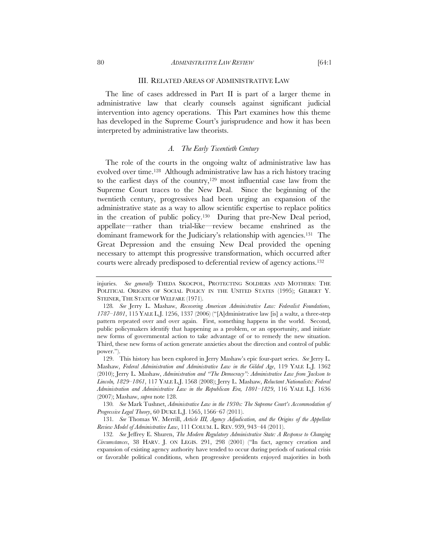#### III. RELATED AREAS OF ADMINISTRATIVE LAW

The line of cases addressed in Part II is part of a larger theme in administrative law that clearly counsels against significant judicial intervention into agency operations. This Part examines how this theme has developed in the Supreme Court's jurisprudence and how it has been interpreted by administrative law theorists.

## *A. The Early Twentieth Century*

The role of the courts in the ongoing waltz of administrative law has evolved over time.128 Although administrative law has a rich history tracing to the earliest days of the country,129 most influential case law from the Supreme Court traces to the New Deal. Since the beginning of the twentieth century, progressives had been urging an expansion of the administrative state as a way to allow scientific expertise to replace politics in the creation of public policy.130 During that pre-New Deal period, appellate—rather than trial-like—review became enshrined as the dominant framework for the Judiciary's relationship with agencies.131 The Great Depression and the ensuing New Deal provided the opening necessary to attempt this progressive transformation, which occurred after courts were already predisposed to deferential review of agency actions.132

130*. See* Mark Tushnet, *Administrative Law in the 1930s: The Supreme Court's Accommodation of Progressive Legal Theory*, 60 DUKE L.J. 1565, 1566–67 (2011).

131*. See* Thomas W. Merrill, *Article III, Agency Adjudication, and the Origins of the Appellate Review Model of Administrative Law*, 111 COLUM. L. REV. 939, 943–44 (2011).

132*. See* Jeffrey E. Shuren, *The Modern Regulatory Administrative State: A Response to Changing Circumstances*, 38 HARV. J. ON LEGIS. 291, 298 (2001) ("In fact, agency creation and expansion of existing agency authority have tended to occur during periods of national crisis or favorable political conditions, when progressive presidents enjoyed majorities in both

injuries. *See generally* THEDA SKOCPOL, PROTECTING SOLDIERS AND MOTHERS: THE POLITICAL ORIGINS OF SOCIAL POLICY IN THE UNITED STATES (1995); GILBERT Y. STEINER, THE STATE OF WELFARE (1971).

<sup>128</sup>*. See* Jerry L. Mashaw, *Recovering American Administrative Law: Federalist Foundations, 1787*–*1801*, 115 YALE L.J. 1256, 1337 (2006) ("[A]dministrative law [is] a waltz, a three-step pattern repeated over and over again. First, something happens in the world. Second, public policymakers identify that happening as a problem, or an opportunity, and initiate new forms of governmental action to take advantage of or to remedy the new situation. Third, these new forms of action generate anxieties about the direction and control of public power.").

 <sup>129.</sup> This history has been explored in Jerry Mashaw's epic four-part series. *See* Jerry L. Mashaw, *Federal Administration and Administrative Law in the Gilded Age*, 119 YALE L.J. 1362 (2010); Jerry L. Mashaw, *Administration and "The Democracy": Administrative Law from Jackson to Lincoln, 1829*–*1861*, 117 YALE L.J. 1568 (2008); Jerry L. Mashaw, *Reluctant Nationalists: Federal Administration and Administrative Law in the Republican Era, 1801*–*1829*, 116 YALE L.J. 1636 (2007); Mashaw, *supra* note 128.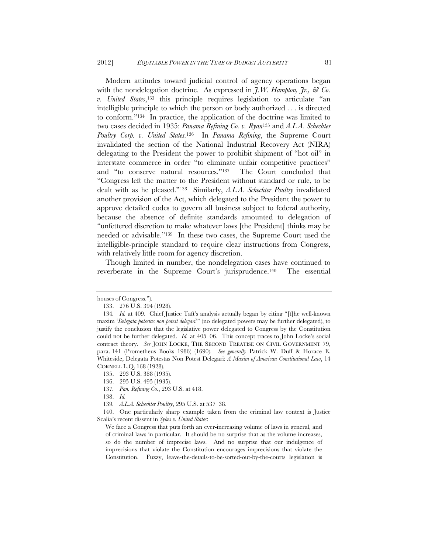Modern attitudes toward judicial control of agency operations began with the nondelegation doctrine. As expressed in  $\tilde{\tau}$ , W. Hampton,  $\tilde{\tau}$ ,  $\tilde{\sigma}$  Co. *v. United States*,133 this principle requires legislation to articulate "an intelligible principle to which the person or body authorized . . . is directed to conform."134 In practice, the application of the doctrine was limited to two cases decided in 1935: *Panama Refining Co. v. Ryan*135 and *A.L.A. Schechter Poultry Corp. v. United States.*136 In *Panama Refining*, the Supreme Court invalidated the section of the National Industrial Recovery Act (NIRA) delegating to the President the power to prohibit shipment of "hot oil" in interstate commerce in order "to eliminate unfair competitive practices" and "to conserve natural resources."137 The Court concluded that "Congress left the matter to the President without standard or rule, to be dealt with as he pleased."138 Similarly, *A.L.A. Schechter Poultry* invalidated another provision of the Act, which delegated to the President the power to approve detailed codes to govern all business subject to federal authority, because the absence of definite standards amounted to delegation of "unfettered discretion to make whatever laws [the President] thinks may be needed or advisable."139 In these two cases, the Supreme Court used the intelligible-principle standard to require clear instructions from Congress, with relatively little room for agency discretion.

Though limited in number, the nondelegation cases have continued to reverberate in the Supreme Court's jurisprudence.140 The essential

136. 295 U.S. 495 (1935).

139*. A.L.A. Schechter Poultry*, 295 U.S. at 537–38.

houses of Congress.").

<sup>133. 276</sup> U.S. 394 (1928).

<sup>134</sup>*. Id.* at 409. Chief Justice Taft's analysis actually began by citing "[t]he well-known maxim '*Delegata potestas non potest delegari*'" (no delegated powers may be further delegated), to justify the conclusion that the legislative power delegated to Congress by the Constitution could not be further delegated. *Id.* at 405–06. This concept traces to John Locke's social contract theory. *See* JOHN LOCKE, THE SECOND TREATISE ON CIVIL GOVERNMENT 79, para. 141 (Prometheus Books 1986) (1690). *See generally* Patrick W. Duff & Horace E. Whiteside, Delegata Potestas Non Potest Delegari: *A Maxim of American Constitutional Law*, 14 CORNELL L.Q. 168 (1928).

<sup>135. 293</sup> U.S. 388 (1935).

<sup>137</sup>*. Pan. Refining Co.*, 293 U.S. at 418.

 <sup>138.</sup> *Id.*

<sup>140.</sup> One particularly sharp example taken from the criminal law context is Justice Scalia's recent dissent in *Sykes v. United States*:

We face a Congress that puts forth an ever-increasing volume of laws in general, and of criminal laws in particular. It should be no surprise that as the volume increases, so do the number of imprecise laws. And no surprise that our indulgence of imprecisions that violate the Constitution encourages imprecisions that violate the Constitution. Fuzzy, leave-the-details-to-be-sorted-out-by-the-courts legislation is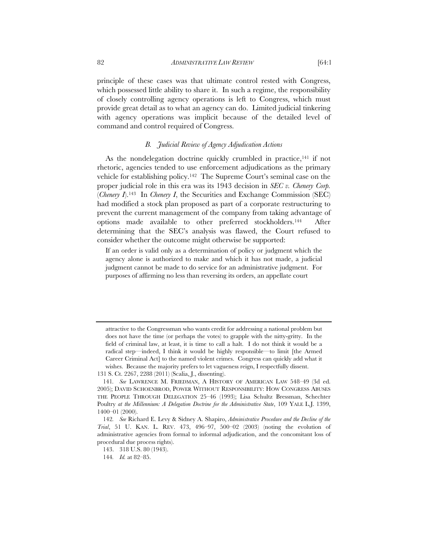principle of these cases was that ultimate control rested with Congress, which possessed little ability to share it. In such a regime, the responsibility of closely controlling agency operations is left to Congress, which must provide great detail as to what an agency can do. Limited judicial tinkering with agency operations was implicit because of the detailed level of command and control required of Congress.

### *B. Judicial Review of Agency Adjudication Actions*

As the nondelegation doctrine quickly crumbled in practice,<sup>141</sup> if not rhetoric, agencies tended to use enforcement adjudications as the primary vehicle for establishing policy.142 The Supreme Court's seminal case on the proper judicial role in this era was its 1943 decision in *SEC v. Chenery Corp.* (*Chenery I*).143 In *Chenery I*, the Securities and Exchange Commission (SEC) had modified a stock plan proposed as part of a corporate restructuring to prevent the current management of the company from taking advantage of options made available to other preferred stockholders.144 After determining that the SEC's analysis was flawed, the Court refused to consider whether the outcome might otherwise be supported:

If an order is valid only as a determination of policy or judgment which the agency alone is authorized to make and which it has not made, a judicial judgment cannot be made to do service for an administrative judgment. For purposes of affirming no less than reversing its orders, an appellate court

attractive to the Congressman who wants credit for addressing a national problem but does not have the time (or perhaps the votes) to grapple with the nitty-gritty. In the field of criminal law, at least, it is time to call a halt. I do not think it would be a radical step—indeed, I think it would be highly responsible—to limit [the Armed Career Criminal Act] to the named violent crimes. Congress can quickly add what it wishes. Because the majority prefers to let vagueness reign, I respectfully dissent.

<sup>131</sup> S. Ct. 2267, 2288 (2011) (Scalia, J., dissenting).

<sup>141</sup>*. See* LAWRENCE M. FRIEDMAN, A HISTORY OF AMERICAN LAW 548–49 (3d ed. 2005); DAVID SCHOENBROD, POWER WITHOUT RESPONSIBILITY: HOW CONGRESS ABUSES THE PEOPLE THROUGH DELEGATION 25–46 (1993); Lisa Schultz Bressman, Schechter Poultry *at the Millennium: A Delegation Doctrine for the Administrative State*, 109 YALE L.J. 1399, 1400–01 (2000).

<sup>142</sup>*. See* Richard E. Levy & Sidney A. Shapiro, *Administrative Procedure and the Decline of the Trial*, 51 U. KAN. L. REV. 473, 496–97, 500–02 (2003) (noting the evolution of administrative agencies from formal to informal adjudication, and the concomitant loss of procedural due process rights).

<sup>143. 318</sup> U.S. 80 (1943).

<sup>144</sup>*. Id.* at 82–85.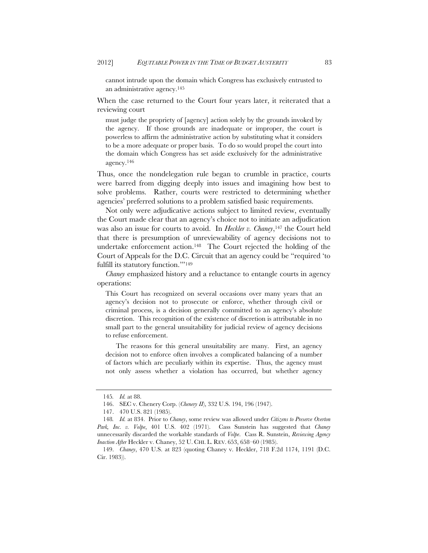cannot intrude upon the domain which Congress has exclusively entrusted to an administrative agency.145

When the case returned to the Court four years later, it reiterated that a reviewing court

must judge the propriety of [agency] action solely by the grounds invoked by the agency. If those grounds are inadequate or improper, the court is powerless to affirm the administrative action by substituting what it considers to be a more adequate or proper basis. To do so would propel the court into the domain which Congress has set aside exclusively for the administrative agency.146

Thus, once the nondelegation rule began to crumble in practice, courts were barred from digging deeply into issues and imagining how best to solve problems. Rather, courts were restricted to determining whether agencies' preferred solutions to a problem satisfied basic requirements.

Not only were adjudicative actions subject to limited review, eventually the Court made clear that an agency's choice not to initiate an adjudication was also an issue for courts to avoid. In *Heckler v. Chaney*,<sup>147</sup> the Court held that there is presumption of unreviewability of agency decisions not to undertake enforcement action.148 The Court rejected the holding of the Court of Appeals for the D.C. Circuit that an agency could be "required 'to fulfill its statutory function."<sup>149</sup>

*Chaney* emphasized history and a reluctance to entangle courts in agency operations:

This Court has recognized on several occasions over many years that an agency's decision not to prosecute or enforce, whether through civil or criminal process, is a decision generally committed to an agency's absolute discretion. This recognition of the existence of discretion is attributable in no small part to the general unsuitability for judicial review of agency decisions to refuse enforcement.

The reasons for this general unsuitability are many. First, an agency decision not to enforce often involves a complicated balancing of a number of factors which are peculiarly within its expertise. Thus, the agency must not only assess whether a violation has occurred, but whether agency

<sup>145</sup>*. Id.* at 88.

<sup>146.</sup> SEC v. Chenery Corp. (*Chenery II*), 332 U.S. 194, 196 (1947).

<sup>147. 470</sup> U.S. 821 (1985).

<sup>148</sup>*. Id.* at 834. Prior to *Chaney*, some review was allowed under *Citizens to Preserve Overton Park, Inc. v. Volpe*, 401 U.S. 402 (1971). Cass Sunstein has suggested that *Chaney* unnecessarily discarded the workable standards of *Volpe*. Cass R. Sunstein, *Reviewing Agency Inaction After* Heckler v. Chaney, 52 U. CHI. L. REV. 653, 658–60 (1985).

 <sup>149.</sup> *Chaney*, 470 U.S. at 823 (quoting Chaney v. Heckler, 718 F.2d 1174, 1191 (D.C. Cir. 1983)).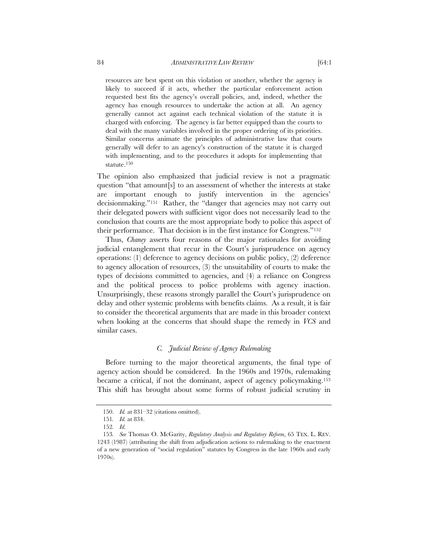resources are best spent on this violation or another, whether the agency is likely to succeed if it acts, whether the particular enforcement action requested best fits the agency's overall policies, and, indeed, whether the agency has enough resources to undertake the action at all. An agency generally cannot act against each technical violation of the statute it is charged with enforcing. The agency is far better equipped than the courts to deal with the many variables involved in the proper ordering of its priorities. Similar concerns animate the principles of administrative law that courts generally will defer to an agency's construction of the statute it is charged with implementing, and to the procedures it adopts for implementing that statute.150

The opinion also emphasized that judicial review is not a pragmatic question "that amount[s] to an assessment of whether the interests at stake are important enough to justify intervention in the agencies' decisionmaking."151 Rather, the "danger that agencies may not carry out their delegated powers with sufficient vigor does not necessarily lead to the conclusion that courts are the most appropriate body to police this aspect of their performance. That decision is in the first instance for Congress."152

Thus, *Chaney* asserts four reasons of the major rationales for avoiding judicial entanglement that recur in the Court's jurisprudence on agency operations: (1) deference to agency decisions on public policy, (2) deference to agency allocation of resources, (3) the unsuitability of courts to make the types of decisions committed to agencies, and (4) a reliance on Congress and the political process to police problems with agency inaction. Unsurprisingly, these reasons strongly parallel the Court's jurisprudence on delay and other systemic problems with benefits claims. As a result, it is fair to consider the theoretical arguments that are made in this broader context when looking at the concerns that should shape the remedy in *VCS* and similar cases.

## *C. Judicial Review of Agency Rulemaking*

Before turning to the major theoretical arguments, the final type of agency action should be considered. In the 1960s and 1970s, rulemaking became a critical, if not the dominant, aspect of agency policymaking.153 This shift has brought about some forms of robust judicial scrutiny in

 <sup>150.</sup> *Id.* at 831–32 (citations omitted).

<sup>151</sup>*. Id.* at 834.

<sup>152</sup>*. Id.*

<sup>153</sup>*. See* Thomas O. McGarity, *Regulatory Analysis and Regulatory Reform*, 65 TEX. L. REV. 1243 (1987) (attributing the shift from adjudication actions to rulemaking to the enactment of a new generation of "social regulation" statutes by Congress in the late 1960s and early 1970s).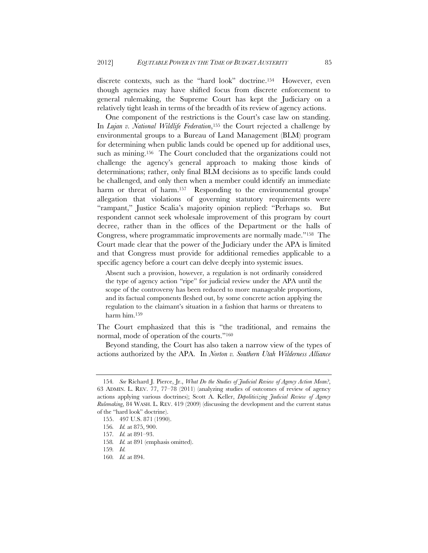discrete contexts, such as the "hard look" doctrine.<sup>154</sup> However, even though agencies may have shifted focus from discrete enforcement to general rulemaking, the Supreme Court has kept the Judiciary on a relatively tight leash in terms of the breadth of its review of agency actions.

One component of the restrictions is the Court's case law on standing. In *Lujan v. National Wildlife Federation*,155 the Court rejected a challenge by environmental groups to a Bureau of Land Management (BLM) program for determining when public lands could be opened up for additional uses, such as mining.<sup>156</sup> The Court concluded that the organizations could not challenge the agency's general approach to making those kinds of determinations; rather, only final BLM decisions as to specific lands could be challenged, and only then when a member could identify an immediate harm or threat of harm.<sup>157</sup> Responding to the environmental groups' allegation that violations of governing statutory requirements were "rampant," Justice Scalia's majority opinion replied: "Perhaps so. But respondent cannot seek wholesale improvement of this program by court decree, rather than in the offices of the Department or the halls of Congress, where programmatic improvements are normally made."158 The Court made clear that the power of the Judiciary under the APA is limited and that Congress must provide for additional remedies applicable to a specific agency before a court can delve deeply into systemic issues.

Absent such a provision, however, a regulation is not ordinarily considered the type of agency action "ripe" for judicial review under the APA until the scope of the controversy has been reduced to more manageable proportions, and its factual components fleshed out, by some concrete action applying the regulation to the claimant's situation in a fashion that harms or threatens to harm him.159

The Court emphasized that this is "the traditional, and remains the normal, mode of operation of the courts."160

Beyond standing, the Court has also taken a narrow view of the types of actions authorized by the APA. In *Norton v. Southern Utah Wilderness Alliance*

<sup>154</sup>*. See* Richard J. Pierce, Jr., *What Do the Studies of Judicial Review of Agency Action Mean?*, 63 ADMIN. L. REV. 77, 77–78 (2011) (analyzing studies of outcomes of review of agency actions applying various doctrines); Scott A. Keller, *Depoliticizing Judicial Review of Agency Rulemaking*, 84 WASH. L. REV. 419 (2009) (discussing the development and the current status of the "hard look" doctrine).

<sup>155. 497</sup> U.S. 871 (1990).

<sup>156</sup>*. Id.* at 875, 900.

<sup>157</sup>*. Id.* at 891–93.

<sup>158</sup>*. Id.* at 891 (emphasis omitted).

<sup>159</sup>*. Id.*

<sup>160</sup>*. Id.* at 894.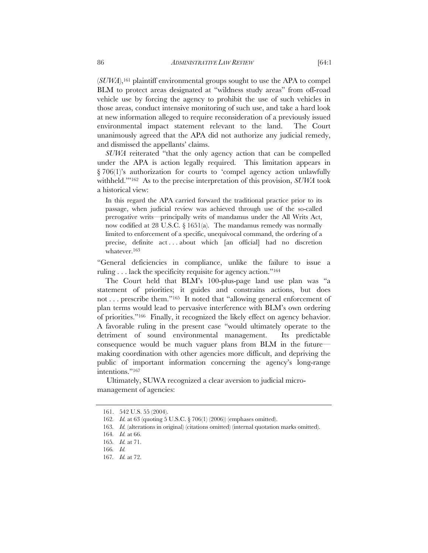(*SUWA*),161 plaintiff environmental groups sought to use the APA to compel BLM to protect areas designated at "wildness study areas" from off-road vehicle use by forcing the agency to prohibit the use of such vehicles in those areas, conduct intensive monitoring of such use, and take a hard look at new information alleged to require reconsideration of a previously issued environmental impact statement relevant to the land. The Court unanimously agreed that the APA did not authorize any judicial remedy, and dismissed the appellants' claims.

*SUWA* reiterated "that the only agency action that can be compelled under the APA is action legally required. This limitation appears in § 706(1)'s authorization for courts to 'compel agency action unlawfully withheld.'"162 As to the precise interpretation of this provision, *SUWA* took a historical view:

In this regard the APA carried forward the traditional practice prior to its passage, when judicial review was achieved through use of the so-called prerogative writs—principally writs of mandamus under the All Writs Act, now codified at 28 U.S.C. § 1651(a). The mandamus remedy was normally limited to enforcement of a specific, unequivocal command, the ordering of a precise, definite act . . . about which [an official] had no discretion whatever.163

"General deficiencies in compliance, unlike the failure to issue a ruling . . . lack the specificity requisite for agency action."164

The Court held that BLM's 100-plus-page land use plan was "a statement of priorities; it guides and constrains actions, but does not . . . prescribe them."165 It noted that "allowing general enforcement of plan terms would lead to pervasive interference with BLM's own ordering of priorities."166 Finally, it recognized the likely effect on agency behavior. A favorable ruling in the present case "would ultimately operate to the detriment of sound environmental management. Its predictable consequence would be much vaguer plans from BLM in the future making coordination with other agencies more difficult, and depriving the public of important information concerning the agency's long-range intentions."167

Ultimately, SUWA recognized a clear aversion to judicial micromanagement of agencies:

<sup>161. 542</sup> U.S. 55 (2004).

<sup>162</sup>*. Id.* at 63 (quoting 5 U.S.C. § 706(1) (2006)) (emphases omitted).

<sup>163</sup>*. Id.* (alterations in original) (citations omitted) (internal quotation marks omitted).

<sup>164</sup>*. Id.* at 66.

<sup>165</sup>*. Id.* at 71.

<sup>166</sup>*. Id.*

<sup>167</sup>*. Id.* at 72.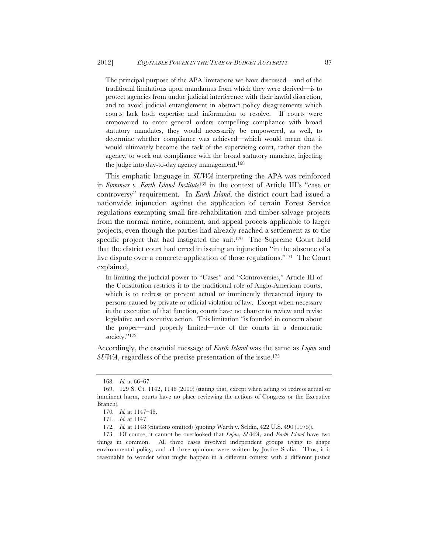The principal purpose of the APA limitations we have discussed—and of the traditional limitations upon mandamus from which they were derived—is to protect agencies from undue judicial interference with their lawful discretion, and to avoid judicial entanglement in abstract policy disagreements which courts lack both expertise and information to resolve. If courts were empowered to enter general orders compelling compliance with broad statutory mandates, they would necessarily be empowered, as well, to determine whether compliance was achieved—which would mean that it would ultimately become the task of the supervising court, rather than the agency, to work out compliance with the broad statutory mandate, injecting the judge into day-to-day agency management.<sup>168</sup>

This emphatic language in *SUWA* interpreting the APA was reinforced in *Summers v. Earth Island Institute*169 in the context of Article III's "case or controversy" requirement. In *Earth Island*, the district court had issued a nationwide injunction against the application of certain Forest Service regulations exempting small fire-rehabilitation and timber-salvage projects from the normal notice, comment, and appeal process applicable to larger projects, even though the parties had already reached a settlement as to the specific project that had instigated the suit.170 The Supreme Court held that the district court had erred in issuing an injunction "in the absence of a live dispute over a concrete application of those regulations."171 The Court explained,

In limiting the judicial power to "Cases" and "Controversies," Article III of the Constitution restricts it to the traditional role of Anglo-American courts, which is to redress or prevent actual or imminently threatened injury to persons caused by private or official violation of law. Except when necessary in the execution of that function, courts have no charter to review and revise legislative and executive action. This limitation "is founded in concern about the proper—and properly limited—role of the courts in a democratic society."<sup>172</sup>

Accordingly, the essential message of *Earth Island* was the same as *Lujan* and *SUWA*, regardless of the precise presentation of the issue.173

<sup>168</sup>*. Id.* at 66–67.

<sup>169. 129</sup> S. Ct. 1142, 1148 (2009) (stating that, except when acting to redress actual or imminent harm, courts have no place reviewing the actions of Congress or the Executive Branch).

<sup>170</sup>*. Id.* at 1147–48.

<sup>171</sup>*. Id.* at 1147.

<sup>172</sup>*. Id.* at 1148 (citations omitted) (quoting Warth v. Seldin, 422 U.S. 490 (1975)).

<sup>173.</sup> Of course, it cannot be overlooked that *Lujan*, *SUWA*, and *Earth Island* have two things in common. All three cases involved independent groups trying to shape environmental policy, and all three opinions were written by Justice Scalia. Thus, it is reasonable to wonder what might happen in a different context with a different justice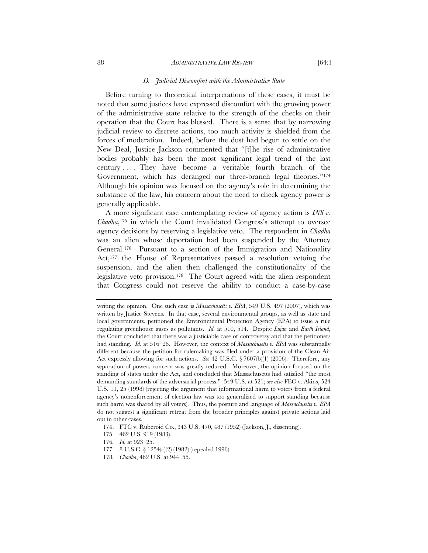#### 88 *ADMINISTRATIVE LAW REVIEW* [64:1]

#### *D. Judicial Discomfort with the Administrative State*

Before turning to theoretical interpretations of these cases, it must be noted that some justices have expressed discomfort with the growing power of the administrative state relative to the strength of the checks on their operation that the Court has blessed. There is a sense that by narrowing judicial review to discrete actions, too much activity is shielded from the forces of moderation. Indeed, before the dust had begun to settle on the New Deal, Justice Jackson commented that "[t]he rise of administrative bodies probably has been the most significant legal trend of the last century . . . . They have become a veritable fourth branch of the Government, which has deranged our three-branch legal theories."<sup>174</sup> Although his opinion was focused on the agency's role in determining the substance of the law, his concern about the need to check agency power is generally applicable.

A more significant case contemplating review of agency action is *INS v. Chadha*,175 in which the Court invalidated Congress's attempt to oversee agency decisions by reserving a legislative veto. The respondent in *Chadha* was an alien whose deportation had been suspended by the Attorney General.176 Pursuant to a section of the Immigration and Nationality Act,<sup>177</sup> the House of Representatives passed a resolution vetoing the suspension, and the alien then challenged the constitutionality of the legislative veto provision.178 The Court agreed with the alien respondent that Congress could not reserve the ability to conduct a case-by-case

writing the opinion. One such case is *Massachusetts v. EPA*, 549 U.S. 497 (2007), which was written by Justice Stevens. In that case, several environmental groups, as well as state and local governments, petitioned the Environmental Protection Agency (EPA) to issue a rule regulating greenhouse gases as pollutants. *Id.* at 510, 514. Despite *Lujan* and *Earth Island*, the Court concluded that there was a justiciable case or controversy and that the petitioners had standing. *Id.* at 516–26. However, the context of *Massachusetts v. EPA* was substantially different because the petition for rulemaking was filed under a provision of the Clean Air Act expressly allowing for such actions. *See* 42 U.S.C. § 7607(b)(1) (2006). Therefore, any separation of powers concern was greatly reduced. Moreover, the opinion focused on the standing of states under the Act, and concluded that Massachusetts had satisfied "the most demanding standards of the adversarial process." 549 U.S. at 521; s*ee also* FEC v. Akins, 524 U.S. 11, 25 (1998) (rejecting the argument that informational harm to voters from a federal agency's nonenforcement of election law was too generalized to support standing because such harm was shared by all voters). Thus, the posture and language of *Massachusetts v. EPA* do not suggest a significant retreat from the broader principles against private actions laid out in other cases.

<sup>174.</sup> FTC v. Ruberoid Co., 343 U.S. 470, 487 (1952) (Jackson, J., dissenting).

<sup>175. 462</sup> U.S. 919 (1983).

<sup>176</sup>*. Id.* at 923–25.

<sup>177. 8</sup> U.S.C. § 1254(c)(2) (1982) (repealed 1996).

<sup>178</sup>*. Chadha*, 462 U.S. at 944–55.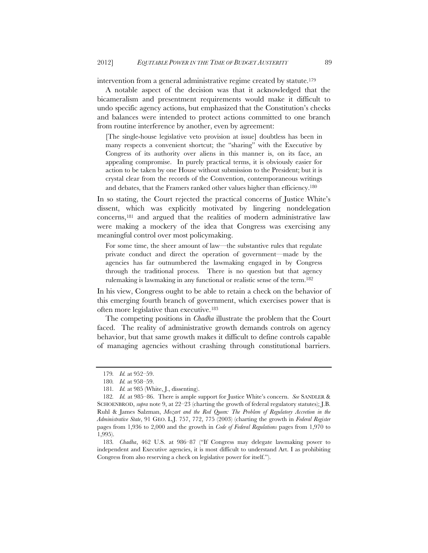intervention from a general administrative regime created by statute.179

A notable aspect of the decision was that it acknowledged that the bicameralism and presentment requirements would make it difficult to undo specific agency actions, but emphasized that the Constitution's checks and balances were intended to protect actions committed to one branch from routine interference by another, even by agreement:

[The single-house legislative veto provision at issue] doubtless has been in many respects a convenient shortcut; the "sharing" with the Executive by Congress of its authority over aliens in this manner is, on its face, an appealing compromise. In purely practical terms, it is obviously easier for action to be taken by one House without submission to the President; but it is crystal clear from the records of the Convention, contemporaneous writings and debates, that the Framers ranked other values higher than efficiency.180

In so stating, the Court rejected the practical concerns of Justice White's dissent, which was explicitly motivated by lingering nondelegation concerns,181 and argued that the realities of modern administrative law were making a mockery of the idea that Congress was exercising any meaningful control over most policymaking.

For some time, the sheer amount of law—the substantive rules that regulate private conduct and direct the operation of government—made by the agencies has far outnumbered the lawmaking engaged in by Congress through the traditional process. There is no question but that agency rulemaking is lawmaking in any functional or realistic sense of the term.182

In his view, Congress ought to be able to retain a check on the behavior of this emerging fourth branch of government, which exercises power that is often more legislative than executive.183

The competing positions in *Chadha* illustrate the problem that the Court faced. The reality of administrative growth demands controls on agency behavior, but that same growth makes it difficult to define controls capable of managing agencies without crashing through constitutional barriers.

<sup>179</sup>*. Id.* at 952–59.

<sup>180</sup>*. Id.* at 958–59.

<sup>181</sup>*. Id.* at 985 (White, J., dissenting).

<sup>182</sup>*. Id.* at 985–86. There is ample support for Justice White's concern. *See* SANDLER & SCHOENBROD, *supra* note 9, at 22–23 (charting the growth of federal regulatory statutes); J.B. Ruhl & James Salzman, *Mozart and the Red Queen: The Problem of Regulatory Accretion in the Administrative State*, 91 GEO. L.J. 757, 772, 775 (2003) (charting the growth in *Federal Register* pages from 1,936 to 2,000 and the growth in *Code of Federal Regulations* pages from 1,970 to 1,995).

<sup>183</sup>*. Chadha*, 462 U.S. at 986–87 ("If Congress may delegate lawmaking power to independent and Executive agencies, it is most difficult to understand Art. I as prohibiting Congress from also reserving a check on legislative power for itself.").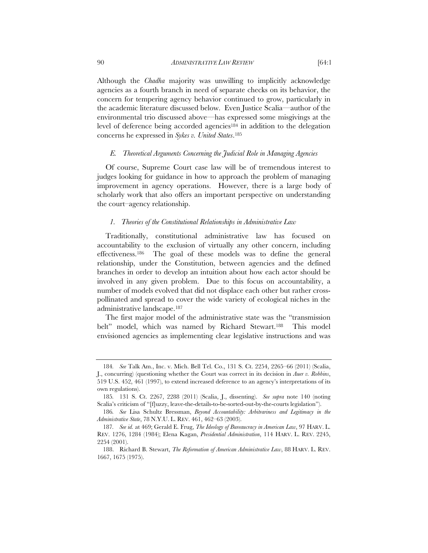Although the *Chadha* majority was unwilling to implicitly acknowledge agencies as a fourth branch in need of separate checks on its behavior, the concern for tempering agency behavior continued to grow, particularly in the academic literature discussed below. Even Justice Scalia—author of the environmental trio discussed above—has expressed some misgivings at the level of deference being accorded agencies184 in addition to the delegation concerns he expressed in *Sykes v. United States*.185

#### *E. Theoretical Arguments Concerning the Judicial Role in Managing Agencies*

Of course, Supreme Court case law will be of tremendous interest to judges looking for guidance in how to approach the problem of managing improvement in agency operations. However, there is a large body of scholarly work that also offers an important perspective on understanding the court–agency relationship.

#### *1. Theories of the Constitutional Relationships in Administrative Law*

Traditionally, constitutional administrative law has focused on accountability to the exclusion of virtually any other concern, including effectiveness.186 The goal of these models was to define the general relationship, under the Constitution, between agencies and the defined branches in order to develop an intuition about how each actor should be involved in any given problem. Due to this focus on accountability, a number of models evolved that did not displace each other but rather crosspollinated and spread to cover the wide variety of ecological niches in the administrative landscape.187

The first major model of the administrative state was the "transmission belt" model, which was named by Richard Stewart.<sup>188</sup> This model envisioned agencies as implementing clear legislative instructions and was

<sup>184</sup>*. See* Talk Am., Inc. v. Mich. Bell Tel. Co., 131 S. Ct. 2254, 2265–66 (2011) (Scalia, J., concurring) (questioning whether the Court was correct in its decision in *Auer v. Robbins*, 519 U.S. 452, 461 (1997), to extend increased deference to an agency's interpretations of its own regulations).

<sup>185</sup>*.* 131 S. Ct. 2267, 2288 (2011) (Scalia, J., dissenting). *See supra* note 140 (noting Scalia's criticism of "[f]uzzy, leave-the-details-to-be-sorted-out-by-the-courts legislation").

<sup>186</sup>*. See* Lisa Schultz Bressman, *Beyond Accountability: Arbitrariness and Legitimacy in the Administrative State*, 78 N.Y.U. L. REV. 461, 462–63 (2003).

<sup>187</sup>*. See id.* at 469; Gerald E. Frug, *The Ideology of Bureaucracy in American Law*, 97 HARV. L. REV. 1276, 1284 (1984); Elena Kagan, *Presidential Administration*, 114 HARV. L. REV. 2245, 2254 (2001).

 <sup>188.</sup> Richard B. Stewart, *The Reformation of American Administrative Law*, 88 HARV. L. REV. 1667, 1675 (1975).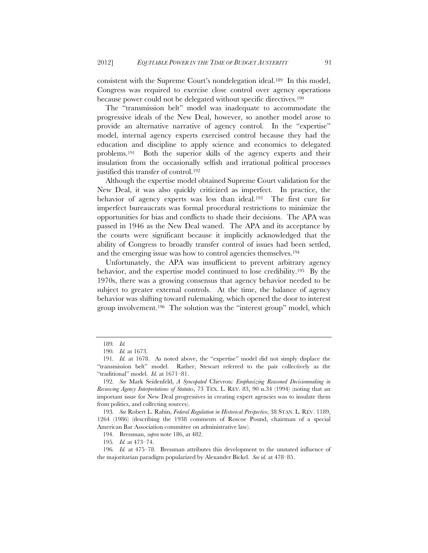consistent with the Supreme Court's nondelegation ideal.189 In this model, Congress was required to exercise close control over agency operations because power could not be delegated without specific directives.190

The "transmission belt" model was inadequate to accommodate the progressive ideals of the New Deal, however, so another model arose to provide an alternative narrative of agency control. In the "expertise" model, internal agency experts exercised control because they had the education and discipline to apply science and economics to delegated problems.191 Both the superior skills of the agency experts and their insulation from the occasionally selfish and irrational political processes justified this transfer of control.192

Although the expertise model obtained Supreme Court validation for the New Deal, it was also quickly criticized as imperfect. In practice, the behavior of agency experts was less than ideal.193 The first cure for imperfect bureaucrats was formal procedural restrictions to minimize the opportunities for bias and conflicts to shade their decisions. The APA was passed in 1946 as the New Deal waned. The APA and its acceptance by the courts were significant because it implicitly acknowledged that the ability of Congress to broadly transfer control of issues had been settled, and the emerging issue was how to control agencies themselves.194

Unfortunately, the APA was insufficient to prevent arbitrary agency behavior, and the expertise model continued to lose credibility.195 By the 1970s, there was a growing consensus that agency behavior needed to be subject to greater external controls. At the time, the balance of agency behavior was shifting toward rulemaking, which opened the door to interest group involvement.196 The solution was the "interest group" model, which

<sup>189</sup>*. Id.*

<sup>190</sup>*. Id.* at 1673.

<sup>191</sup>*. Id.* at 1678. As noted above, the "expertise" model did not simply displace the "transmission belt" model. Rather, Stewart referred to the pair collectively as the "traditional" model. *Id.* at 1671–81.

<sup>192</sup>*. See* Mark Seidenfeld, *A Syncopated* Chevron*: Emphasizing Reasoned Decisionmaking in Reviewing Agency Interpretations of Statutes*, 73 TEX. L. REV. 83, 90 n.34 (1994) (noting that an important issue for New Deal progressives in creating expert agencies was to insulate them from politics, and collecting sources).

<sup>193</sup>*. See* Robert L. Rabin, *Federal Regulation in Historical Perspective*, 38 STAN. L. REV. 1189, 1264 (1986) (describing the 1938 comments of Roscoe Pound, chairman of a special American Bar Association committee on administrative law).

 <sup>194.</sup> Bressman, *supra* note 186, at 482.

<sup>195</sup>*. Id.* at 473–74.

<sup>196</sup>*. Id.* at 475–78. Bressman attributes this development to the unstated influence of the majoritarian paradigm popularized by Alexander Bickel. *See id.* at 478–85.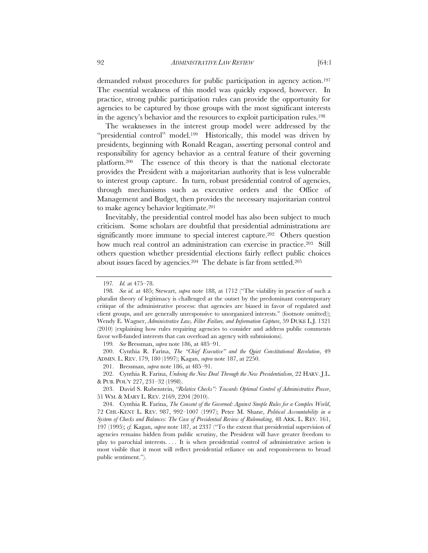demanded robust procedures for public participation in agency action.197 The essential weakness of this model was quickly exposed, however. In practice, strong public participation rules can provide the opportunity for agencies to be captured by those groups with the most significant interests in the agency's behavior and the resources to exploit participation rules.198

The weaknesses in the interest group model were addressed by the "presidential control" model.<sup>199</sup> Historically, this model was driven by presidents, beginning with Ronald Reagan, asserting personal control and responsibility for agency behavior as a central feature of their governing platform.200 The essence of this theory is that the national electorate provides the President with a majoritarian authority that is less vulnerable to interest group capture. In turn, robust presidential control of agencies, through mechanisms such as executive orders and the Office of Management and Budget, then provides the necessary majoritarian control to make agency behavior legitimate.201

Inevitably, the presidential control model has also been subject to much criticism. Some scholars are doubtful that presidential administrations are significantly more immune to special interest capture.<sup>202</sup> Others question how much real control an administration can exercise in practice.<sup>203</sup> Still others question whether presidential elections fairly reflect public choices about issues faced by agencies.204 The debate is far from settled.205

199*. See* Bressman, *supra* note 186, at 485–91.

200. Cynthia R. Farina, *The "Chief Executive" and the Quiet Constitutional Revolution*, 49 ADMIN. L. REV. 179, 180 (1997); Kagan, *supra* note 187, at 2250.

201. Bressman, *supra* note 186, at 485–91.

 202. Cynthia R. Farina, *Undoing the New Deal Through the New Presidentialism*, 22 HARV. J.L. & PUB. POL'Y 227, 231–32 (1998).

203. David S. Rubenstein, *"Relative Checks": Towards Optimal Control of Administrative Power*, 51 WM. & MARY L. REV. 2169, 2204 (2010).

<sup>197</sup>*. Id.* at 475–78.

<sup>198</sup>*. See id.* at 485; Stewart, *supra* note 188, at 1712 ("The viability in practice of such a pluralist theory of legitimacy is challenged at the outset by the predominant contemporary critique of the administrative process: that agencies are biased in favor of regulated and client groups, and are generally unresponsive to unorganized interests." (footnote omitted)); Wendy E. Wagner, *Administrative Law, Filter Failure, and Information Capture*, 59 DUKE L.J. 1321 (2010) (explaining how rules requiring agencies to consider and address public comments favor well-funded interests that can overload an agency with submissions).

 <sup>204.</sup> Cynthia R. Farina, *The Consent of the Governed: Against Simple Rules for a Complex World*, 72 CHI.-KENT L. REV. 987, 992–1007 (1997); Peter M. Shane, *Political Accountability in a System of Checks and Balances: The Case of Presidential Review of Rulemaking*, 48 ARK. L. REV. 161, 197 (1995); *cf.* Kagan, *supra* note 187, at 2337 ("To the extent that presidential supervision of agencies remains hidden from public scrutiny, the President will have greater freedom to play to parochial interests. . . . It is when presidential control of administrative action is most visible that it most will reflect presidential reliance on and responsiveness to broad public sentiment.").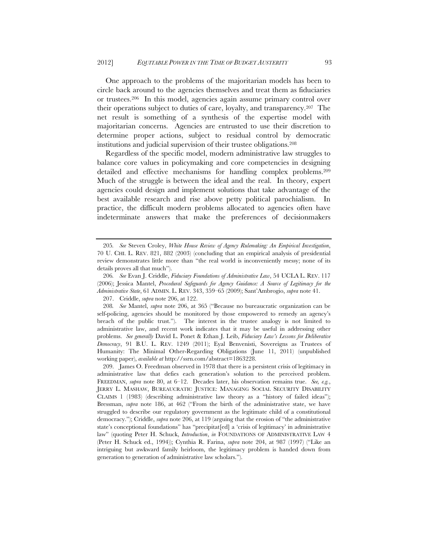One approach to the problems of the majoritarian models has been to circle back around to the agencies themselves and treat them as fiduciaries or trustees.206 In this model, agencies again assume primary control over their operations subject to duties of care, loyalty, and transparency.207 The net result is something of a synthesis of the expertise model with majoritarian concerns. Agencies are entrusted to use their discretion to determine proper actions, subject to residual control by democratic institutions and judicial supervision of their trustee obligations.208

Regardless of the specific model, modern administrative law struggles to balance core values in policymaking and core competencies in designing detailed and effective mechanisms for handling complex problems.209 Much of the struggle is between the ideal and the real. In theory, expert agencies could design and implement solutions that take advantage of the best available research and rise above petty political parochialism. In practice, the difficult modern problems allocated to agencies often have indeterminate answers that make the preferences of decisionmakers

207. Criddle, *supra* note 206, at 122.

<sup>205</sup>*. See* Steven Croley, *White House Review of Agency Rulemaking: An Empirical Investigation*, 70 U. CHI. L. REV. 821, 882 (2003) (concluding that an empirical analysis of presidential review demonstrates little more than "the real world is inconveniently messy; none of its details proves all that much").

<sup>206</sup>*. See* Evan J. Criddle, *Fiduciary Foundations of Administrative Law*, 54 UCLA L. REV. 117 (2006); Jessica Mantel, *Procedural Safeguards for Agency Guidance: A Source of Legitimacy for the Administrative State*, 61 ADMIN. L. REV. 343, 359–65 (2009); Sant'Ambrogio, *supra* note 41.

<sup>208</sup>*. See* Mantel, *supra* note 206, at 365 ("Because no bureaucratic organization can be self-policing, agencies should be monitored by those empowered to remedy an agency's breach of the public trust."). The interest in the trustee analogy is not limited to administrative law, and recent work indicates that it may be useful in addressing other problems. *See generally* David L. Ponet & Ethan J. Leib, *Fiduciary Law's Lessons for Deliberative Democracy*, 91 B.U. L. REV. 1249 (2011); Eyal Benvenisti, Sovereigns as Trustees of Humanity: The Minimal Other-Regarding Obligations (June 11, 2011) (unpublished working paper), *available at* http://ssrn.com/abstract=1863228.

<sup>209.</sup> James O. Freedman observed in 1978 that there is a persistent crisis of legitimacy in administrative law that defies each generation's solution to the perceived problem. FREEDMAN, *supra* note 80, at 6–12. Decades later, his observation remains true. *See, e.g.*, JERRY L. MASHAW, BUREAUCRATIC JUSTICE: MANAGING SOCIAL SECURITY DISABILITY CLAIMS 1 (1983) (describing administrative law theory as a "history of failed ideas"); Bressman, *supra* note 186, at 462 ("From the birth of the administrative state, we have struggled to describe our regulatory government as the legitimate child of a constitutional democracy."); Criddle, *supra* note 206, at 119 (arguing that the erosion of "the administrative state's conceptional foundations" has "precipitat[ed] a 'crisis of legitimacy' in administrative law" (quoting Peter H. Schuck, *Introduction*, *in* FOUNDATIONS OF ADMINISTRATIVE LAW 4 (Peter H. Schuck ed., 1994)); Cynthia R. Farina, *supra* note 204, at 987 (1997) ("Like an intriguing but awkward family heirloom, the legitimacy problem is handed down from generation to generation of administrative law scholars.").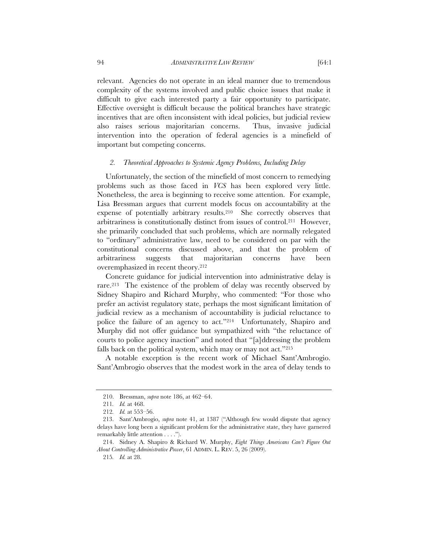relevant. Agencies do not operate in an ideal manner due to tremendous complexity of the systems involved and public choice issues that make it difficult to give each interested party a fair opportunity to participate. Effective oversight is difficult because the political branches have strategic incentives that are often inconsistent with ideal policies, but judicial review also raises serious majoritarian concerns. Thus, invasive judicial intervention into the operation of federal agencies is a minefield of

### *2. Theoretical Approaches to Systemic Agency Problems, Including Delay*

Unfortunately, the section of the minefield of most concern to remedying problems such as those faced in *VCS* has been explored very little. Nonetheless, the area is beginning to receive some attention. For example, Lisa Bressman argues that current models focus on accountability at the expense of potentially arbitrary results.210 She correctly observes that arbitrariness is constitutionally distinct from issues of control.211 However, she primarily concluded that such problems, which are normally relegated to "ordinary" administrative law, need to be considered on par with the constitutional concerns discussed above, and that the problem of arbitrariness suggests that majoritarian concerns have been overemphasized in recent theory.212

Concrete guidance for judicial intervention into administrative delay is rare.213 The existence of the problem of delay was recently observed by Sidney Shapiro and Richard Murphy, who commented: "For those who prefer an activist regulatory state, perhaps the most significant limitation of judicial review as a mechanism of accountability is judicial reluctance to police the failure of an agency to act."214 Unfortunately, Shapiro and Murphy did not offer guidance but sympathized with "the reluctance of courts to police agency inaction" and noted that "[a]ddressing the problem falls back on the political system, which may or may not act."215

A notable exception is the recent work of Michael Sant'Ambrogio. Sant'Ambrogio observes that the modest work in the area of delay tends to

important but competing concerns.

 <sup>210.</sup> Bressman, *supra* note 186, at 462–64.

<sup>211</sup>*. Id.* at 468.

<sup>212</sup>*. Id.* at 553–56.

 <sup>213.</sup> Sant'Ambrogio, *supra* note 41, at 1387 ("Although few would dispute that agency delays have long been a significant problem for the administrative state, they have garnered remarkably little attention . . . .").

 <sup>214.</sup> Sidney A. Shapiro & Richard W. Murphy, *Eight Things Americans Can't Figure Out About Controlling Administrative Power*, 61 ADMIN. L. REV. 5, 26 (2009).

<sup>215</sup>*. Id.* at 28.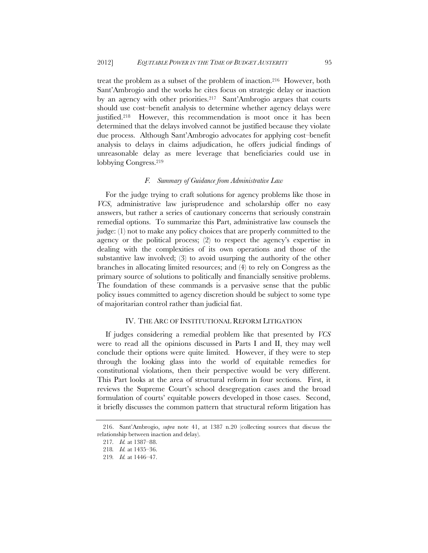treat the problem as a subset of the problem of inaction.216 However, both Sant'Ambrogio and the works he cites focus on strategic delay or inaction by an agency with other priorities.<sup>217</sup> Sant'Ambrogio argues that courts should use cost–benefit analysis to determine whether agency delays were justified.218 However, this recommendation is moot once it has been determined that the delays involved cannot be justified because they violate due process. Although Sant'Ambrogio advocates for applying cost–benefit analysis to delays in claims adjudication, he offers judicial findings of unreasonable delay as mere leverage that beneficiaries could use in lobbying Congress.219

## *F. Summary of Guidance from Administrative Law*

For the judge trying to craft solutions for agency problems like those in *VCS*, administrative law jurisprudence and scholarship offer no easy answers, but rather a series of cautionary concerns that seriously constrain remedial options. To summarize this Part, administrative law counsels the judge: (1) not to make any policy choices that are properly committed to the agency or the political process; (2) to respect the agency's expertise in dealing with the complexities of its own operations and those of the substantive law involved; (3) to avoid usurping the authority of the other branches in allocating limited resources; and (4) to rely on Congress as the primary source of solutions to politically and financially sensitive problems. The foundation of these commands is a pervasive sense that the public policy issues committed to agency discretion should be subject to some type of majoritarian control rather than judicial fiat.

### IV. THE ARC OF INSTITUTIONAL REFORM LITIGATION

If judges considering a remedial problem like that presented by *VCS* were to read all the opinions discussed in Parts I and II, they may well conclude their options were quite limited. However, if they were to step through the looking glass into the world of equitable remedies for constitutional violations, then their perspective would be very different. This Part looks at the area of structural reform in four sections. First, it reviews the Supreme Court's school desegregation cases and the broad formulation of courts' equitable powers developed in those cases. Second, it briefly discusses the common pattern that structural reform litigation has

 <sup>216.</sup> Sant'Ambrogio, *supra* note 41, at 1387 n.20 (collecting sources that discuss the relationship between inaction and delay).

<sup>217</sup>*. Id.* at 1387–88.

<sup>218</sup>*. Id.* at 1435–36.

<sup>219</sup>*. Id.* at 1446–47.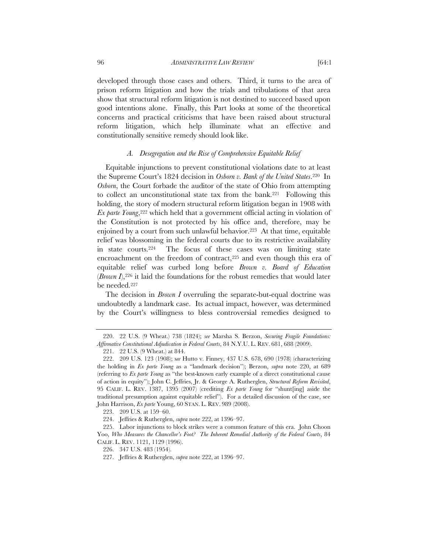developed through those cases and others. Third, it turns to the area of prison reform litigation and how the trials and tribulations of that area show that structural reform litigation is not destined to succeed based upon good intentions alone. Finally, this Part looks at some of the theoretical concerns and practical criticisms that have been raised about structural reform litigation, which help illuminate what an effective and constitutionally sensitive remedy should look like.

# *A. Desegregation and the Rise of Comprehensive Equitable Relief*

Equitable injunctions to prevent constitutional violations date to at least the Supreme Court's 1824 decision in *Osborn v. Bank of the United States*.220 In *Osborn*, the Court forbade the auditor of the state of Ohio from attempting to collect an unconstitutional state tax from the bank.221 Following this holding, the story of modern structural reform litigation began in 1908 with *Ex parte Young*,<sup>222</sup> which held that a government official acting in violation of the Constitution is not protected by his office and, therefore, may be enjoined by a court from such unlawful behavior.223 At that time, equitable relief was blossoming in the federal courts due to its restrictive availability in state courts.224 The focus of these cases was on limiting state encroachment on the freedom of contract,<sup>225</sup> and even though this era of equitable relief was curbed long before *Brown v. Board of Education* (*Brown I*),226 it laid the foundations for the robust remedies that would later be needed.227

The decision in *Brown I* overruling the separate-but-equal doctrine was undoubtedly a landmark case. Its actual impact, however, was determined by the Court's willingness to bless controversial remedies designed to

 <sup>220. 22</sup> U.S. (9 Wheat.) 738 (1824); *see* Marsha S. Berzon, *Securing Fragile Foundations: Affirmative Constitutional Adjudication in Federal Courts*, 84 N.Y.U. L. REV. 681, 688 (2009).

<sup>221. 22</sup> U.S. (9 Wheat.) at 844.

 <sup>222. 209</sup> U.S. 123 (1908); s*ee* Hutto v. Finney, 437 U.S. 678, 690 (1978) (characterizing the holding in *Ex parte Young* as a "landmark decision"); Berzon, *supra* note 220, at 689 (referring to *Ex parte Young* as "the best-known early example of a direct constitutional cause of action in equity"); John C. Jeffries, Jr. & George A. Rutherglen, *Structural Reform Revisited*, 95 CALIF. L. REV. 1387, 1395 (2007) (crediting *Ex parte Young* for "shunt[ing] aside the traditional presumption against equitable relief"). For a detailed discussion of the case, see John Harrison, *Ex parte* Young, 60 STAN. L. REV. 989 (2008).

<sup>223. 209</sup> U.S. at 159–60.

<sup>224.</sup> Jeffries & Rutherglen, *supra* note 222, at 1396–97.

<sup>225.</sup> Labor injunctions to block strikes were a common feature of this era. John Choon Yoo, *Who Measures the Chancellor's Foot? The Inherent Remedial Authority of the Federal Courts*, 84 CALIF. L. REV. 1121, 1129 (1996).

<sup>226. 347</sup> U.S. 483 (1954).

<sup>227.</sup> Jeffries & Rutherglen, *supra* note 222, at 1396–97.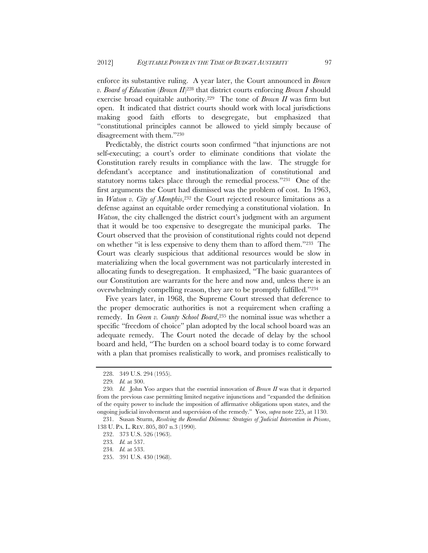enforce its substantive ruling. A year later, the Court announced in *Brown v. Board of Education* (*Brown II*)228 that district courts enforcing *Brown I* should exercise broad equitable authority.229 The tone of *Brown II* was firm but open. It indicated that district courts should work with local jurisdictions making good faith efforts to desegregate, but emphasized that "constitutional principles cannot be allowed to yield simply because of disagreement with them."230

Predictably, the district courts soon confirmed "that injunctions are not self-executing; a court's order to eliminate conditions that violate the Constitution rarely results in compliance with the law. The struggle for defendant's acceptance and institutionalization of constitutional and statutory norms takes place through the remedial process."231 One of the first arguments the Court had dismissed was the problem of cost. In 1963, in *Watson v. City of Memphis*,232 the Court rejected resource limitations as a defense against an equitable order remedying a constitutional violation. In *Watson*, the city challenged the district court's judgment with an argument that it would be too expensive to desegregate the municipal parks. The Court observed that the provision of constitutional rights could not depend on whether "it is less expensive to deny them than to afford them."233 The Court was clearly suspicious that additional resources would be slow in materializing when the local government was not particularly interested in allocating funds to desegregation. It emphasized, "The basic guarantees of our Constitution are warrants for the here and now and, unless there is an overwhelmingly compelling reason, they are to be promptly fulfilled."234

Five years later, in 1968, the Supreme Court stressed that deference to the proper democratic authorities is not a requirement when crafting a remedy. In *Green v. County School Board*,<sup>235</sup> the nominal issue was whether a specific "freedom of choice" plan adopted by the local school board was an adequate remedy. The Court noted the decade of delay by the school board and held, "The burden on a school board today is to come forward with a plan that promises realistically to work, and promises realistically to

<sup>228. 349</sup> U.S. 294 (1955).

<sup>229</sup>*. Id.* at 300.

<sup>230</sup>*. Id.* John Yoo argues that the essential innovation of *Brown II* was that it departed from the previous case permitting limited negative injunctions and "expanded the definition of the equity power to include the imposition of affirmative obligations upon states, and the ongoing judicial involvement and supervision of the remedy." Yoo, *supra* note 225, at 1130.

 <sup>231.</sup> Susan Sturm, *Resolving the Remedial Dilemma: Strategies of Judicial Intervention in Prisons*, 138 U. PA. L. REV. 805, 807 n.3 (1990).

<sup>232. 373</sup> U.S. 526 (1963).

<sup>233</sup>*. Id.* at 537.

<sup>234</sup>*. Id.* at 533.

<sup>235. 391</sup> U.S. 430 (1968).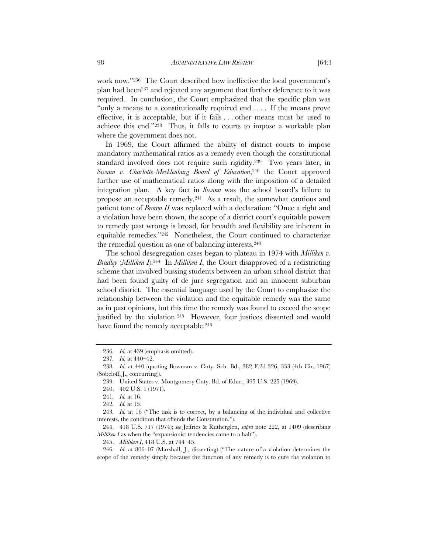work now."236 The Court described how ineffective the local government's plan had been237 and rejected any argument that further deference to it was required. In conclusion, the Court emphasized that the specific plan was "only a means to a constitutionally required end . . . . If the means prove effective, it is acceptable, but if it fails . . . other means must be used to achieve this end."238 Thus, it falls to courts to impose a workable plan where the government does not.

In 1969, the Court affirmed the ability of district courts to impose mandatory mathematical ratios as a remedy even though the constitutional standard involved does not require such rigidity.239 Two years later, in *Swann v. Charlotte-Mecklenburg Board of Education*,<sup>240</sup> the Court approved further use of mathematical ratios along with the imposition of a detailed integration plan. A key fact in *Swann* was the school board's failure to propose an acceptable remedy.241 As a result, the somewhat cautious and patient tone of *Brown II* was replaced with a declaration: "Once a right and a violation have been shown, the scope of a district court's equitable powers to remedy past wrongs is broad, for breadth and flexibility are inherent in equitable remedies."242 Nonetheless, the Court continued to characterize the remedial question as one of balancing interests.243

The school desegregation cases began to plateau in 1974 with *Milliken v. Bradley* (*Milliken I*).244 In *Milliken I*, the Court disapproved of a redistricting scheme that involved bussing students between an urban school district that had been found guilty of de jure segregation and an innocent suburban school district. The essential language used by the Court to emphasize the relationship between the violation and the equitable remedy was the same as in past opinions, but this time the remedy was found to exceed the scope justified by the violation.245 However, four justices dissented and would have found the remedy acceptable.<sup>246</sup>

<sup>236</sup>*. Id.* at 439 (emphasis omitted).

<sup>237</sup>*. Id.* at 440–42.

<sup>238</sup>*. Id.* at 440 (quoting Bowman v. Cnty. Sch. Bd., 382 F.2d 326, 333 (4th Cir. 1967) (Sobeloff, J., concurring)).

<sup>239.</sup> United States v. Montgomery Cnty. Bd. of Educ., 395 U.S. 225 (1969).

<sup>240. 402</sup> U.S. 1 (1971).

<sup>241</sup>*. Id.* at 16.

<sup>242</sup>*. Id.* at 15.

<sup>243</sup>*. Id.* at 16 ("The task is to correct, by a balancing of the individual and collective interests, the condition that offends the Constitution.").

 <sup>244. 418</sup> U.S. 717 (1974); *see* Jeffries & Rutherglen, *supra* note 222, at 1409 (describing *Milliken I* as when the "expansionist tendencies came to a halt").

 <sup>245.</sup> *Milliken I*, 418 U.S. at 744–45.

<sup>246</sup>*. Id.* at 806–07 (Marshall, J., dissenting) ("The nature of a violation determines the scope of the remedy simply because the function of any remedy is to cure the violation to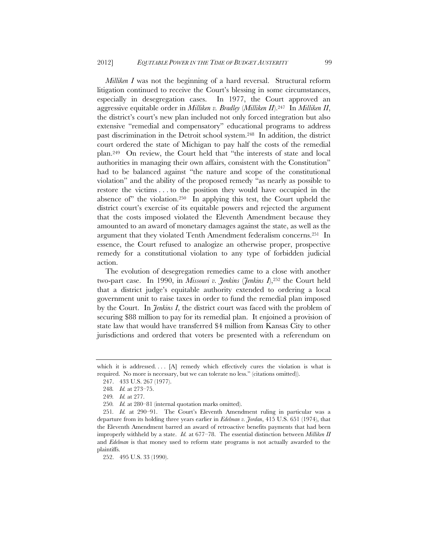*Milliken I* was not the beginning of a hard reversal. Structural reform litigation continued to receive the Court's blessing in some circumstances, especially in desegregation cases. In 1977, the Court approved an aggressive equitable order in *Milliken v. Bradley* (*Milliken II*).247 In *Milliken II*, the district's court's new plan included not only forced integration but also extensive "remedial and compensatory" educational programs to address past discrimination in the Detroit school system.248 In addition, the district court ordered the state of Michigan to pay half the costs of the remedial plan.249 On review, the Court held that "the interests of state and local authorities in managing their own affairs, consistent with the Constitution" had to be balanced against "the nature and scope of the constitutional violation" and the ability of the proposed remedy "as nearly as possible to restore the victims . . . to the position they would have occupied in the absence of" the violation.250 In applying this test, the Court upheld the district court's exercise of its equitable powers and rejected the argument that the costs imposed violated the Eleventh Amendment because they amounted to an award of monetary damages against the state, as well as the argument that they violated Tenth Amendment federalism concerns.251 In essence, the Court refused to analogize an otherwise proper, prospective remedy for a constitutional violation to any type of forbidden judicial action.

The evolution of desegregation remedies came to a close with another two-part case. In 1990, in *Missouri v. Jenkins* (*Jenkins I*),252 the Court held that a district judge's equitable authority extended to ordering a local government unit to raise taxes in order to fund the remedial plan imposed by the Court. In *Jenkins I*, the district court was faced with the problem of securing \$88 million to pay for its remedial plan. It enjoined a provision of state law that would have transferred \$4 million from Kansas City to other jurisdictions and ordered that voters be presented with a referendum on

which it is addressed....  $[A]$  remedy which effectively cures the violation is what is required. No more is necessary, but we can tolerate no less." (citations omitted)).

<sup>247. 433</sup> U.S. 267 (1977).

<sup>248</sup>*. Id.* at 273–75.

<sup>249</sup>*. Id.* at 277.

<sup>250</sup>*. Id.* at 280–81 (internal quotation marks omitted).

<sup>251</sup>*. Id.* at 290–91. The Court's Eleventh Amendment ruling in particular was a departure from its holding three years earlier in *Edelman v. Jordan*, 415 U.S. 651 (1974), that the Eleventh Amendment barred an award of retroactive benefits payments that had been improperly withheld by a state. *Id.* at 677–78. The essential distinction between *Milliken II*  and *Edelman* is that money used to reform state programs is not actually awarded to the plaintiffs.

<sup>252. 495</sup> U.S. 33 (1990).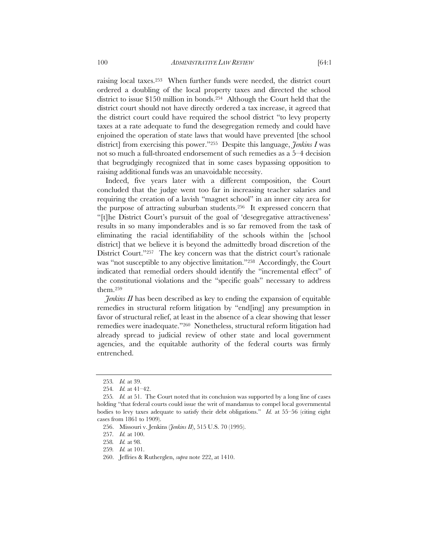raising local taxes.253 When further funds were needed, the district court ordered a doubling of the local property taxes and directed the school district to issue \$150 million in bonds.254 Although the Court held that the district court should not have directly ordered a tax increase, it agreed that the district court could have required the school district "to levy property taxes at a rate adequate to fund the desegregation remedy and could have enjoined the operation of state laws that would have prevented [the school district] from exercising this power."255 Despite this language, *Jenkins I* was not so much a full-throated endorsement of such remedies as a 5–4 decision that begrudgingly recognized that in some cases bypassing opposition to raising additional funds was an unavoidable necessity.

Indeed, five years later with a different composition, the Court concluded that the judge went too far in increasing teacher salaries and requiring the creation of a lavish "magnet school" in an inner city area for the purpose of attracting suburban students.256 It expressed concern that "[t]he District Court's pursuit of the goal of 'desegregative attractiveness' results in so many imponderables and is so far removed from the task of eliminating the racial identifiability of the schools within the [school district] that we believe it is beyond the admittedly broad discretion of the District Court."257 The key concern was that the district court's rationale was "not susceptible to any objective limitation."<sup>258</sup> Accordingly, the Court indicated that remedial orders should identify the "incremental effect" of the constitutional violations and the "specific goals" necessary to address them.259

*Jenkins II* has been described as key to ending the expansion of equitable remedies in structural reform litigation by "end[ing] any presumption in favor of structural relief, at least in the absence of a clear showing that lesser remedies were inadequate."260 Nonetheless, structural reform litigation had already spread to judicial review of other state and local government agencies, and the equitable authority of the federal courts was firmly entrenched.

<sup>253</sup>*. Id.* at 39.

<sup>254</sup>*. Id.* at 41–42.

<sup>255</sup>*. Id.* at 51. The Court noted that its conclusion was supported by a long line of cases holding "that federal courts could issue the writ of mandamus to compel local governmental bodies to levy taxes adequate to satisfy their debt obligations." *Id.* at 55–56 (citing eight cases from 1861 to 1909).

<sup>256.</sup> Missouri v. Jenkins (*Jenkins II*), 515 U.S. 70 (1995).

<sup>257</sup>*. Id.* at 100.

<sup>258</sup>*. Id.* at 98.

<sup>259</sup>*. Id.* at 101.

<sup>260.</sup> Jeffries & Rutherglen, *supra* note 222, at 1410.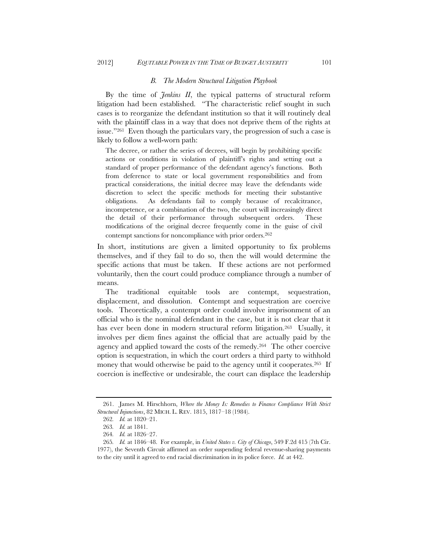### *B. The Modern Structural Litigation Playbook*

By the time of *Jenkins II*, the typical patterns of structural reform litigation had been established. "The characteristic relief sought in such cases is to reorganize the defendant institution so that it will routinely deal with the plaintiff class in a way that does not deprive them of the rights at issue."261 Even though the particulars vary, the progression of such a case is likely to follow a well-worn path:

The decree, or rather the series of decrees, will begin by prohibiting specific actions or conditions in violation of plaintiff's rights and setting out a standard of proper performance of the defendant agency's functions. Both from deference to state or local government responsibilities and from practical considerations, the initial decree may leave the defendants wide discretion to select the specific methods for meeting their substantive obligations. As defendants fail to comply because of recalcitrance, incompetence, or a combination of the two, the court will increasingly direct the detail of their performance through subsequent orders. These modifications of the original decree frequently come in the guise of civil contempt sanctions for noncompliance with prior orders.262

In short, institutions are given a limited opportunity to fix problems themselves, and if they fail to do so, then the will would determine the specific actions that must be taken. If these actions are not performed voluntarily, then the court could produce compliance through a number of means.

The traditional equitable tools are contempt, sequestration, displacement, and dissolution. Contempt and sequestration are coercive tools. Theoretically, a contempt order could involve imprisonment of an official who is the nominal defendant in the case, but it is not clear that it has ever been done in modern structural reform litigation.<sup>263</sup> Usually, it involves per diem fines against the official that are actually paid by the agency and applied toward the costs of the remedy.264 The other coercive option is sequestration, in which the court orders a third party to withhold money that would otherwise be paid to the agency until it cooperates.<sup>265</sup> If coercion is ineffective or undesirable, the court can displace the leadership

 <sup>261.</sup> James M. Hirschhorn, *Where the Money Is: Remedies to Finance Compliance With Strict Structural Injunctions*, 82 MICH. L. REV. 1815, 1817–18 (1984).

<sup>262</sup>*. Id.* at 1820–21.

<sup>263</sup>*. Id.* at 1841.

<sup>264</sup>*. Id.* at 1826–27.

<sup>265</sup>*. Id.* at 1846–48. For example, in *United States v. City of Chicago*, 549 F.2d 415 (7th Cir. 1977), the Seventh Circuit affirmed an order suspending federal revenue-sharing payments to the city until it agreed to end racial discrimination in its police force. *Id.* at 442.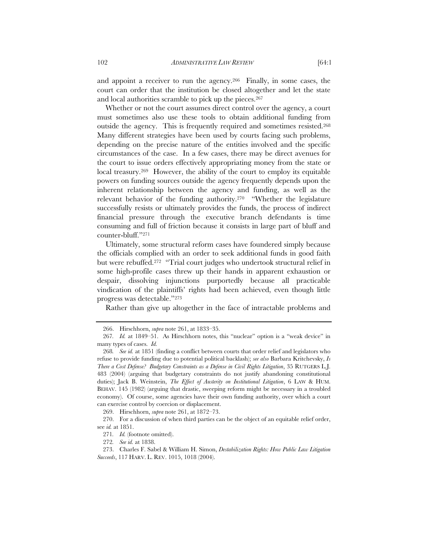and appoint a receiver to run the agency.266 Finally, in some cases, the court can order that the institution be closed altogether and let the state and local authorities scramble to pick up the pieces.267

Whether or not the court assumes direct control over the agency, a court must sometimes also use these tools to obtain additional funding from outside the agency. This is frequently required and sometimes resisted.268 Many different strategies have been used by courts facing such problems, depending on the precise nature of the entities involved and the specific circumstances of the case. In a few cases, there may be direct avenues for the court to issue orders effectively appropriating money from the state or local treasury.269 However, the ability of the court to employ its equitable powers on funding sources outside the agency frequently depends upon the inherent relationship between the agency and funding, as well as the relevant behavior of the funding authority.270 "Whether the legislature successfully resists or ultimately provides the funds, the process of indirect financial pressure through the executive branch defendants is time consuming and full of friction because it consists in large part of bluff and counter-bluff."271

Ultimately, some structural reform cases have foundered simply because the officials complied with an order to seek additional funds in good faith but were rebuffed.272 "Trial court judges who undertook structural relief in some high-profile cases threw up their hands in apparent exhaustion or despair, dissolving injunctions purportedly because all practicable vindication of the plaintiffs' rights had been achieved, even though little progress was detectable."273

Rather than give up altogether in the face of intractable problems and

269. Hirschhorn, *supra* note 261, at 1872–73.

 270. For a discussion of when third parties can be the object of an equitable relief order, see *id.* at 1851.

 <sup>266.</sup> Hirschhorn, *supra* note 261, at 1833–35.

<sup>267</sup>*. Id.* at 1849–51. As Hirschhorn notes, this "nuclear" option is a "weak device" in many types of cases. *Id.*

<sup>268</sup>*. See id.* at 1851 (finding a conflict between courts that order relief and legislators who refuse to provide funding due to potential political backlash); *see also* Barbara Kritchevsky, *Is There a Cost Defense? Budgetary Constraints as a Defense in Civil Rights Litigation*, 35 RUTGERS L.J. 483 (2004) (arguing that budgetary constraints do not justify abandoning constitutional duties); Jack B. Weinstein, *The Effect of Austerity on Institutional Litigation*, 6 LAW & HUM. BEHAV. 145 (1982) (arguing that drastic, sweeping reform might be necessary in a troubled economy). Of course, some agencies have their own funding authority, over which a court can exercise control by coercion or displacement.

<sup>271</sup>*. Id.* (footnote omitted).

<sup>272</sup>*. See id.* at 1838.

<sup>273.</sup> Charles F. Sabel & William H. Simon, *Destabilization Rights: How Public Law Litigation Succeeds*, 117 HARV. L. REV. 1015, 1018 (2004).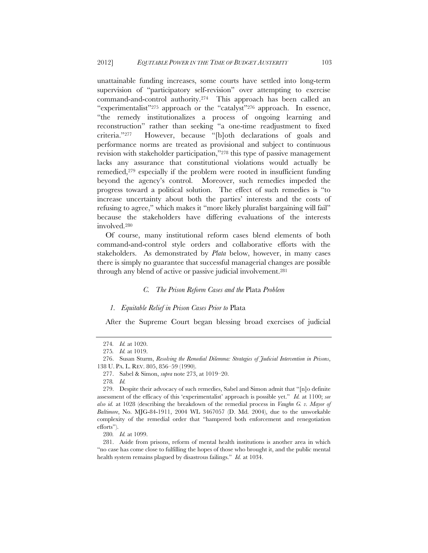unattainable funding increases, some courts have settled into long-term supervision of "participatory self-revision" over attempting to exercise command-and-control authority.274 This approach has been called an "experimentalist"275 approach or the "catalyst"276 approach. In essence, "the remedy institutionalizes a process of ongoing learning and reconstruction" rather than seeking "a one-time readjustment to fixed criteria."277 However, because "[b]oth declarations of goals and performance norms are treated as provisional and subject to continuous revision with stakeholder participation,"278 this type of passive management lacks any assurance that constitutional violations would actually be remedied,279 especially if the problem were rooted in insufficient funding beyond the agency's control. Moreover, such remedies impeded the progress toward a political solution. The effect of such remedies is "to increase uncertainty about both the parties' interests and the costs of refusing to agree," which makes it "more likely pluralist bargaining will fail" because the stakeholders have differing evaluations of the interests involved.280

Of course, many institutional reform cases blend elements of both command-and-control style orders and collaborative efforts with the stakeholders. As demonstrated by *Plata* below, however, in many cases there is simply no guarantee that successful managerial changes are possible through any blend of active or passive judicial involvement.281

## *C. The Prison Reform Cases and the* Plata *Problem*

### *1. Equitable Relief in Prison Cases Prior to* Plata

After the Supreme Court began blessing broad exercises of judicial

<sup>274</sup>*. Id.* at 1020.

<sup>275</sup>*. Id.* at 1019.

 <sup>276.</sup> Susan Sturm, *Resolving the Remedial Dilemma: Strategies of Judicial Intervention in Prisons*, 138 U. PA. L. REV. 805, 856–59 (1990).

<sup>277.</sup> Sabel & Simon, *supra* note 273, at 1019–20.

<sup>278</sup>*. Id.*

<sup>279.</sup> Despite their advocacy of such remedies, Sabel and Simon admit that "[n]o definite assessment of the efficacy of this 'experimentalist' approach is possible yet." *Id.* at 1100; *see also id.* at 1028 (describing the breakdown of the remedial process in *Vaughn G. v. Mayor of Baltimore*, No. MJG-84-1911, 2004 WL 3467057 (D. Md. 2004), due to the unworkable complexity of the remedial order that "hampered both enforcement and renegotiation efforts").

<sup>280</sup>*. Id.* at 1099.

 <sup>281.</sup> Aside from prisons, reform of mental health institutions is another area in which "no case has come close to fulfilling the hopes of those who brought it, and the public mental health system remains plagued by disastrous failings." *Id.* at 1034.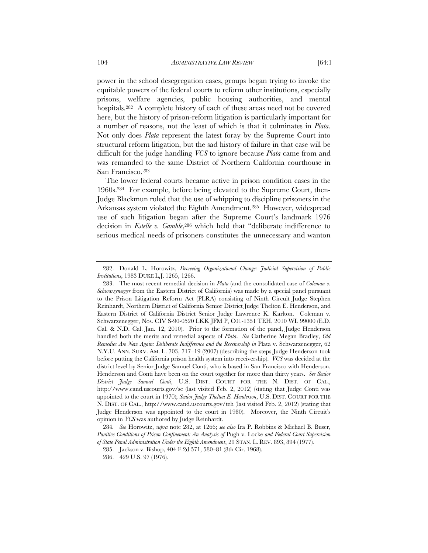power in the school desegregation cases, groups began trying to invoke the equitable powers of the federal courts to reform other institutions, especially prisons, welfare agencies, public housing authorities, and mental hospitals.282 A complete history of each of these areas need not be covered here, but the history of prison-reform litigation is particularly important for a number of reasons, not the least of which is that it culminates in *Plata*. Not only does *Plata* represent the latest foray by the Supreme Court into structural reform litigation, but the sad history of failure in that case will be difficult for the judge handling *VCS* to ignore because *Plata* came from and was remanded to the same District of Northern California courthouse in San Francisco.283

The lower federal courts became active in prison condition cases in the 1960s.284 For example, before being elevated to the Supreme Court, then-Judge Blackmun ruled that the use of whipping to discipline prisoners in the Arkansas system violated the Eighth Amendment.285 However, widespread use of such litigation began after the Supreme Court's landmark 1976 decision in *Estelle v. Gamble*,<sup>286</sup> which held that "deliberate indifference to serious medical needs of prisoners constitutes the unnecessary and wanton

 <sup>282.</sup> Donald L. Horowitz, *Decreeing Organizational Change: Judicial Supervision of Public Institutions*, 1983 DUKE L.J. 1265, 1266.

 <sup>283.</sup> The most recent remedial decision in *Plata* (and the consolidated case of *Coleman v. Schwarzenegger* from the Eastern District of California) was made by a special panel pursuant to the Prison Litigation Reform Act (PLRA) consisting of Ninth Circuit Judge Stephen Reinhardt, Northern District of California Senior District Judge Thelton E. Henderson, and Eastern District of California District Senior Judge Lawrence K. Karlton. Coleman v. Schwarzenegger, Nos. CIV S-90-0520 LKK JFM P, C01-1351 TEH, 2010 WL 99000 (E.D. Cal. & N.D. Cal. Jan. 12, 2010). Prior to the formation of the panel, Judge Henderson handled both the merits and remedial aspects of *Plata*. *See* Catherine Megan Bradley, *Old Remedies Are New Again: Deliberate Indifference and the Receivership in Plata v. Schwarzenegger, 62* N.Y.U. ANN. SURV. AM. L. 703, 717–19 (2007) (describing the steps Judge Henderson took before putting the California prison health system into receivership). *VCS* was decided at the district level by Senior Judge Samuel Conti, who is based in San Francisco with Henderson. Henderson and Conti have been on the court together for more than thirty years. *See Senior District Judge Samuel Conti*, U.S. DIST. COURT FOR THE N. DIST. OF CAL., http://www.cand.uscourts.gov/sc (last visited Feb. 2, 2012) (stating that Judge Conti was appointed to the court in 1970); *Senior Judge Thelton E. Henderson*, U.S. DIST. COURT FOR THE N. DIST. OF CAL., http://www.cand.uscourts.gov/teh (last visited Feb. 2, 2012) (stating that Judge Henderson was appointed to the court in 1980). Moreover, the Ninth Circuit's opinion in *VCS* was authored by Judge Reinhardt.

<sup>284</sup>*. See* Horowitz, *supra* note 282, at 1266; *see also* Ira P. Robbins & Michael B. Buser, *Punitive Conditions of Prison Confinement: An Analysis of* Pugh v. Locke *and Federal Court Supervision of State Penal Administration Under the Eighth Amendment*, 29 STAN. L. REV. 893, 894 (1977).

<sup>285.</sup> Jackson v. Bishop, 404 F.2d 571, 580–81 (8th Cir. 1968).

<sup>286. 429</sup> U.S. 97 (1976).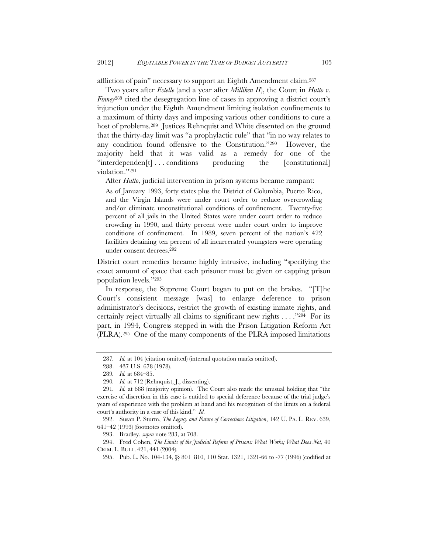affliction of pain" necessary to support an Eighth Amendment claim.287

Two years after *Estelle* (and a year after *Milliken II*), the Court in *Hutto v. Finney*<sup>288</sup> cited the desegregation line of cases in approving a district court's injunction under the Eighth Amendment limiting isolation confinements to a maximum of thirty days and imposing various other conditions to cure a host of problems.289 Justices Rehnquist and White dissented on the ground that the thirty-day limit was "a prophylactic rule" that "in no way relates to any condition found offensive to the Constitution."290 However, the majority held that it was valid as a remedy for one of the "interdependen[t] . . . conditions producing the [constitutional] violation."291

After *Hutto*, judicial intervention in prison systems became rampant:

As of January 1993, forty states plus the District of Columbia, Puerto Rico, and the Virgin Islands were under court order to reduce overcrowding and/or eliminate unconstitutional conditions of confinement. Twenty-five percent of all jails in the United States were under court order to reduce crowding in 1990, and thirty percent were under court order to improve conditions of confinement. In 1989, seven percent of the nation's 422 facilities detaining ten percent of all incarcerated youngsters were operating under consent decrees.292

District court remedies became highly intrusive, including "specifying the exact amount of space that each prisoner must be given or capping prison population levels."293

In response, the Supreme Court began to put on the brakes. "[T]he Court's consistent message [was] to enlarge deference to prison administrator's decisions, restrict the growth of existing inmate rights, and certainly reject virtually all claims to significant new rights . . . ."294 For its part, in 1994, Congress stepped in with the Prison Litigation Reform Act (PLRA).295 One of the many components of the PLRA imposed limitations

 292. Susan P. Sturm, *The Legacy and Future of Corrections Litigation*, 142 U. PA. L. REV. 639, 641–42 (1993) (footnotes omitted).

<sup>287</sup>*. Id.* at 104 (citation omitted) (internal quotation marks omitted).

<sup>288. 437</sup> U.S. 678 (1978).

<sup>289</sup>*. Id.* at 684–85.

<sup>290</sup>*. Id.* at 712 (Rehnquist, J., dissenting).

<sup>291</sup>*. Id.* at 688 (majority opinion). The Court also made the unusual holding that "the exercise of discretion in this case is entitled to special deference because of the trial judge's years of experience with the problem at hand and his recognition of the limits on a federal court's authority in a case of this kind." *Id.*

 <sup>293.</sup> Bradley, *supra* note 283, at 708.

 <sup>294.</sup> Fred Cohen, *The Limits of the Judicial Reform of Prisons: What Works; What Does Not*, 40 CRIM. L. BULL. 421, 441 (2004).

<sup>295.</sup> Pub. L. No. 104-134, §§ 801–810, 110 Stat. 1321, 1321-66 to -77 (1996) (codified at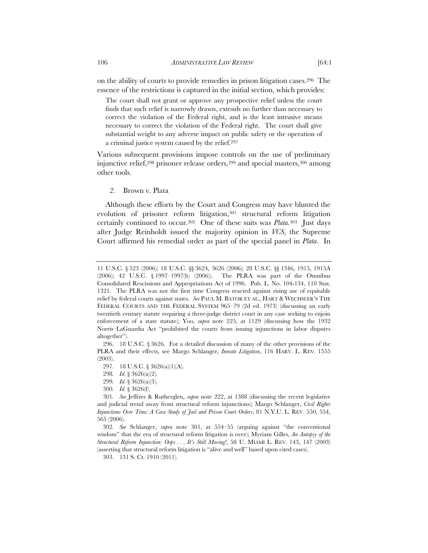on the ability of courts to provide remedies in prison litigation cases.296 The essence of the restrictions is captured in the initial section, which provides:

The court shall not grant or approve any prospective relief unless the court finds that such relief is narrowly drawn, extends no further than necessary to correct the violation of the Federal right, and is the least intrusive means necessary to correct the violation of the Federal right. The court shall give substantial weight to any adverse impact on public safety or the operation of a criminal justice system caused by the relief.297

Various subsequent provisions impose controls on the use of preliminary injunctive relief,298 prisoner release orders,299 and special masters,300 among other tools.

*2.* Brown v. Plata

Although these efforts by the Court and Congress may have blunted the evolution of prisoner reform litigation,<sup>301</sup> structural reform litigation certainly continued to occur.302 One of these suits was *Plata*.303 Just days after Judge Reinholdt issued the majority opinion in *VCS*, the Supreme Court affirmed his remedial order as part of the special panel in *Plata*. In

<sup>11</sup> U.S.C. § 523 (2006); 18 U.S.C. §§ 3624, 3626 (2006); 28 U.S.C. §§ 1346, 1915, 1915A (2006); 42 U.S.C. § 1997–1997(h) (2006)). The PLRA was part of the Omnibus Consolidated Rescissions and Appropriations Act of 1996. Pub. L. No. 104-134, 110 Stat. 1321. The PLRA was not the first time Congress reacted against rising use of equitable relief by federal courts against states. *See* PAUL M. BATOR ET AL., HART & WECHSLER'S THE FEDERAL COURTS AND THE FEDERAL SYSTEM 965–79 (2d ed. 1973) (discussing an early twentieth century statute requiring a three-judge district court in any case seeking to enjoin enforcement of a state statute); Yoo, *supra* note 225, at 1129 (discussing how the 1932 Norris–LaGuardia Act "prohibited the courts from issuing injunctions in labor disputes altogether").

 <sup>296. 18</sup> U.S.C. § 3626. For a detailed discussion of many of the other provisions of the PLRA and their effects, see Margo Schlanger, *Inmate Litigation*, 116 HARV. L. REV. 1555 (2003).

<sup>297. 18</sup> U.S.C. § 3626(a)(1)(A).

<sup>298</sup>*. Id.* § 3626(a)(2).

<sup>299</sup>*. Id.* § 3626(a)(3).

<sup>300</sup>*. Id.* § 3626(f).

<sup>301</sup>*. See* Jeffries & Rutherglen, *supra* note 222, at 1388 (discussing the recent legislative and judicial trend away from structural reform injunctions); Margo Schlanger, *Civil Rights Injunctions Over Time: A Case Study of Jail and Prison Court Orders*, 81 N.Y.U. L. REV. 550, 554, 565 (2006).

<sup>302</sup>*. See* Schlanger, *supra* note 301, at 554–55 (arguing against "the conventional wisdom" that the era of structural reform litigation is over); Myriam Gilles, *An Autopsy of the Structural Reform Injunction: Oops* . . . *It's Still Moving!*, 58 U. MIAMI L. REV. 143, 147 (2003) (asserting that structural reform litigation is "alive and well" based upon cited cases).

<sup>303. 131</sup> S. Ct. 1910 (2011).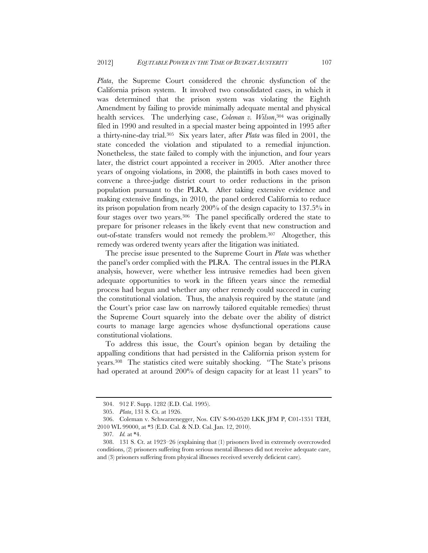*Plata*, the Supreme Court considered the chronic dysfunction of the California prison system. It involved two consolidated cases, in which it was determined that the prison system was violating the Eighth Amendment by failing to provide minimally adequate mental and physical health services. The underlying case, *Coleman v. Wilson*,<sup>304</sup> was originally filed in 1990 and resulted in a special master being appointed in 1995 after a thirty-nine-day trial.305 Six years later, after *Plata* was filed in 2001, the state conceded the violation and stipulated to a remedial injunction. Nonetheless, the state failed to comply with the injunction, and four years later, the district court appointed a receiver in 2005. After another three years of ongoing violations, in 2008, the plaintiffs in both cases moved to convene a three-judge district court to order reductions in the prison population pursuant to the PLRA. After taking extensive evidence and making extensive findings, in 2010, the panel ordered California to reduce its prison population from nearly 200% of the design capacity to 137.5% in four stages over two years.306 The panel specifically ordered the state to prepare for prisoner releases in the likely event that new construction and out-of-state transfers would not remedy the problem.307 Altogether, this remedy was ordered twenty years after the litigation was initiated.

The precise issue presented to the Supreme Court in *Plata* was whether the panel's order complied with the PLRA. The central issues in the PLRA analysis, however, were whether less intrusive remedies had been given adequate opportunities to work in the fifteen years since the remedial process had begun and whether any other remedy could succeed in curing the constitutional violation. Thus, the analysis required by the statute (and the Court's prior case law on narrowly tailored equitable remedies) thrust the Supreme Court squarely into the debate over the ability of district courts to manage large agencies whose dysfunctional operations cause constitutional violations.

To address this issue, the Court's opinion began by detailing the appalling conditions that had persisted in the California prison system for years.308 The statistics cited were suitably shocking. "The State's prisons had operated at around 200% of design capacity for at least 11 years" to

<sup>304. 912</sup> F. Supp. 1282 (E.D. Cal. 1995).

 <sup>305.</sup> *Plata*, 131 S. Ct. at 1926.

<sup>306.</sup> Coleman v. Schwarzenegger, Nos. CIV S-90-0520 LKK JFM P, C01-1351 TEH, 2010 WL 99000, at \*3 (E.D. Cal. & N.D. Cal. Jan. 12, 2010).

<sup>307</sup>*. Id.* at \*4.

 <sup>308. 131</sup> S. Ct. at 1923–26 (explaining that (1) prisoners lived in extremely overcrowded conditions, (2) prisoners suffering from serious mental illnesses did not receive adequate care, and (3) prisoners suffering from physical illnesses received severely deficient care).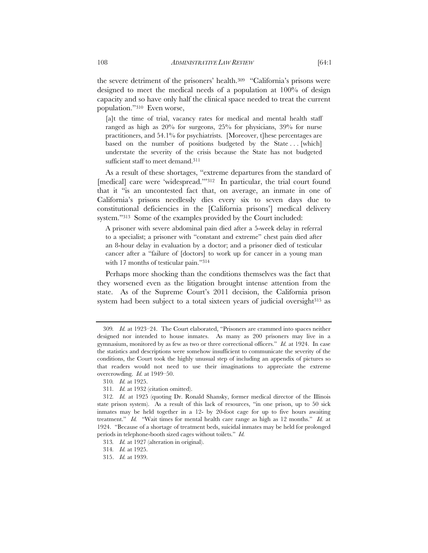the severe detriment of the prisoners' health.309 "California's prisons were designed to meet the medical needs of a population at 100% of design capacity and so have only half the clinical space needed to treat the current population."310 Even worse,

[a]t the time of trial, vacancy rates for medical and mental health staff ranged as high as 20% for surgeons, 25% for physicians, 39% for nurse practitioners, and 54.1% for psychiatrists. [Moreover, t]hese percentages are based on the number of positions budgeted by the State ... [which] understate the severity of the crisis because the State has not budgeted sufficient staff to meet demand.<sup>311</sup>

As a result of these shortages, "extreme departures from the standard of [medical] care were 'widespread."<sup>312</sup> In particular, the trial court found that it "is an uncontested fact that, on average, an inmate in one of California's prisons needlessly dies every six to seven days due to constitutional deficiencies in the [California prisons'] medical delivery system."313 Some of the examples provided by the Court included:

A prisoner with severe abdominal pain died after a 5-week delay in referral to a specialist; a prisoner with "constant and extreme" chest pain died after an 8-hour delay in evaluation by a doctor; and a prisoner died of testicular cancer after a "failure of [doctors] to work up for cancer in a young man with 17 months of testicular pain."314

Perhaps more shocking than the conditions themselves was the fact that they worsened even as the litigation brought intense attention from the state. As of the Supreme Court's 2011 decision, the California prison system had been subject to a total sixteen years of judicial oversight<sup>315</sup> as

<sup>309</sup>*. Id.* at 1923–24. The Court elaborated, "Prisoners are crammed into spaces neither designed nor intended to house inmates. As many as 200 prisoners may live in a gymnasium, monitored by as few as two or three correctional officers." *Id.* at 1924. In case the statistics and descriptions were somehow insufficient to communicate the severity of the conditions, the Court took the highly unusual step of including an appendix of pictures so that readers would not need to use their imaginations to appreciate the extreme overcrowding. *Id.* at 1949–50.

<sup>310</sup>*. Id.* at 1925.

<sup>311</sup>*. Id.* at 1932 (citation omitted).

<sup>312</sup>*. Id.* at 1925 (quoting Dr. Ronald Shansky, former medical director of the Illinois state prison system). As a result of this lack of resources, "in one prison, up to 50 sick inmates may be held together in a 12- by 20-foot cage for up to five hours awaiting treatment." *Id.* "Wait times for mental health care range as high as 12 months." *Id.* at 1924. "Because of a shortage of treatment beds, suicidal inmates may be held for prolonged periods in telephone-booth sized cages without toilets." *Id.*

<sup>313</sup>*. Id.* at 1927 (alteration in original).

<sup>314</sup>*. Id.* at 1925.

 <sup>315.</sup> *Id.* at 1939.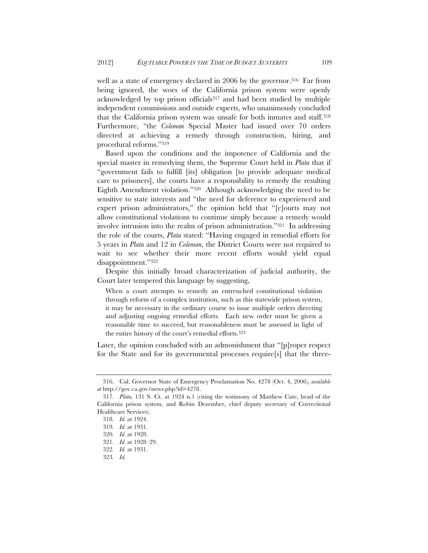well as a state of emergency declared in 2006 by the governor.<sup>316</sup> Far from being ignored, the woes of the California prison system were openly acknowledged by top prison officials317 and had been studied by multiple independent commissions and outside experts, who unanimously concluded that the California prison system was unsafe for both inmates and staff.318 Furthermore, "the *Coleman* Special Master had issued over 70 orders directed at achieving a remedy through construction, hiring, and procedural reforms."319

Based upon the conditions and the impotence of California and the special master in remedying them, the Supreme Court held in *Plata* that if "government fails to fulfill [its] obligation [to provide adequate medical care to prisoners], the courts have a responsibility to remedy the resulting Eighth Amendment violation."320 Although acknowledging the need to be sensitive to state interests and "the need for deference to experienced and expert prison administrators," the opinion held that "[c]ourts may not allow constitutional violations to continue simply because a remedy would involve intrusion into the realm of prison administration."321 In addressing the role of the courts, *Plata* stated: "Having engaged in remedial efforts for 5 years in *Plata* and 12 in *Coleman*, the District Courts were not required to wait to see whether their more recent efforts would yield equal disappointment."322

Despite this initially broad characterization of judicial authority, the Court later tempered this language by suggesting,

When a court attempts to remedy an entrenched constitutional violation through reform of a complex institution, such as this statewide prison system, it may be necessary in the ordinary course to issue multiple orders directing and adjusting ongoing remedial efforts. Each new order must be given a reasonable time to succeed, but reasonableness must be assessed in light of the entire history of the court's remedial efforts.323

Later, the opinion concluded with an admonishment that "[p]roper respect for the State and for its governmental processes require[s] that the three-

 <sup>316.</sup> Cal. Governor State of Emergency Proclamation No. 4278 (Oct. 4, 2006), *available at* http://gov.ca.gov/news.php?id=4278.

<sup>317</sup>*. Plata,* 131 S. Ct. at 1924 n.1 (citing the testimony of Matthew Cate, head of the California prison system, and Robin Dezember, chief deputy secretary of Correctional Healthcare Services).

<sup>318</sup>*. Id.* at 1924.

<sup>319</sup>*. Id.* at 1931.

<sup>320</sup>*. Id.* at 1928.

<sup>321</sup>*. Id.* at 1928–29.

<sup>322</sup>*. Id.* at 1931.

<sup>323</sup>*. Id.*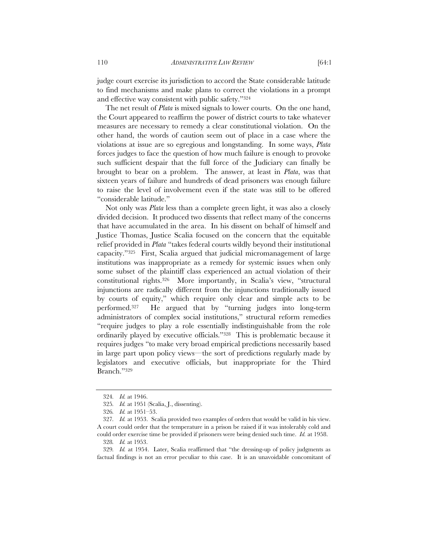judge court exercise its jurisdiction to accord the State considerable latitude to find mechanisms and make plans to correct the violations in a prompt and effective way consistent with public safety."324

The net result of *Plata* is mixed signals to lower courts. On the one hand, the Court appeared to reaffirm the power of district courts to take whatever measures are necessary to remedy a clear constitutional violation. On the other hand, the words of caution seem out of place in a case where the violations at issue are so egregious and longstanding. In some ways, *Plata* forces judges to face the question of how much failure is enough to provoke such sufficient despair that the full force of the Judiciary can finally be brought to bear on a problem. The answer, at least in *Plata*, was that sixteen years of failure and hundreds of dead prisoners was enough failure to raise the level of involvement even if the state was still to be offered "considerable latitude."

Not only was *Plata* less than a complete green light, it was also a closely divided decision. It produced two dissents that reflect many of the concerns that have accumulated in the area. In his dissent on behalf of himself and Justice Thomas, Justice Scalia focused on the concern that the equitable relief provided in *Plata* "takes federal courts wildly beyond their institutional capacity."325 First, Scalia argued that judicial micromanagement of large institutions was inappropriate as a remedy for systemic issues when only some subset of the plaintiff class experienced an actual violation of their constitutional rights.326 More importantly, in Scalia's view, "structural injunctions are radically different from the injunctions traditionally issued by courts of equity," which require only clear and simple acts to be performed.327 He argued that by "turning judges into long-term administrators of complex social institutions," structural reform remedies "require judges to play a role essentially indistinguishable from the role ordinarily played by executive officials."328 This is problematic because it requires judges "to make very broad empirical predictions necessarily based in large part upon policy views—the sort of predictions regularly made by legislators and executive officials, but inappropriate for the Third Branch."329

<sup>324</sup>*. Id.* at 1946.

<sup>325</sup>*. Id.* at 1951 (Scalia, J., dissenting).

<sup>326</sup>*. Id.* at 1951–53.

<sup>327</sup>*. Id.* at 1953. Scalia provided two examples of orders that would be valid in his view. A court could order that the temperature in a prison be raised if it was intolerably cold and could order exercise time be provided if prisoners were being denied such time. *Id.* at 1958.

<sup>328</sup>*. Id.* at 1953.

<sup>329</sup>*. Id.* at 1954. Later, Scalia reaffirmed that "the dressing-up of policy judgments as factual findings is not an error peculiar to this case. It is an unavoidable concomitant of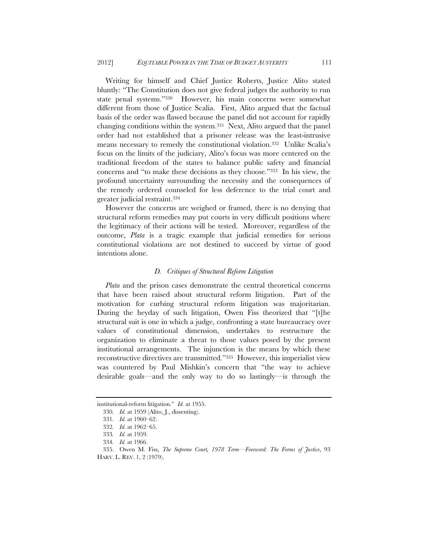Writing for himself and Chief Justice Roberts, Justice Alito stated bluntly: "The Constitution does not give federal judges the authority to run state penal systems."330 However, his main concerns were somewhat different from those of Justice Scalia. First, Alito argued that the factual basis of the order was flawed because the panel did not account for rapidly changing conditions within the system.331 Next, Alito argued that the panel order had not established that a prisoner release was the least-intrusive means necessary to remedy the constitutional violation.332 Unlike Scalia's focus on the limits of the judiciary, Alito's focus was more centered on the traditional freedom of the states to balance public safety and financial concerns and "to make these decisions as they choose."333 In his view, the profound uncertainty surrounding the necessity and the consequences of the remedy ordered counseled for less deference to the trial court and greater judicial restraint.334

However the concerns are weighed or framed, there is no denying that structural reform remedies may put courts in very difficult positions where the legitimacy of their actions will be tested. Moreover, regardless of the outcome, *Plata* is a tragic example that judicial remedies for serious constitutional violations are not destined to succeed by virtue of good intentions alone.

# *D. Critiques of Structural Reform Litigation*

*Plata* and the prison cases demonstrate the central theoretical concerns that have been raised about structural reform litigation. Part of the motivation for curbing structural reform litigation was majoritarian. During the heyday of such litigation, Owen Fiss theorized that "[t]he structural suit is one in which a judge, confronting a state bureaucracy over values of constitutional dimension, undertakes to restructure the organization to eliminate a threat to those values posed by the present institutional arrangements. The injunction is the means by which these reconstructive directives are transmitted."335 However, this imperialist view was countered by Paul Mishkin's concern that "the way to achieve desirable goals—and the only way to do so lastingly—is through the

institutional-reform litigation." *Id.* at 1955.

<sup>330</sup>*. Id.* at 1959 (Alito, J., dissenting).

<sup>331</sup>*. Id.* at 1960–62.

<sup>332</sup>*. Id.* at 1962–65.

<sup>333</sup>*. Id.* at 1959.

<sup>334</sup>*. Id.* at 1966.

<sup>335.</sup> Owen M. Fiss, *The Supreme Court, 1978 Term—Foreword: The Forms of Justice*, 93 HARV. L. REV. 1, 2 (1979).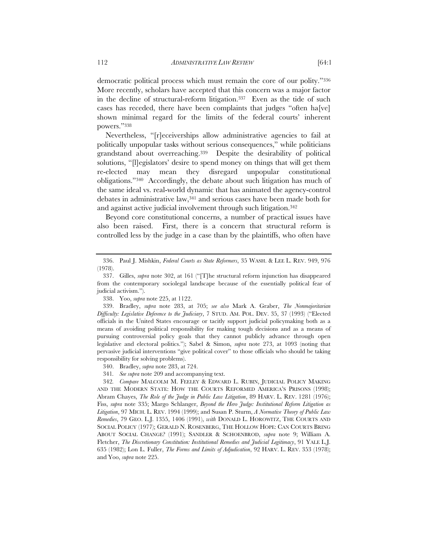democratic political process which must remain the core of our polity."336 More recently, scholars have accepted that this concern was a major factor in the decline of structural-reform litigation.337 Even as the tide of such cases has receded, there have been complaints that judges "often ha[ve] shown minimal regard for the limits of the federal courts' inherent powers."338

Nevertheless, "[r]eceiverships allow administrative agencies to fail at politically unpopular tasks without serious consequences," while politicians grandstand about overreaching.339 Despite the desirability of political solutions, "[l]egislators' desire to spend money on things that will get them re-elected may mean they disregard unpopular constitutional obligations."340 Accordingly, the debate about such litigation has much of the same ideal vs. real-world dynamic that has animated the agency-control debates in administrative law,341 and serious cases have been made both for and against active judicial involvement through such litigation.342

Beyond core constitutional concerns, a number of practical issues have also been raised. First, there is a concern that structural reform is controlled less by the judge in a case than by the plaintiffs, who often have

341*. See supra* note 209 and accompanying text.

 <sup>336.</sup> Paul J. Mishkin, *Federal Courts as State Reformers*, 35 WASH. & LEE L. REV. 949, 976 (1978).

 <sup>337.</sup> Gilles, *supra* note 302, at 161 ("[T]he structural reform injunction has disappeared from the contemporary sociolegal landscape because of the essentially political fear of judicial activism.").

 <sup>338.</sup> Yoo, *supra* note 225, at 1122.

 <sup>339.</sup> Bradley, *supra* note 283, at 705; *see also* Mark A. Graber, *The Nonmajoritarian Difficulty: Legislative Deference to the Judiciary*, 7 STUD. AM. POL. DEV. 35, 37 (1993) ("Elected officials in the United States encourage or tacitly support judicial policymaking both as a means of avoiding political responsibility for making tough decisions and as a means of pursuing controversial policy goals that they cannot publicly advance through open legislative and electoral politics."); Sabel & Simon, *supra* note 273, at 1093 (noting that pervasive judicial interventions "give political cover" to those officials who should be taking responsibility for solving problems).

 <sup>340.</sup> Bradley, *supra* note 283, at 724.

<sup>342</sup>*. Compare* MALCOLM M. FEELEY & EDWARD L. RUBIN, JUDICIAL POLICY MAKING AND THE MODERN STATE: HOW THE COURTS REFORMED AMERICA'S PRISONS (1998); Abram Chayes, *The Role of the Judge in Public Law Litigation*, 89 HARV. L. REV. 1281 (1976); Fiss, *supra* note 335; Margo Schlanger, *Beyond the Hero Judge: Institutional Reform Litigation as Litigation*, 97 MICH. L. REV. 1994 (1999); and Susan P. Sturm, *A Normative Theory of Public Law Remedies*, 79 GEO. L.J. 1355, 1406 (1991), *with* DONALD L. HOROWITZ, THE COURTS AND SOCIAL POLICY (1977); GERALD N. ROSENBERG, THE HOLLOW HOPE: CAN COURTS BRING ABOUT SOCIAL CHANGE? (1991); SANDLER & SCHOENBROD, *supra* note 9; William A. Fletcher, *The Discretionary Constitution: Institutional Remedies and Judicial Legitimacy*, 91 YALE L.J. 635 (1982); Lon L. Fuller, *The Forms and Limits of Adjudication*, 92 HARV. L. REV. 353 (1978); and Yoo, *supra* note 225.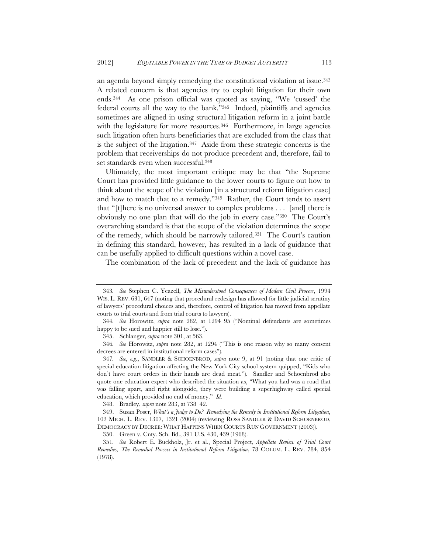an agenda beyond simply remedying the constitutional violation at issue.343 A related concern is that agencies try to exploit litigation for their own ends.344 As one prison official was quoted as saying, "We 'cussed' the federal courts all the way to the bank."345 Indeed, plaintiffs and agencies sometimes are aligned in using structural litigation reform in a joint battle with the legislature for more resources.<sup>346</sup> Furthermore, in large agencies such litigation often hurts beneficiaries that are excluded from the class that is the subject of the litigation.347 Aside from these strategic concerns is the problem that receiverships do not produce precedent and, therefore, fail to set standards even when successful.348

Ultimately, the most important critique may be that "the Supreme Court has provided little guidance to the lower courts to figure out how to think about the scope of the violation [in a structural reform litigation case] and how to match that to a remedy."349 Rather, the Court tends to assert that "[t]here is no universal answer to complex problems . . . [and] there is obviously no one plan that will do the job in every case."350 The Court's overarching standard is that the scope of the violation determines the scope of the remedy, which should be narrowly tailored.351 The Court's caution in defining this standard, however, has resulted in a lack of guidance that can be usefully applied to difficult questions within a novel case.

The combination of the lack of precedent and the lack of guidance has

<sup>343</sup>*. See* Stephen C. Yeazell, *The Misunderstood Consequences of Modern Civil Process*, 1994 WIS. L. REV. 631, 647 (noting that procedural redesign has allowed for little judicial scrutiny of lawyers' procedural choices and, therefore, control of litigation has moved from appellate courts to trial courts and from trial courts to lawyers).

<sup>344</sup>*. See* Horowitz, *supra* note 282, at 1294–95 ("Nominal defendants are sometimes happy to be sued and happier still to lose.").

 <sup>345.</sup> Schlanger, *supra* note 301, at 563.

<sup>346</sup>*. See* Horowitz, *supra* note 282, at 1294 ("This is one reason why so many consent decrees are entered in institutional reform cases").

<sup>347</sup>*. See, e.g.*, SANDLER & SCHOENBROD, *supra* note 9, at 91 (noting that one critic of special education litigation affecting the New York City school system quipped, "Kids who don't have court orders in their hands are dead meat."). Sandler and Schoenbrod also quote one education expert who described the situation as, "What you had was a road that was falling apart, and right alongside, they were building a superhighway called special education, which provided no end of money." *Id.*

 <sup>348.</sup> Bradley, *supra* note 283, at 738–42.

 <sup>349.</sup> Susan Poser, *What's a Judge to Do? Remedying the Remedy in Institutional Reform Litigation*, 102 MICH. L. REV. 1307, 1321 (2004) (reviewing ROSS SANDLER & DAVID SCHOENBROD, DEMOCRACY BY DECREE: WHAT HAPPENS WHEN COURTS RUN GOVERNMENT (2003)).

<sup>350.</sup> Green v. Cnty. Sch. Bd., 391 U.S. 430, 439 (1968).

<sup>351</sup>*. See* Robert E. Buckholz, Jr. et al., Special Project, *Appellate Review of Trial Court Remedies, The Remedial Process in Institutional Reform Litigation*, 78 COLUM. L. REV. 784, 854 (1978).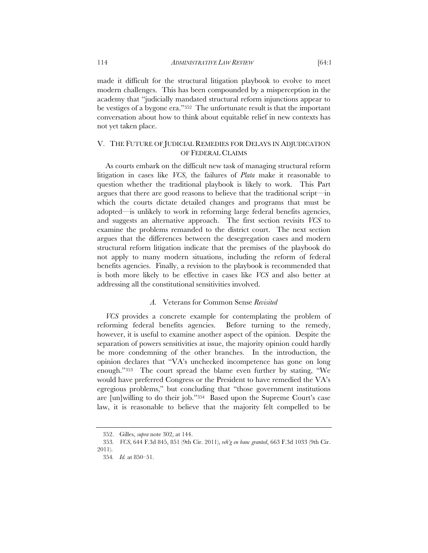made it difficult for the structural litigation playbook to evolve to meet modern challenges. This has been compounded by a misperception in the academy that "judicially mandated structural reform injunctions appear to be vestiges of a bygone era."352 The unfortunate result is that the important conversation about how to think about equitable relief in new contexts has not yet taken place.

# V. THE FUTURE OF JUDICIAL REMEDIES FOR DELAYS IN ADJUDICATION OF FEDERAL CLAIMS

As courts embark on the difficult new task of managing structural reform litigation in cases like *VCS*, the failures of *Plata* make it reasonable to question whether the traditional playbook is likely to work. This Part argues that there are good reasons to believe that the traditional script—in which the courts dictate detailed changes and programs that must be adopted—is unlikely to work in reforming large federal benefits agencies, and suggests an alternative approach. The first section revisits *VCS* to examine the problems remanded to the district court. The next section argues that the differences between the desegregation cases and modern structural reform litigation indicate that the premises of the playbook do not apply to many modern situations, including the reform of federal benefits agencies. Finally, a revision to the playbook is recommended that is both more likely to be effective in cases like *VCS* and also better at addressing all the constitutional sensitivities involved.

# *A.* Veterans for Common Sense *Revisited*

*VCS* provides a concrete example for contemplating the problem of reforming federal benefits agencies. Before turning to the remedy, however, it is useful to examine another aspect of the opinion. Despite the separation of powers sensitivities at issue, the majority opinion could hardly be more condemning of the other branches. In the introduction, the opinion declares that "VA's unchecked incompetence has gone on long enough."353 The court spread the blame even further by stating, "We would have preferred Congress or the President to have remedied the VA's egregious problems," but concluding that "those government institutions are [un]willing to do their job."354 Based upon the Supreme Court's case law, it is reasonable to believe that the majority felt compelled to be

 <sup>352.</sup> Gilles, *supra* note 302, at 144.

<sup>353</sup>*. VCS*, 644 F.3d 845, 851 (9th Cir. 2011), *reh'g en banc granted*, 663 F.3d 1033 (9th Cir. 2011).

<sup>354</sup>*. Id.* at 850–51.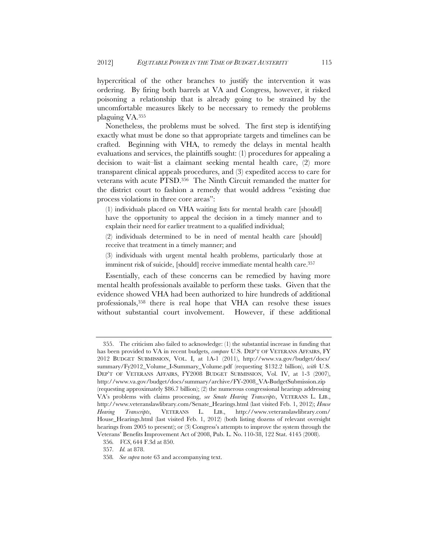hypercritical of the other branches to justify the intervention it was ordering. By firing both barrels at VA and Congress, however, it risked poisoning a relationship that is already going to be strained by the uncomfortable measures likely to be necessary to remedy the problems plaguing VA.355

Nonetheless, the problems must be solved. The first step is identifying exactly what must be done so that appropriate targets and timelines can be crafted. Beginning with VHA, to remedy the delays in mental health evaluations and services, the plaintiffs sought: (1) procedures for appealing a decision to wait–list a claimant seeking mental health care, (2) more transparent clinical appeals procedures, and (3) expedited access to care for veterans with acute PTSD.356 The Ninth Circuit remanded the matter for the district court to fashion a remedy that would address "existing due process violations in three core areas":

(1) individuals placed on VHA waiting lists for mental health care [should] have the opportunity to appeal the decision in a timely manner and to explain their need for earlier treatment to a qualified individual;

(2) individuals determined to be in need of mental health care [should] receive that treatment in a timely manner; and

(3) individuals with urgent mental health problems, particularly those at imminent risk of suicide, [should] receive immediate mental health care.<sup>357</sup>

Essentially, each of these concerns can be remedied by having more mental health professionals available to perform these tasks. Given that the evidence showed VHA had been authorized to hire hundreds of additional professionals,358 there is real hope that VHA can resolve these issues without substantial court involvement. However, if these additional

 <sup>355.</sup> The criticism also failed to acknowledge: (1) the substantial increase in funding that has been provided to VA in recent budgets, *compare* U.S. DEP'T OF VETERANS AFFAIRS, FY 2012 BUDGET SUBMISSION, VOL. I, at 1A-1 (2011), http://www.va.gov/budget/docs/ summary/Fy2012\_Volume\_I-Summary\_Volume.pdf (requesting \$132.2 billion), *with* U.S. DEP'T OF VETERANS AFFAIRS, FY2008 BUDGET SUBMISSION, Vol. IV, at 1-3 (2007), http://www.va.gov/budget/docs/summary/archive/FY-2008\_VA-BudgetSubmission.zip (requesting approximately \$86.7 billion); (2) the numerous congressional hearings addressing VA's problems with claims processing, *see Senate Hearing Transcripts*, VETERANS L. LIB., http://www.veteranslawlibrary.com/Senate\_Hearings.html (last visited Feb. 1, 2012); *House Hearing Transcripts*, VETERANS L. LIB., http://www.veteranslawlibrary.com/ House\_Hearings.html (last visited Feb. 1, 2012) (both listing dozens of relevant oversight hearings from 2005 to present); or (3) Congress's attempts to improve the system through the Veterans' Benefits Improvement Act of 2008, Pub. L. No. 110-38, 122 Stat. 4145 (2008).

<sup>356</sup>*. VCS*, 644 F.3d at 850.

<sup>357</sup>*. Id.* at 878.

<sup>358</sup>*. See supra* note 63 and accompanying text.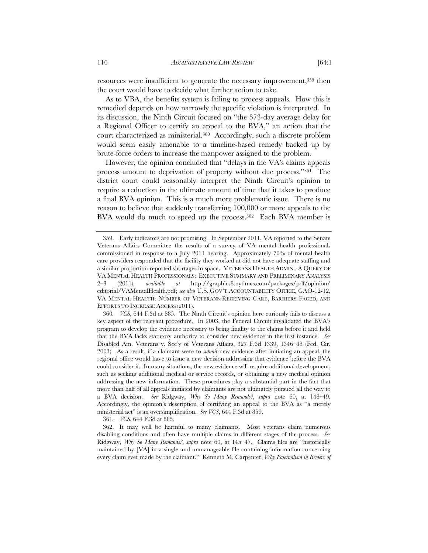resources were insufficient to generate the necessary improvement,<sup>359</sup> then the court would have to decide what further action to take.

As to VBA, the benefits system is failing to process appeals. How this is remedied depends on how narrowly the specific violation is interpreted. In its discussion, the Ninth Circuit focused on "the 573-day average delay for a Regional Officer to certify an appeal to the BVA," an action that the court characterized as ministerial.360 Accordingly, such a discrete problem would seem easily amenable to a timeline-based remedy backed up by brute-force orders to increase the manpower assigned to the problem.

However, the opinion concluded that "delays in the VA's claims appeals process amount to deprivation of property without due process."361 The district court could reasonably interpret the Ninth Circuit's opinion to require a reduction in the ultimate amount of time that it takes to produce a final BVA opinion. This is a much more problematic issue. There is no reason to believe that suddenly transferring 100,000 or more appeals to the BVA would do much to speed up the process.<sup>362</sup> Each BVA member is

361*. VCS*, 644 F.3d at 885.

 <sup>359.</sup> Early indicators are not promising. In September 2011, VA reported to the Senate Veterans Affairs Committee the results of a survey of VA mental health professionals commissioned in response to a July 2011 hearing. Approximately 70% of mental health care providers responded that the facility they worked at did not have adequate staffing and a similar proportion reported shortages in space. VETERANS HEALTH ADMIN., A QUERY OF VA MENTAL HEALTH PROFESSIONALS: EXECUTIVE SUMMARY AND PRELIMINARY ANALYSIS 2–3 (2011), *available at* http://graphics8.nytimes.com/packages/pdf/opinion/ editorial/VAMentalHealth.pdf; *see also* U.S. GOV'T ACCOUNTABILITY OFFICE, GAO-12-12, VA MENTAL HEALTH: NUMBER OF VETERANS RECEIVING CARE, BARRIERS FACED, AND EFFORTS TO INCREASE ACCESS (2011).

<sup>360</sup>*. VCS*, 644 F.3d at 885. The Ninth Circuit's opinion here curiously fails to discuss a key aspect of the relevant procedure. In 2003, the Federal Circuit invalidated the BVA's program to develop the evidence necessary to bring finality to the claims before it and held that the BVA lacks statutory authority to consider new evidence in the first instance. *See* Disabled Am. Veterans v. Sec'y of Veterans Affairs, 327 F.3d 1339, 1346–48 (Fed. Cir. 2003). As a result, if a claimant were to *submit* new evidence after initiating an appeal, the regional office would have to issue a new decision addressing that evidence before the BVA could consider it. In many situations, the new evidence will require additional development, such as seeking additional medical or service records, or obtaining a new medical opinion addressing the new information. These procedures play a substantial part in the fact that more than half of all appeals initiated by claimants are not ultimately pursued all the way to a BVA decision. *See* Ridgway, *Why So Many Remands?*, *supra* note 60, at 148–49. Accordingly, the opinion's description of certifying an appeal to the BVA as "a merely ministerial act" is an oversimplification. *See VCS*, 644 F.3d at 859.

 <sup>362.</sup> It may well be harmful to many claimants. Most veterans claim numerous disabling conditions and often have multiple claims in different stages of the process. *See* Ridgway, *Why So Many Remands?*, *supra* note 60, at 145–47. Claims files are "historically maintained by [VA] in a single and unmanageable file containing information concerning every claim ever made by the claimant." Kenneth M. Carpenter, *Why Paternalism in Review of*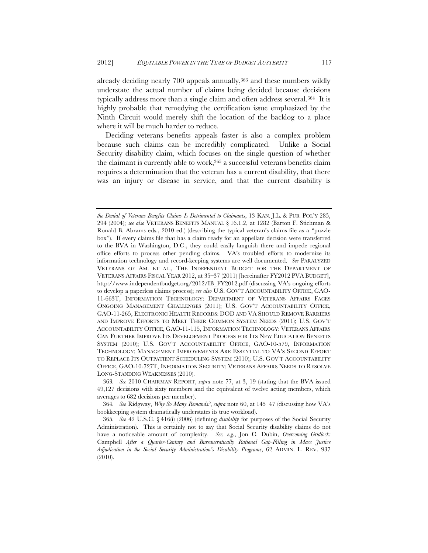already deciding nearly 700 appeals annually,<sup>363</sup> and these numbers wildly understate the actual number of claims being decided because decisions typically address more than a single claim and often address several.364 It is highly probable that remedying the certification issue emphasized by the Ninth Circuit would merely shift the location of the backlog to a place where it will be much harder to reduce.

Deciding veterans benefits appeals faster is also a complex problem because such claims can be incredibly complicated. Unlike a Social Security disability claim, which focuses on the single question of whether the claimant is currently able to work,<sup>365</sup> a successful veterans benefits claim requires a determination that the veteran has a current disability, that there was an injury or disease in service, and that the current disability is

*the Denial of Veterans Benefits Claims Is Detrimental to Claimants*, 13 KAN. J.L. & PUB. POL'Y 285, 294 (2004); *see also* VETERANS BENEFITS MANUAL § 16.1.2, at 1282 (Barton F. Stichman & Ronald B. Abrams eds., 2010 ed.) (describing the typical veteran's claims file as a "puzzle box"). If every claims file that has a claim ready for an appellate decision were transferred to the BVA in Washington, D.C., they could easily languish there and impede regional office efforts to process other pending claims. VA's troubled efforts to modernize its information technology and record-keeping systems are well documented. *See* PARALYZED VETERANS OF AM. ET AL., THE INDEPENDENT BUDGET FOR THE DEPARTMENT OF VETERANS AFFAIRS FISCAL YEAR 2012, at 35–37 (2011) [hereinafter FY2012 PVA BUDGET], http://www.independentbudget.org/2012/IB\_FY2012.pdf (discussing VA's ongoing efforts to develop a paperless claims process); *see also* U.S. GOV'T ACCOUNTABILITY OFFICE, GAO-11-663T, INFORMATION TECHNOLOGY: DEPARTMENT OF VETERANS AFFAIRS FACES ONGOING MANAGEMENT CHALLENGES (2011); U.S. GOV'T ACCOUNTABILITY OFFICE, GAO-11-265, ELECTRONIC HEALTH RECORDS: DOD AND VA SHOULD REMOVE BARRIERS AND IMPROVE EFFORTS TO MEET THEIR COMMON SYSTEM NEEDS (2011); U.S. GOV'T ACCOUNTABILITY OFFICE, GAO-11-115, INFORMATION TECHNOLOGY: VETERANS AFFAIRS CAN FURTHER IMPROVE ITS DEVELOPMENT PROCESS FOR ITS NEW EDUCATION BENEFITS SYSTEM (2010); U.S. GOV'T ACCOUNTABILITY OFFICE, GAO-10-579, INFORMATION TECHNOLOGY: MANAGEMENT IMPROVEMENTS ARE ESSENTIAL TO VA'S SECOND EFFORT TO REPLACE ITS OUTPATIENT SCHEDULING SYSTEM (2010); U.S. GOV'T ACCOUNTABILITY OFFICE, GAO-10-727T, INFORMATION SECURITY: VETERANS AFFAIRS NEEDS TO RESOLVE LONG-STANDING WEAKNESSES (2010).

<sup>363</sup>*. See* 2010 CHAIRMAN REPORT, *supra* note 77, at 3, 19 (stating that the BVA issued 49,127 decisions with sixty members and the equivalent of twelve acting members, which averages to 682 decisions per member).

<sup>364</sup>*. See* Ridgway, *Why So Many Remands?*, *supra* note 60, at 145–47 (discussing how VA's bookkeeping system dramatically understates its true workload).

<sup>365</sup>*. See* 42 U.S.C. § 416(i) (2006) (defining *disability* for purposes of the Social Security Administration). This is certainly not to say that Social Security disability claims do not have a noticeable amount of complexity. *See, e.g.*, Jon C. Dubin, *Overcoming Gridlock:*  Campbell *After a Quarter-Century and Bureaucratically Rational Gap-Filling in Mass Justice Adjudication in the Social Security Administration's Disability Programs*, 62 ADMIN. L. REV. 937 (2010).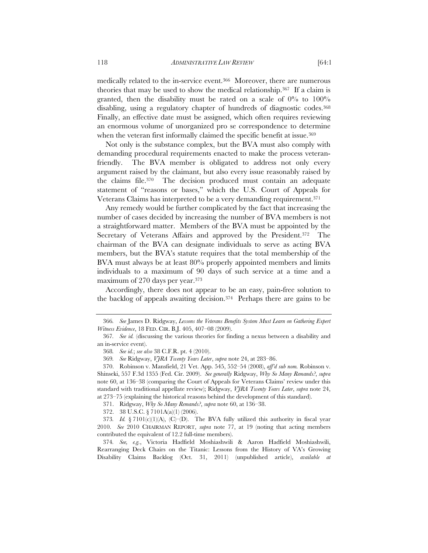medically related to the in-service event.366 Moreover, there are numerous theories that may be used to show the medical relationship.367 If a claim is granted, then the disability must be rated on a scale of  $0\%$  to  $100\%$ disabling, using a regulatory chapter of hundreds of diagnostic codes.368 Finally, an effective date must be assigned, which often requires reviewing an enormous volume of unorganized pro se correspondence to determine when the veteran first informally claimed the specific benefit at issue.<sup>369</sup>

Not only is the substance complex, but the BVA must also comply with demanding procedural requirements enacted to make the process veteranfriendly. The BVA member is obligated to address not only every argument raised by the claimant, but also every issue reasonably raised by the claims file.370 The decision produced must contain an adequate statement of "reasons or bases," which the U.S. Court of Appeals for Veterans Claims has interpreted to be a very demanding requirement.371

Any remedy would be further complicated by the fact that increasing the number of cases decided by increasing the number of BVA members is not a straightforward matter. Members of the BVA must be appointed by the Secretary of Veterans Affairs and approved by the President.372 The chairman of the BVA can designate individuals to serve as acting BVA members, but the BVA's statute requires that the total membership of the BVA must always be at least 80% properly appointed members and limits individuals to a maximum of 90 days of such service at a time and a maximum of 270 days per year.373

Accordingly, there does not appear to be an easy, pain-free solution to the backlog of appeals awaiting decision.374 Perhaps there are gains to be

371. Ridgway, *Why So Many Remands?*, *supra* note 60, at 136–38.

<sup>366</sup>*. See* James D. Ridgway, *Lessons the Veterans Benefits System Must Learn on Gathering Expert Witness Evidence*, 18 FED. CIR. B.J. 405, 407–08 (2009).

<sup>367</sup>*. See id.* (discussing the various theories for finding a nexus between a disability and an in-service event).

<sup>368</sup>*. See id.*; *see also* 38 C.F.R. pt. 4 (2010).

<sup>369</sup>*. See* Ridgway, *VJRA Twenty Years Later*, *supra* note 24, at 283–86.

<sup>370.</sup> Robinson v. Mansfield, 21 Vet. App. 545, 552–54 (2008), *aff'd sub nom.* Robinson v. Shinseki, 557 F.3d 1355 (Fed. Cir. 2009). *See generally* Ridgway, *Why So Many Remands?*, *supra* note 60, at 136–38 (comparing the Court of Appeals for Veterans Claims' review under this standard with traditional appellate review); Ridgway, *VJRA Twenty Years Later*, *supra* note 24, at 273–75 (explaining the historical reasons behind the development of this standard).

<sup>372. 38</sup> U.S.C. § 7101A(a)(1) (2006).

<sup>373</sup>*. Id.* § 7101(c)(1)(A), (C)–(D). The BVA fully utilized this authority in fiscal year 2010. *See* 2010 CHAIRMAN REPORT, *supra* note 77, at 19 (noting that acting members contributed the equivalent of 12.2 full-time members).

<sup>374</sup>*. See, e.g.*, Victoria Hadfield Moshiashwili & Aaron Hadfield Moshiashwili, Rearranging Deck Chairs on the Titanic: Lessons from the History of VA's Growing Disability Claims Backlog (Oct. 31, 2011) (unpublished article), *available at*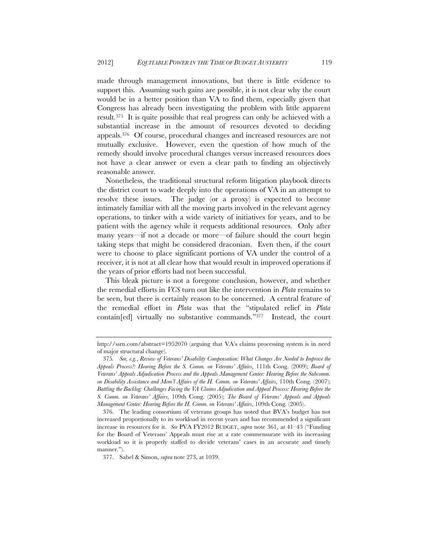made through management innovations, but there is little evidence to support this. Assuming such gains are possible, it is not clear why the court would be in a better position than VA to find them, especially given that Congress has already been investigating the problem with little apparent result.375 It is quite possible that real progress can only be achieved with a substantial increase in the amount of resources devoted to deciding appeals.376 Of course, procedural changes and increased resources are not mutually exclusive. However, even the question of how much of the remedy should involve procedural changes versus increased resources does not have a clear answer or even a clear path to finding an objectively reasonable answer.

Nonetheless, the traditional structural reform litigation playbook directs the district court to wade deeply into the operations of VA in an attempt to resolve these issues. The judge (or a proxy) is expected to become intimately familiar with all the moving parts involved in the relevant agency operations, to tinker with a wide variety of initiatives for years, and to be patient with the agency while it requests additional resources. Only after many years—if not a decade or more—of failure should the court begin taking steps that might be considered draconian. Even then, if the court were to choose to place significant portions of VA under the control of a receiver, it is not at all clear how that would result in improved operations if the years of prior efforts had not been successful.

This bleak picture is not a foregone conclusion, however, and whether the remedial efforts in *VCS* turn out like the intervention in *Plata* remains to be seen, but there is certainly reason to be concerned. A central feature of the remedial effort in *Plata* was that the "stipulated relief in *Plata* contain[ed] virtually no substantive commands."377 Instead, the court

http://ssrn.com/abstract=1952070 (arguing that VA's claims processing system is in need of major structural change).

<sup>375</sup>*. See, e.g.*, *Review of Veterans' Disability Compensation: What Changes Are Needed to Improve the Appeals Process?: Hearing Before the S. Comm. on Veterans' Affairs*, 111th Cong. (2009); *Board of Veterans' Appeals Adjudication Process and the Appeals Management Center: Hearing Before the Subcomm. on Disability Assistance and Mem'l Affairs of the H. Comm. on Veterans' Affairs*, 110th Cong. (2007); *Battling the Backlog: Challenges Facing the VA Claims Adjudication and Appeal Process: Hearing Before the S. Comm. on Veterans' Affairs*, 109th Cong. (2005); *The Board of Veterans' Appeals and Appeals Management Center: Hearing Before the H. Comm. on Veterans' Affairs*, 109th Cong. (2005).

 <sup>376.</sup> The leading consortium of veterans groups has noted that BVA's budget has not increased proportionally to its workload in recent years and has recommended a significant increase in resources for it. *See* PVA FY2012 BUDGET, *supra* note 361, at 41–43 ("Funding for the Board of Veterans' Appeals must rise at a rate commensurate with its increasing workload so it is properly staffed to decide veterans' cases in an accurate and timely manner.").

<sup>377.</sup> Sabel & Simon, *supra* note 273, at 1039.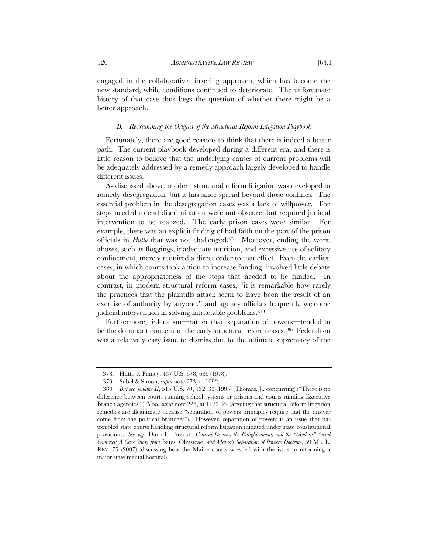engaged in the collaborative tinkering approach, which has become the new standard, while conditions continued to deteriorate. The unfortunate history of that case thus begs the question of whether there might be a better approach.

## *B. Reexamining the Origins of the Structural Reform Litigation Playbook*

Fortunately, there are good reasons to think that there is indeed a better path. The current playbook developed during a different era, and there is little reason to believe that the underlying causes of current problems will be adequately addressed by a remedy approach largely developed to handle different issues.

As discussed above, modern structural reform litigation was developed to remedy desegregation, but it has since spread beyond those confines. The essential problem in the desegregation cases was a lack of willpower. The steps needed to end discrimination were not obscure, but required judicial intervention to be realized. The early prison cases were similar. For example, there was an explicit finding of bad faith on the part of the prison officials in *Hutto* that was not challenged.378 Moreover, ending the worst abuses, such as floggings, inadequate nutrition, and excessive use of solitary confinement, merely required a direct order to that effect. Even the earliest cases, in which courts took action to increase funding, involved little debate about the appropriateness of the steps that needed to be funded. In contrast, in modern structural reform cases, "it is remarkable how rarely the practices that the plaintiffs attack seem to have been the result of an exercise of authority by anyone," and agency officials frequently welcome judicial intervention in solving intractable problems.379

Furthermore, federalism—rather than separation of powers—tended to be the dominant concern in the early structural reform cases.<sup>380</sup> Federalism was a relatively easy issue to dismiss due to the ultimate supremacy of the

<sup>378.</sup> Hutto v. Finney, 437 U.S. 678, 689 (1978).

<sup>379.</sup> Sabel & Simon, *supra* note 273, at 1092.

<sup>380</sup>*. But see Jenkins II*, 515 U.S. 70, 132–33 (1995) (Thomas, J., concurring) ("There is no difference between courts running school systems or prisons and courts running Executive Branch agencies."); Yoo, *supra* note 225, at 1123–24 (arguing that structural reform litigation remedies are illegitimate because "separation of powers principles require that the answer come from the political branches"). However, separation of powers is an issue that has troubled state courts handling structural reform litigation initiated under state constitutional provisions. *See, e.g.*, Dana E. Prescott, *Consent Decrees, the Enlightenment, and the "Modern" Social Contract: A Case Study from* Bates*,* Olmstead*, and Maine's Separation of Powers Doctrine*, 59 ME. L. REV. 75 (2007) (discussing how the Maine courts wrestled with the issue in reforming a major state mental hospital).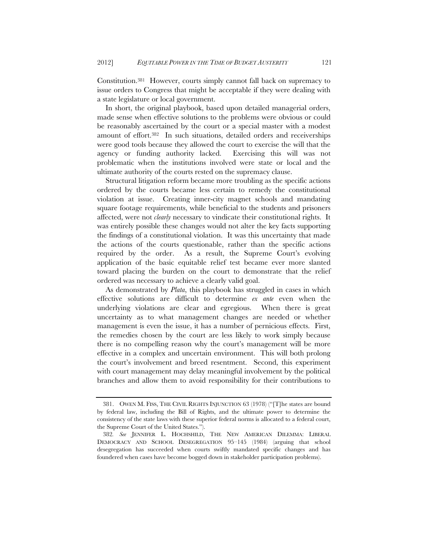Constitution.381 However, courts simply cannot fall back on supremacy to issue orders to Congress that might be acceptable if they were dealing with a state legislature or local government.

In short, the original playbook, based upon detailed managerial orders, made sense when effective solutions to the problems were obvious or could be reasonably ascertained by the court or a special master with a modest amount of effort.382 In such situations, detailed orders and receiverships were good tools because they allowed the court to exercise the will that the agency or funding authority lacked. Exercising this will was not problematic when the institutions involved were state or local and the ultimate authority of the courts rested on the supremacy clause.

Structural litigation reform became more troubling as the specific actions ordered by the courts became less certain to remedy the constitutional violation at issue. Creating inner-city magnet schools and mandating square footage requirements, while beneficial to the students and prisoners affected, were not *clearly* necessary to vindicate their constitutional rights. It was entirely possible these changes would not alter the key facts supporting the findings of a constitutional violation. It was this uncertainty that made the actions of the courts questionable, rather than the specific actions required by the order. As a result, the Supreme Court's evolving application of the basic equitable relief test became ever more slanted toward placing the burden on the court to demonstrate that the relief ordered was necessary to achieve a clearly valid goal.

As demonstrated by *Plata*, this playbook has struggled in cases in which effective solutions are difficult to determine *ex ante* even when the underlying violations are clear and egregious. When there is great uncertainty as to what management changes are needed or whether management is even the issue, it has a number of pernicious effects. First, the remedies chosen by the court are less likely to work simply because there is no compelling reason why the court's management will be more effective in a complex and uncertain environment. This will both prolong the court's involvement and breed resentment. Second, this experiment with court management may delay meaningful involvement by the political branches and allow them to avoid responsibility for their contributions to

 <sup>381.</sup> OWEN M. FISS, THE CIVIL RIGHTS INJUNCTION 63 (1978) ("[T]he states are bound by federal law, including the Bill of Rights, and the ultimate power to determine the consistency of the state laws with these superior federal norms is allocated to a federal court, the Supreme Court of the United States.").

<sup>382</sup>*. See* JENNIFER L. HOCHSHILD, THE NEW AMERICAN DILEMMA: LIBERAL DEMOCRACY AND SCHOOL DESEGREGATION 95–145 (1984) (arguing that school desegregation has succeeded when courts swiftly mandated specific changes and has foundered when cases have become bogged down in stakeholder participation problems).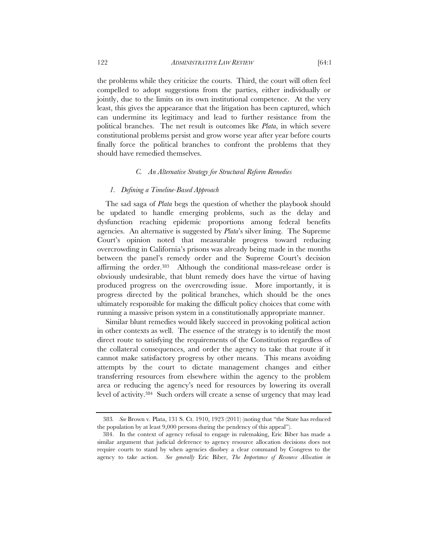the problems while they criticize the courts. Third, the court will often feel compelled to adopt suggestions from the parties, either individually or jointly, due to the limits on its own institutional competence. At the very least, this gives the appearance that the litigation has been captured, which can undermine its legitimacy and lead to further resistance from the political branches. The net result is outcomes like *Plata*, in which severe constitutional problems persist and grow worse year after year before courts finally force the political branches to confront the problems that they should have remedied themselves.

### *C. An Alternative Strategy for Structural Reform Remedies*

### *1. Defining a Timeline-Based Approach*

The sad saga of *Plata* begs the question of whether the playbook should be updated to handle emerging problems, such as the delay and dysfunction reaching epidemic proportions among federal benefits agencies. An alternative is suggested by *Plata*'s silver lining. The Supreme Court's opinion noted that measurable progress toward reducing overcrowding in California's prisons was already being made in the months between the panel's remedy order and the Supreme Court's decision affirming the order.383 Although the conditional mass-release order is obviously undesirable, that blunt remedy does have the virtue of having produced progress on the overcrowding issue. More importantly, it is progress directed by the political branches, which should be the ones ultimately responsible for making the difficult policy choices that come with running a massive prison system in a constitutionally appropriate manner.

Similar blunt remedies would likely succeed in provoking political action in other contexts as well. The essence of the strategy is to identify the most direct route to satisfying the requirements of the Constitution regardless of the collateral consequences, and order the agency to take that route if it cannot make satisfactory progress by other means. This means avoiding attempts by the court to dictate management changes and either transferring resources from elsewhere within the agency to the problem area or reducing the agency's need for resources by lowering its overall level of activity.384 Such orders will create a sense of urgency that may lead

<sup>383</sup>*. See* Brown v. Plata, 131 S. Ct. 1910, 1923 (2011) (noting that "the State has reduced the population by at least 9,000 persons during the pendency of this appeal").

 <sup>384.</sup> In the context of agency refusal to engage in rulemaking, Eric Biber has made a similar argument that judicial deference to agency resource allocation decisions does not require courts to stand by when agencies disobey a clear command by Congress to the agency to take action. *See generally* Eric Biber, *The Importance of Resource Allocation in*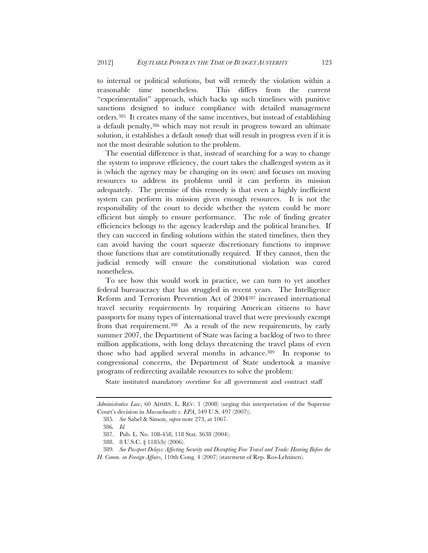to internal or political solutions, but will remedy the violation within a reasonable time nonetheless. This differs from the current "experimentalist" approach, which backs up such timelines with punitive sanctions designed to induce compliance with detailed management orders.385 It creates many of the same incentives, but instead of establishing a default penalty,386 which may not result in progress toward an ultimate solution, it establishes a default *remedy* that will result in progress even if it is not the most desirable solution to the problem.

The essential difference is that, instead of searching for a way to change the system to improve efficiency, the court takes the challenged system as it is (which the agency may be changing on its own) and focuses on moving resources to address its problems until it can perform its mission adequately. The premise of this remedy is that even a highly inefficient system can perform its mission given enough resources. It is not the responsibility of the court to decide whether the system could be more efficient but simply to ensure performance. The role of finding greater efficiencies belongs to the agency leadership and the political branches. If they can succeed in finding solutions within the stated timelines, then they can avoid having the court squeeze discretionary functions to improve those functions that are constitutionally required. If they cannot, then the judicial remedy will ensure the constitutional violation was cured nonetheless.

To see how this would work in practice, we can turn to yet another federal bureaucracy that has struggled in recent years. The Intelligence Reform and Terrorism Prevention Act of 2004387 increased international travel security requirements by requiring American citizens to have passports for many types of international travel that were previously exempt from that requirement.388 As a result of the new requirements, by early summer 2007, the Department of State was facing a backlog of two to three million applications, with long delays threatening the travel plans of even those who had applied several months in advance.389 In response to congressional concerns, the Department of State undertook a massive program of redirecting available resources to solve the problem:

State instituted mandatory overtime for all government and contract staff

*Administrative Law*, 60 ADMIN. L. REV. 1 (2008) (urging this interpretation of the Supreme Court's decision in *Massachusetts v. EPA*, 549 U.S. 497 (2007)).

<sup>385</sup>*. See* Sabel & Simon, *supra* note 273, at 1067.

<sup>386</sup>*. Id.*

<sup>387.</sup> Pub. L. No. 108-458, 118 Stat. 3638 (2004).

<sup>388. 8</sup> U.S.C. § 1185(b) (2006).

<sup>389</sup>*. See Passport Delays: Affecting Security and Disrupting Free Travel and Trade: Hearing Before the H. Comm. on Foreign Affairs*, 110th Cong. 4 (2007) (statement of Rep. Ros-Lehtinen).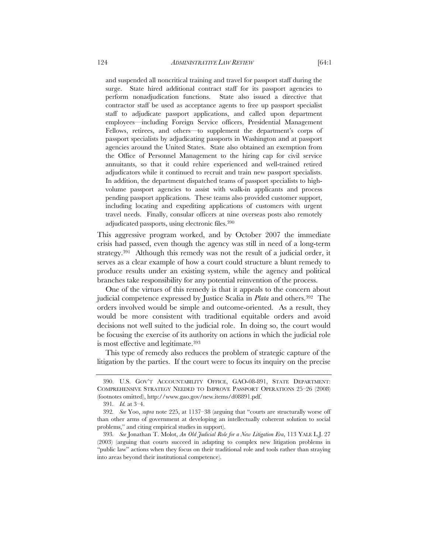and suspended all noncritical training and travel for passport staff during the surge. State hired additional contract staff for its passport agencies to perform nonadjudication functions. State also issued a directive that contractor staff be used as acceptance agents to free up passport specialist staff to adjudicate passport applications, and called upon department employees—including Foreign Service officers, Presidential Management Fellows, retirees, and others—to supplement the department's corps of passport specialists by adjudicating passports in Washington and at passport agencies around the United States. State also obtained an exemption from the Office of Personnel Management to the hiring cap for civil service annuitants, so that it could rehire experienced and well-trained retired adjudicators while it continued to recruit and train new passport specialists. In addition, the department dispatched teams of passport specialists to highvolume passport agencies to assist with walk-in applicants and process pending passport applications. These teams also provided customer support, including locating and expediting applications of customers with urgent travel needs. Finally, consular officers at nine overseas posts also remotely adjudicated passports, using electronic files.390

This aggressive program worked, and by October 2007 the immediate crisis had passed, even though the agency was still in need of a long-term strategy.391 Although this remedy was not the result of a judicial order, it serves as a clear example of how a court could structure a blunt remedy to produce results under an existing system, while the agency and political branches take responsibility for any potential reinvention of the process.

One of the virtues of this remedy is that it appeals to the concern about judicial competence expressed by Justice Scalia in *Plata* and others.392 The orders involved would be simple and outcome-oriented. As a result, they would be more consistent with traditional equitable orders and avoid decisions not well suited to the judicial role. In doing so, the court would be focusing the exercise of its authority on actions in which the judicial role is most effective and legitimate.393

This type of remedy also reduces the problem of strategic capture of the litigation by the parties. If the court were to focus its inquiry on the precise

 <sup>390.</sup> U.S. GOV'T ACCOUNTABILITY OFFICE, GAO-08-891, STATE DEPARTMENT: COMPREHENSIVE STRATEGY NEEDED TO IMPROVE PASSPORT OPERATIONS 25–26 (2008) (footnotes omitted), http://www.gao.gov/new.items/d08891.pdf.

<sup>391</sup>*. Id.* at 3–4.

<sup>392</sup>*. See* Yoo, *supra* note 225, at 1137–38 (arguing that "courts are structurally worse off than other arms of government at developing an intellectually coherent solution to social problems," and citing empirical studies in support).

<sup>393</sup>*. See* Jonathan T. Molot, *An Old Judicial Role for a New Litigation Era*, 113 YALE L.J. 27 (2003) (arguing that courts succeed in adapting to complex new litigation problems in "public law" actions when they focus on their traditional role and tools rather than straying into areas beyond their institutional competence).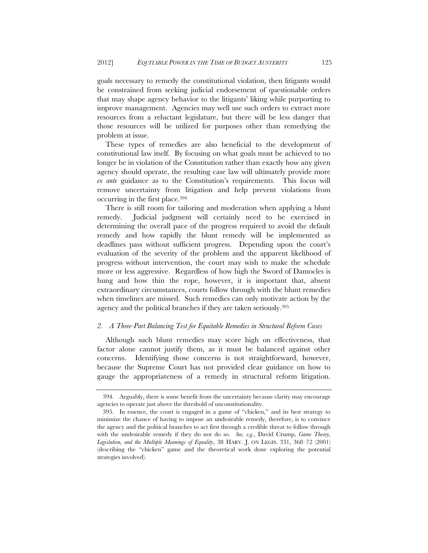goals necessary to remedy the constitutional violation, then litigants would be constrained from seeking judicial endorsement of questionable orders that may shape agency behavior to the litigants' liking while purporting to improve management. Agencies may well use such orders to extract more resources from a reluctant legislature, but there will be less danger that those resources will be utilized for purposes other than remedying the problem at issue.

These types of remedies are also beneficial to the development of constitutional law itself. By focusing on what goals must be achieved to no longer be in violation of the Constitution rather than exactly how any given agency should operate, the resulting case law will ultimately provide more *ex ante* guidance as to the Constitution's requirements. This focus will remove uncertainty from litigation and help prevent violations from occurring in the first place.394

There is still room for tailoring and moderation when applying a blunt remedy. Judicial judgment will certainly need to be exercised in determining the overall pace of the progress required to avoid the default remedy and how rapidly the blunt remedy will be implemented as deadlines pass without sufficient progress. Depending upon the court's evaluation of the severity of the problem and the apparent likelihood of progress without intervention, the court may wish to make the schedule more or less aggressive. Regardless of how high the Sword of Damocles is hung and how thin the rope, however, it is important that, absent extraordinary circumstances, courts follow through with the blunt remedies when timelines are missed. Such remedies can only motivate action by the agency and the political branches if they are taken seriously.395

### *2. A Three-Part Balancing Test for Equitable Remedies in Structural Reform Cases*

Although such blunt remedies may score high on effectiveness, that factor alone cannot justify them, as it must be balanced against other concerns. Identifying those concerns is not straightforward, however, because the Supreme Court has not provided clear guidance on how to gauge the appropriateness of a remedy in structural reform litigation.

 <sup>394.</sup> Arguably, there is some benefit from the uncertainty because clarity may encourage agencies to operate just above the threshold of unconstitutionality.

 <sup>395.</sup> In essence, the court is engaged in a game of "chicken," and its best strategy to minimize the chance of having to impose an undesirable remedy, therefore, is to convince the agency and the political branches to act first through a credible threat to follow through with the undesirable remedy if they do not do so. *See, e.g.*, David Crump, *Game Theory, Legislation, and the Multiple Meanings of Equality*, 38 HARV. J. ON LEGIS. 331, 368–72 (2001) (describing the "chicken" game and the theoretical work done exploring the potential strategies involved).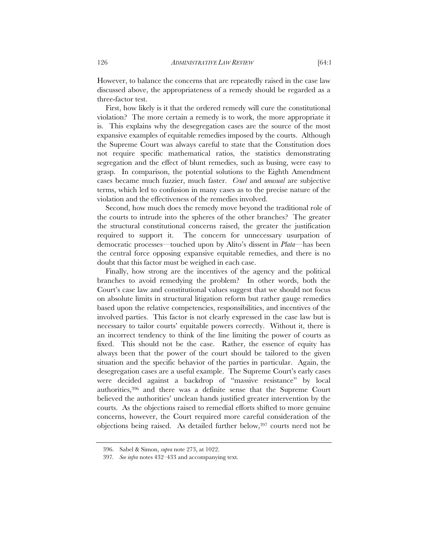However, to balance the concerns that are repeatedly raised in the case law discussed above, the appropriateness of a remedy should be regarded as a three-factor test.

First, how likely is it that the ordered remedy will cure the constitutional violation? The more certain a remedy is to work, the more appropriate it is. This explains why the desegregation cases are the source of the most expansive examples of equitable remedies imposed by the courts. Although the Supreme Court was always careful to state that the Constitution does not require specific mathematical ratios, the statistics demonstrating segregation and the effect of blunt remedies, such as busing, were easy to grasp. In comparison, the potential solutions to the Eighth Amendment cases became much fuzzier, much faster. *Cruel* and *unusual* are subjective terms, which led to confusion in many cases as to the precise nature of the violation and the effectiveness of the remedies involved.

Second, how much does the remedy move beyond the traditional role of the courts to intrude into the spheres of the other branches? The greater the structural constitutional concerns raised, the greater the justification required to support it. The concern for unnecessary usurpation of democratic processes—touched upon by Alito's dissent in *Plata*—has been the central force opposing expansive equitable remedies, and there is no doubt that this factor must be weighed in each case.

Finally, how strong are the incentives of the agency and the political branches to avoid remedying the problem? In other words, both the Court's case law and constitutional values suggest that we should not focus on absolute limits in structural litigation reform but rather gauge remedies based upon the relative competencies, responsibilities, and incentives of the involved parties. This factor is not clearly expressed in the case law but is necessary to tailor courts' equitable powers correctly. Without it, there is an incorrect tendency to think of the line limiting the power of courts as fixed. This should not be the case. Rather, the essence of equity has always been that the power of the court should be tailored to the given situation and the specific behavior of the parties in particular. Again, the desegregation cases are a useful example. The Supreme Court's early cases were decided against a backdrop of "massive resistance" by local authorities,396 and there was a definite sense that the Supreme Court believed the authorities' unclean hands justified greater intervention by the courts. As the objections raised to remedial efforts shifted to more genuine concerns, however, the Court required more careful consideration of the objections being raised. As detailed further below,397 courts need not be

<sup>396.</sup> Sabel & Simon, *supra* note 273, at 1022.

<sup>397</sup>*. See infra* notes 432–433 and accompanying text.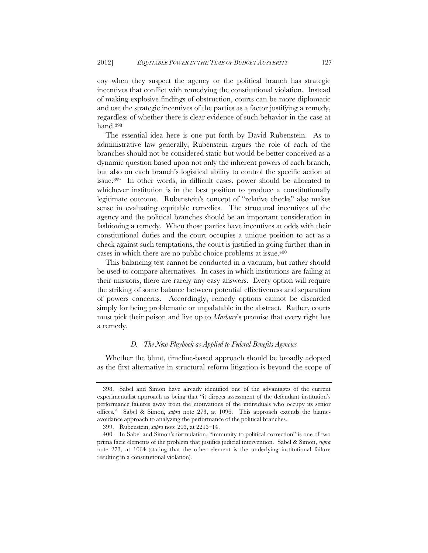coy when they suspect the agency or the political branch has strategic incentives that conflict with remedying the constitutional violation. Instead of making explosive findings of obstruction, courts can be more diplomatic and use the strategic incentives of the parties as a factor justifying a remedy, regardless of whether there is clear evidence of such behavior in the case at hand.398

The essential idea here is one put forth by David Rubenstein. As to administrative law generally, Rubenstein argues the role of each of the branches should not be considered static but would be better conceived as a dynamic question based upon not only the inherent powers of each branch, but also on each branch's logistical ability to control the specific action at issue.399 In other words, in difficult cases, power should be allocated to whichever institution is in the best position to produce a constitutionally legitimate outcome. Rubenstein's concept of "relative checks" also makes sense in evaluating equitable remedies. The structural incentives of the agency and the political branches should be an important consideration in fashioning a remedy. When those parties have incentives at odds with their constitutional duties and the court occupies a unique position to act as a check against such temptations, the court is justified in going further than in cases in which there are no public choice problems at issue.400

This balancing test cannot be conducted in a vacuum, but rather should be used to compare alternatives. In cases in which institutions are failing at their missions, there are rarely any easy answers. Every option will require the striking of some balance between potential effectiveness and separation of powers concerns. Accordingly, remedy options cannot be discarded simply for being problematic or unpalatable in the abstract. Rather, courts must pick their poison and live up to *Marbury*'s promise that every right has a remedy.

# *D. The New Playbook as Applied to Federal Benefits Agencies*

Whether the blunt, timeline-based approach should be broadly adopted as the first alternative in structural reform litigation is beyond the scope of

 <sup>398.</sup> Sabel and Simon have already identified one of the advantages of the current experimentalist approach as being that "it directs assessment of the defendant institution's performance failures away from the motivations of the individuals who occupy its senior offices." Sabel & Simon, *supra* note 273, at 1096. This approach extends the blameavoidance approach to analyzing the performance of the political branches.

 <sup>399.</sup> Rubenstein, *supra* note 203, at 2213–14.

 <sup>400.</sup> In Sabel and Simon's formulation, "immunity to political correction" is one of two prima facie elements of the problem that justifies judicial intervention. Sabel & Simon, *supra* note 273, at 1064 (stating that the other element is the underlying institutional failure resulting in a constitutional violation).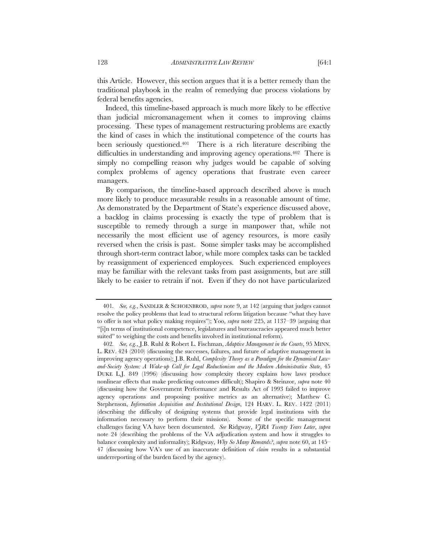this Article. However, this section argues that it is a better remedy than the traditional playbook in the realm of remedying due process violations by federal benefits agencies.

Indeed, this timeline-based approach is much more likely to be effective than judicial micromanagement when it comes to improving claims processing. These types of management restructuring problems are exactly the kind of cases in which the institutional competence of the courts has been seriously questioned.401 There is a rich literature describing the difficulties in understanding and improving agency operations.402 There is simply no compelling reason why judges would be capable of solving complex problems of agency operations that frustrate even career managers.

By comparison, the timeline-based approach described above is much more likely to produce measurable results in a reasonable amount of time. As demonstrated by the Department of State's experience discussed above, a backlog in claims processing is exactly the type of problem that is susceptible to remedy through a surge in manpower that, while not necessarily the most efficient use of agency resources, is more easily reversed when the crisis is past. Some simpler tasks may be accomplished through short-term contract labor, while more complex tasks can be tackled by reassignment of experienced employees. Such experienced employees may be familiar with the relevant tasks from past assignments, but are still likely to be easier to retrain if not. Even if they do not have particularized

<sup>401</sup>*. See, e.g.*, SANDLER & SCHOENBROD, *supra* note 9, at 142 (arguing that judges cannot resolve the policy problems that lead to structural reform litigation because "what they have to offer is not what policy making requires"); Yoo, *supra* note 225, at 1137–39 (arguing that "[i]n terms of institutional competence, legislatures and bureaucracies appeared much better suited" to weighing the costs and benefits involved in institutional reform).

<sup>402</sup>*. See, e.g.*, J.B. Ruhl & Robert L. Fischman, *Adaptive Management in the Courts*, 95 MINN. L. REV. 424 (2010) (discussing the successes, failures, and future of adaptive management in improving agency operations); J.B. Ruhl, *Complexity Theory as a Paradigm for the Dynamical Lawand-Society System: A Wake-up Call for Legal Reductionism and the Modern Administrative State*, 45 DUKE L.J. 849 (1996) (discussing how complexity theory explains how laws produce nonlinear effects that make predicting outcomes difficult); Shapiro & Steinzor, *supra* note 40 (discussing how the Government Performance and Results Act of 1993 failed to improve agency operations and proposing positive metrics as an alternative); Matthew C. Stephenson, *Information Acquisition and Institutional Design*, 124 HARV. L. REV. 1422 (2011) (describing the difficulty of designing systems that provide legal institutions with the information necessary to perform their missions). Some of the specific management challenges facing VA have been documented. *See* Ridgway, *VJRA Twenty Years Later*, *supra* note 24 (describing the problems of the VA adjudication system and how it struggles to balance complexity and informality); Ridgway, *Why So Many Remands?*, *supra* note 60, at 145– 47 (discussing how VA's use of an inaccurate definition of *claim* results in a substantial underreporting of the burden faced by the agency).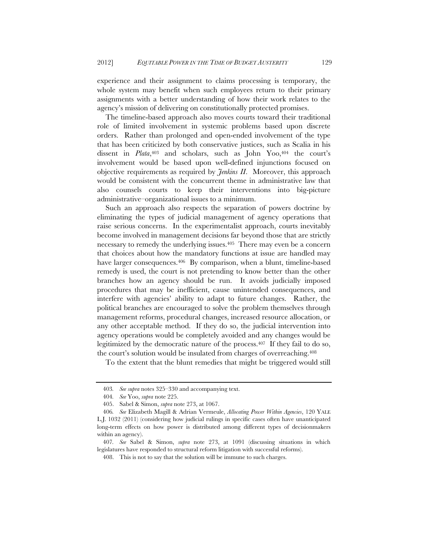experience and their assignment to claims processing is temporary, the whole system may benefit when such employees return to their primary assignments with a better understanding of how their work relates to the agency's mission of delivering on constitutionally protected promises.

The timeline-based approach also moves courts toward their traditional role of limited involvement in systemic problems based upon discrete orders. Rather than prolonged and open-ended involvement of the type that has been criticized by both conservative justices, such as Scalia in his dissent in *Plata*,<sup>403</sup> and scholars, such as John Yoo,<sup>404</sup> the court's involvement would be based upon well-defined injunctions focused on objective requirements as required by *Jenkins II*. Moreover, this approach would be consistent with the concurrent theme in administrative law that also counsels courts to keep their interventions into big-picture administrative–organizational issues to a minimum.

Such an approach also respects the separation of powers doctrine by eliminating the types of judicial management of agency operations that raise serious concerns. In the experimentalist approach, courts inevitably become involved in management decisions far beyond those that are strictly necessary to remedy the underlying issues.<sup>405</sup> There may even be a concern that choices about how the mandatory functions at issue are handled may have larger consequences.<sup>406</sup> By comparison, when a blunt, timeline-based remedy is used, the court is not pretending to know better than the other branches how an agency should be run. It avoids judicially imposed procedures that may be inefficient, cause unintended consequences, and interfere with agencies' ability to adapt to future changes. Rather, the political branches are encouraged to solve the problem themselves through management reforms, procedural changes, increased resource allocation, or any other acceptable method. If they do so, the judicial intervention into agency operations would be completely avoided and any changes would be legitimized by the democratic nature of the process.407 If they fail to do so, the court's solution would be insulated from charges of overreaching.408

To the extent that the blunt remedies that might be triggered would still

<sup>403</sup>*. See supra* notes 325–330 and accompanying text.

<sup>404</sup>*. See* Yoo, *supra* note 225.

<sup>405.</sup> Sabel & Simon, *supra* note 273, at 1067.

<sup>406</sup>*. See* Elizabeth Magill & Adrian Vermeule, *Allocating Power Within Agencies*, 120 YALE L.J. 1032 (2011) (considering how judicial rulings in specific cases often have unanticipated long-term effects on how power is distributed among different types of decisionmakers within an agency).

<sup>407</sup>*. See* Sabel & Simon, *supra* note 273, at 1091 (discussing situations in which legislatures have responded to structural reform litigation with successful reforms).

<sup>408.</sup> This is not to say that the solution will be immune to such charges.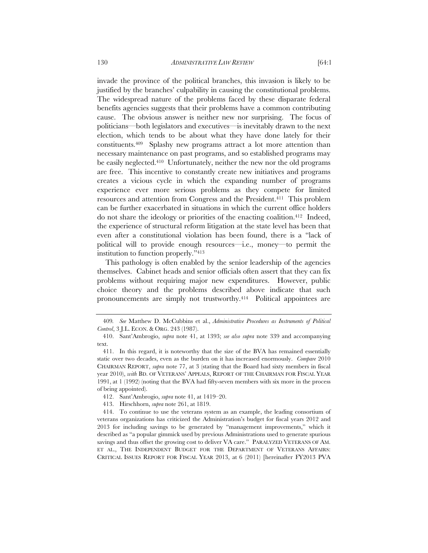invade the province of the political branches, this invasion is likely to be justified by the branches' culpability in causing the constitutional problems. The widespread nature of the problems faced by these disparate federal benefits agencies suggests that their problems have a common contributing cause. The obvious answer is neither new nor surprising. The focus of politicians—both legislators and executives—is inevitably drawn to the next election, which tends to be about what they have done lately for their

constituents.409 Splashy new programs attract a lot more attention than necessary maintenance on past programs, and so established programs may be easily neglected.<sup>410</sup> Unfortunately, neither the new nor the old programs are free. This incentive to constantly create new initiatives and programs creates a vicious cycle in which the expanding number of programs experience ever more serious problems as they compete for limited resources and attention from Congress and the President.411 This problem can be further exacerbated in situations in which the current office holders do not share the ideology or priorities of the enacting coalition.412 Indeed, the experience of structural reform litigation at the state level has been that even after a constitutional violation has been found, there is a "lack of political will to provide enough resources—i.e., money—to permit the institution to function properly."413

This pathology is often enabled by the senior leadership of the agencies themselves. Cabinet heads and senior officials often assert that they can fix problems without requiring major new expenditures. However, public choice theory and the problems described above indicate that such pronouncements are simply not trustworthy.<sup>414</sup> Political appointees are

<sup>409</sup>*. See* Matthew D. McCubbins et al., *Administrative Procedures as Instruments of Political Control*, 3 J.L. ECON. & ORG. 243 (1987).

 <sup>410.</sup> Sant'Ambrogio, *supra* note 41, at 1393; *see also supra* note 339 and accompanying text.

 <sup>411.</sup> In this regard, it is noteworthy that the size of the BVA has remained essentially static over two decades, even as the burden on it has increased enormously. *Compare* 2010 CHAIRMAN REPORT, *supra* note 77, at 3 (stating that the Board had sixty members in fiscal year 2010), *with* BD. OF VETERANS' APPEALS, REPORT OF THE CHAIRMAN FOR FISCAL YEAR 1991, at 1 (1992) (noting that the BVA had fifty-seven members with six more in the process of being appointed).

 <sup>412.</sup> Sant'Ambrogio, *supra* note 41, at 1419–20.

 <sup>413.</sup> Hirschhorn, *supra* note 261, at 1819.

 <sup>414.</sup> To continue to use the veterans system as an example, the leading consortium of veterans organizations has criticized the Administration's budget for fiscal years 2012 and 2013 for including savings to be generated by "management improvements," which it described as "a popular gimmick used by previous Administrations used to generate spurious savings and thus offset the growing cost to deliver VA care." PARALYZED VETERANS OF AM. ET AL., THE INDEPENDENT BUDGET FOR THE DEPARTMENT OF VETERANS AFFAIRS: CRITICAL ISSUES REPORT FOR FISCAL YEAR 2013, at 6 (2011) [hereinafter FY2013 PVA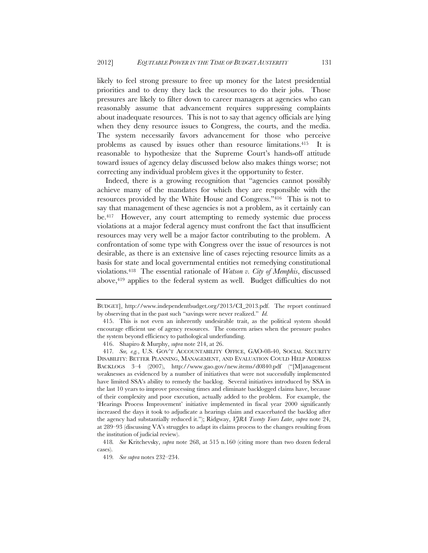likely to feel strong pressure to free up money for the latest presidential priorities and to deny they lack the resources to do their jobs. Those pressures are likely to filter down to career managers at agencies who can reasonably assume that advancement requires suppressing complaints about inadequate resources. This is not to say that agency officials are lying when they deny resource issues to Congress, the courts, and the media. The system necessarily favors advancement for those who perceive problems as caused by issues other than resource limitations.415 It is reasonable to hypothesize that the Supreme Court's hands-off attitude toward issues of agency delay discussed below also makes things worse; not correcting any individual problem gives it the opportunity to fester.

Indeed, there is a growing recognition that "agencies cannot possibly achieve many of the mandates for which they are responsible with the resources provided by the White House and Congress."416 This is not to say that management of these agencies is not a problem, as it certainly can be.417 However, any court attempting to remedy systemic due process violations at a major federal agency must confront the fact that insufficient resources may very well be a major factor contributing to the problem. A confrontation of some type with Congress over the issue of resources is not desirable, as there is an extensive line of cases rejecting resource limits as a basis for state and local governmental entities not remedying constitutional violations.418 The essential rationale of *Watson v. City of Memphis*, discussed above,<sup>419</sup> applies to the federal system as well. Budget difficulties do not

BUDGET], http://www.independentbudget.org/2013/CI\_2013.pdf. The report continued by observing that in the past such "savings were never realized." *Id.* 

 <sup>415.</sup> This is not even an inherently undesirable trait, as the political system should encourage efficient use of agency resources. The concern arises when the pressure pushes the system beyond efficiency to pathological underfunding.

<sup>416.</sup> Shapiro & Murphy, *supra* note 214, at 26.

<sup>417</sup>*. See, e.g.*, U.S. GOV'T ACCOUNTABILITY OFFICE, GAO-08-40, SOCIAL SECURITY DISABILITY: BETTER PLANNING, MANAGEMENT, AND EVALUATION COULD HELP ADDRESS BACKLOGS 3–4 (2007), http://www.gao.gov/new.items/d0840.pdf ("[M]anagement weaknesses as evidenced by a number of initiatives that were not successfully implemented have limited SSA's ability to remedy the backlog. Several initiatives introduced by SSA in the last 10 years to improve processing times and eliminate backlogged claims have, because of their complexity and poor execution, actually added to the problem. For example, the 'Hearings Process Improvement' initiative implemented in fiscal year 2000 significantly increased the days it took to adjudicate a hearings claim and exacerbated the backlog after the agency had substantially reduced it."); Ridgway, *VJRA Twenty Years Later*, *supra* note 24, at 289–93 (discussing VA's struggles to adapt its claims process to the changes resulting from the institution of judicial review).

<sup>418</sup>*. See* Kritchevsky, *supra* note 268, at 515 n.160 (citing more than two dozen federal cases).

<sup>419</sup>*. See supra* notes 232–234.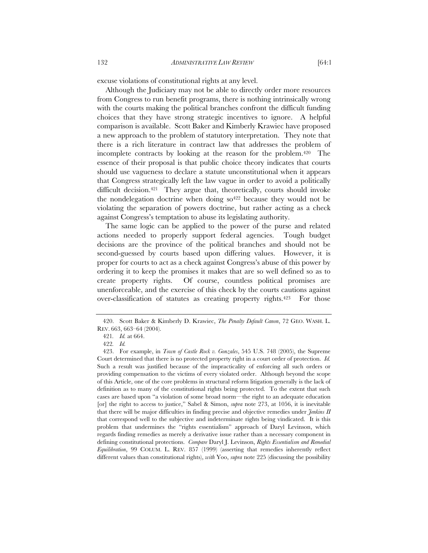Although the Judiciary may not be able to directly order more resources from Congress to run benefit programs, there is nothing intrinsically wrong with the courts making the political branches confront the difficult funding choices that they have strong strategic incentives to ignore. A helpful comparison is available. Scott Baker and Kimberly Krawiec have proposed a new approach to the problem of statutory interpretation. They note that there is a rich literature in contract law that addresses the problem of incomplete contracts by looking at the reason for the problem.420 The essence of their proposal is that public choice theory indicates that courts should use vagueness to declare a statute unconstitutional when it appears that Congress strategically left the law vague in order to avoid a politically difficult decision.421 They argue that, theoretically, courts should invoke the nondelegation doctrine when doing  $so^{422}$  because they would not be violating the separation of powers doctrine, but rather acting as a check against Congress's temptation to abuse its legislating authority.

The same logic can be applied to the power of the purse and related actions needed to properly support federal agencies. Tough budget decisions are the province of the political branches and should not be second-guessed by courts based upon differing values. However, it is proper for courts to act as a check against Congress's abuse of this power by ordering it to keep the promises it makes that are so well defined so as to create property rights. Of course, countless political promises are unenforceable, and the exercise of this check by the courts cautions against over-classification of statutes as creating property rights.423 For those

 <sup>420.</sup> Scott Baker & Kimberly D. Krawiec, *The Penalty Default Canon*, 72 GEO. WASH. L. REV. 663, 663–64 (2004).

<sup>421</sup>*. Id.* at 664.

<sup>422</sup>*. Id.*

 <sup>423.</sup> For example, in *Town of Castle Rock v. Gonzales*, 545 U.S. 748 (2005), the Supreme Court determined that there is no protected property right in a court order of protection. *Id.*  Such a result was justified because of the impracticality of enforcing all such orders or providing compensation to the victims of every violated order. Although beyond the scope of this Article, one of the core problems in structural reform litigation generally is the lack of definition as to many of the constitutional rights being protected. To the extent that such cases are based upon "a violation of some broad norm—the right to an adequate education [or] the right to access to justice," Sabel & Simon, *supra* note 273, at 1056, it is inevitable that there will be major difficulties in finding precise and objective remedies under *Jenkins II* that correspond well to the subjective and indeterminate rights being vindicated. It is this problem that undermines the "rights essentialism" approach of Daryl Levinson, which regards finding remedies as merely a derivative issue rather than a necessary component in defining constitutional protections. *Compare* Daryl J. Levinson, *Rights Essentialism and Remedial Equilibration*, 99 COLUM. L. REV. 857 (1999) (asserting that remedies inherently reflect different values than constitutional rights), *with* Yoo, *supra* note 225 (discussing the possibility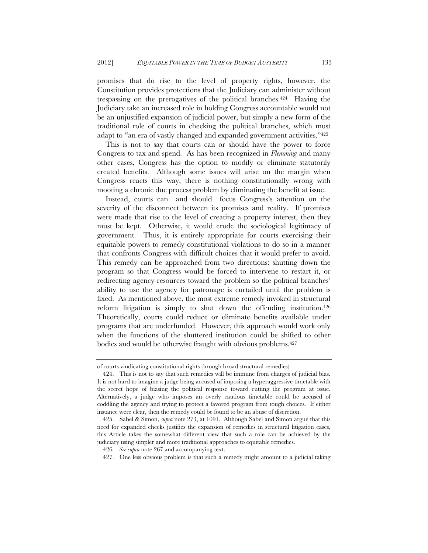promises that do rise to the level of property rights, however, the Constitution provides protections that the Judiciary can administer without trespassing on the prerogatives of the political branches.424 Having the Judiciary take an increased role in holding Congress accountable would not be an unjustified expansion of judicial power, but simply a new form of the traditional role of courts in checking the political branches, which must adapt to "an era of vastly changed and expanded government activities."425

This is not to say that courts can or should have the power to force Congress to tax and spend. As has been recognized in *Flemming* and many other cases, Congress has the option to modify or eliminate statutorily created benefits. Although some issues will arise on the margin when Congress reacts this way, there is nothing constitutionally wrong with mooting a chronic due process problem by eliminating the benefit at issue.

Instead, courts can—and should—focus Congress's attention on the severity of the disconnect between its promises and reality. If promises were made that rise to the level of creating a property interest, then they must be kept. Otherwise, it would erode the sociological legitimacy of government. Thus, it is entirely appropriate for courts exercising their equitable powers to remedy constitutional violations to do so in a manner that confronts Congress with difficult choices that it would prefer to avoid. This remedy can be approached from two directions: shutting down the program so that Congress would be forced to intervene to restart it, or redirecting agency resources toward the problem so the political branches' ability to use the agency for patronage is curtailed until the problem is fixed. As mentioned above, the most extreme remedy invoked in structural reform litigation is simply to shut down the offending institution.<sup>426</sup> Theoretically, courts could reduce or eliminate benefits available under programs that are underfunded. However, this approach would work only when the functions of the shuttered institution could be shifted to other bodies and would be otherwise fraught with obvious problems.427

of courts vindicating constitutional rights through broad structural remedies).

 <sup>424.</sup> This is not to say that such remedies will be immune from charges of judicial bias. It is not hard to imagine a judge being accused of imposing a hyperaggressive timetable with the secret hope of biasing the political response toward cutting the program at issue. Alternatively, a judge who imposes an overly cautious timetable could be accused of coddling the agency and trying to protect a favored program from tough choices. If either instance were clear, then the remedy could be found to be an abuse of discretion.

 <sup>425.</sup> Sabel & Simon, *supra* note 273, at 1091. Although Sabel and Simon argue that this need for expanded checks justifies the expansion of remedies in structural litigation cases, this Article takes the somewhat different view that such a role can be achieved by the judiciary using simpler and more traditional approaches to equitable remedies.

<sup>426</sup>*. See supra* note 267 and accompanying text.

<sup>427.</sup> One less obvious problem is that such a remedy might amount to a judicial taking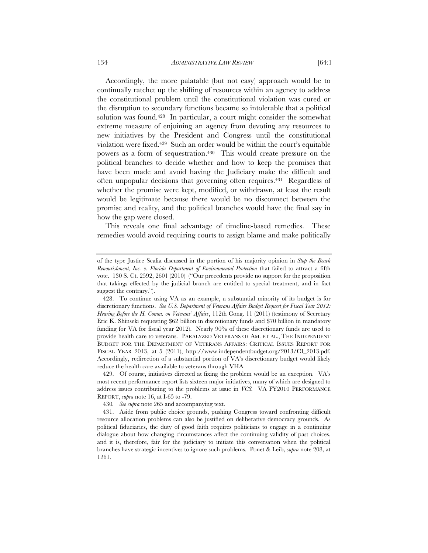Accordingly, the more palatable (but not easy) approach would be to continually ratchet up the shifting of resources within an agency to address the constitutional problem until the constitutional violation was cured or the disruption to secondary functions became so intolerable that a political solution was found.428 In particular, a court might consider the somewhat extreme measure of enjoining an agency from devoting any resources to new initiatives by the President and Congress until the constitutional violation were fixed.429 Such an order would be within the court's equitable powers as a form of sequestration.430 This would create pressure on the political branches to decide whether and how to keep the promises that have been made and avoid having the Judiciary make the difficult and often unpopular decisions that governing often requires.431 Regardless of whether the promise were kept, modified, or withdrawn, at least the result would be legitimate because there would be no disconnect between the promise and reality, and the political branches would have the final say in how the gap were closed.

This reveals one final advantage of timeline-based remedies. These remedies would avoid requiring courts to assign blame and make politically

 429. Of course, initiatives directed at fixing the problem would be an exception. VA's most recent performance report lists sixteen major initiatives, many of which are designed to address issues contributing to the problems at issue in *VCS.* VA FY2010 PERFORMANCE REPORT, *supra* note 16, at I-65 to -79.

of the type Justice Scalia discussed in the portion of his majority opinion in *Stop the Beach Renourishment, Inc. v. Florida Department of Environmental Protection* that failed to attract a fifth vote. 130 S. Ct. 2592, 2601 (2010) ("Our precedents provide no support for the proposition that takings effected by the judicial branch are entitled to special treatment, and in fact suggest the contrary.").

 <sup>428.</sup> To continue using VA as an example, a substantial minority of its budget is for discretionary functions. *See U.S. Department of Veterans Affairs Budget Request for Fiscal Year 2012: Hearing Before the H. Comm. on Veterans' Affairs*, 112th Cong. 11 (2011) (testimony of Secretary Eric K. Shinseki requesting \$62 billion in discretionary funds and \$70 billion in mandatory funding for VA for fiscal year 2012). Nearly 90% of these discretionary funds are used to provide health care to veterans. PARALYZED VETERANS OF AM. ET AL., THE INDEPENDENT BUDGET FOR THE DEPARTMENT OF VETERANS AFFAIRS: CRITICAL ISSUES REPORT FOR FISCAL YEAR 2013, at 5 (2011), http://www.independentbudget.org/2013/CI\_2013.pdf. Accordingly, redirection of a substantial portion of VA's discretionary budget would likely reduce the health care available to veterans through VHA.

<sup>430</sup>*. See supra* note 265 and accompanying text.

 <sup>431.</sup> Aside from public choice grounds, pushing Congress toward confronting difficult resource allocation problems can also be justified on deliberative democracy grounds. As political fiduciaries, the duty of good faith requires politicians to engage in a continuing dialogue about how changing circumstances affect the continuing validity of past choices, and it is, therefore, fair for the judiciary to initiate this conversation when the political branches have strategic incentives to ignore such problems. Ponet & Leib, *supra* note 208, at 1261.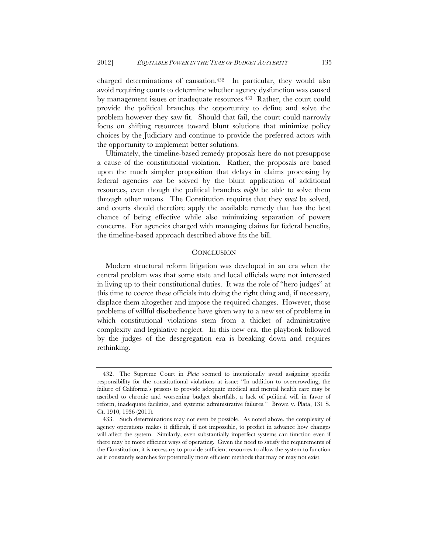charged determinations of causation.432 In particular, they would also avoid requiring courts to determine whether agency dysfunction was caused by management issues or inadequate resources.<sup>433</sup> Rather, the court could provide the political branches the opportunity to define and solve the problem however they saw fit. Should that fail, the court could narrowly focus on shifting resources toward blunt solutions that minimize policy choices by the Judiciary and continue to provide the preferred actors with the opportunity to implement better solutions.

Ultimately, the timeline-based remedy proposals here do not presuppose a cause of the constitutional violation. Rather, the proposals are based upon the much simpler proposition that delays in claims processing by federal agencies *can* be solved by the blunt application of additional resources, even though the political branches *might* be able to solve them through other means. The Constitution requires that they *must* be solved, and courts should therefore apply the available remedy that has the best chance of being effective while also minimizing separation of powers concerns. For agencies charged with managing claims for federal benefits, the timeline-based approach described above fits the bill.

## **CONCLUSION**

Modern structural reform litigation was developed in an era when the central problem was that some state and local officials were not interested in living up to their constitutional duties. It was the role of "hero judges" at this time to coerce these officials into doing the right thing and, if necessary, displace them altogether and impose the required changes. However, those problems of willful disobedience have given way to a new set of problems in which constitutional violations stem from a thicket of administrative complexity and legislative neglect. In this new era, the playbook followed by the judges of the desegregation era is breaking down and requires rethinking.

 <sup>432.</sup> The Supreme Court in *Plata* seemed to intentionally avoid assigning specific responsibility for the constitutional violations at issue: "In addition to overcrowding, the failure of California's prisons to provide adequate medical and mental health care may be ascribed to chronic and worsening budget shortfalls, a lack of political will in favor of reform, inadequate facilities, and systemic administrative failures." Brown v. Plata, 131 S. Ct. 1910, 1936 (2011).

 <sup>433.</sup> Such determinations may not even be possible. As noted above, the complexity of agency operations makes it difficult, if not impossible, to predict in advance how changes will affect the system. Similarly, even substantially imperfect systems can function even if there may be more efficient ways of operating. Given the need to satisfy the requirements of the Constitution, it is necessary to provide sufficient resources to allow the system to function as it constantly searches for potentially more efficient methods that may or may not exist.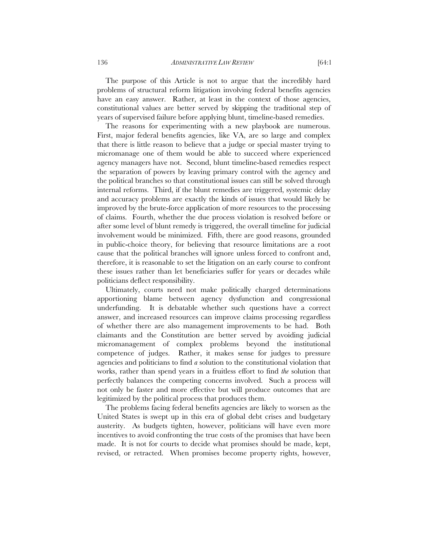The purpose of this Article is not to argue that the incredibly hard problems of structural reform litigation involving federal benefits agencies have an easy answer. Rather, at least in the context of those agencies, constitutional values are better served by skipping the traditional step of years of supervised failure before applying blunt, timeline-based remedies.

The reasons for experimenting with a new playbook are numerous. First, major federal benefits agencies, like VA, are so large and complex that there is little reason to believe that a judge or special master trying to micromanage one of them would be able to succeed where experienced agency managers have not. Second, blunt timeline-based remedies respect the separation of powers by leaving primary control with the agency and the political branches so that constitutional issues can still be solved through internal reforms. Third, if the blunt remedies are triggered, systemic delay and accuracy problems are exactly the kinds of issues that would likely be improved by the brute-force application of more resources to the processing of claims. Fourth, whether the due process violation is resolved before or after some level of blunt remedy is triggered, the overall timeline for judicial involvement would be minimized. Fifth, there are good reasons, grounded in public-choice theory, for believing that resource limitations are a root cause that the political branches will ignore unless forced to confront and, therefore, it is reasonable to set the litigation on an early course to confront these issues rather than let beneficiaries suffer for years or decades while politicians deflect responsibility.

Ultimately, courts need not make politically charged determinations apportioning blame between agency dysfunction and congressional underfunding. It is debatable whether such questions have a correct answer, and increased resources can improve claims processing regardless of whether there are also management improvements to be had. Both claimants and the Constitution are better served by avoiding judicial micromanagement of complex problems beyond the institutional competence of judges. Rather, it makes sense for judges to pressure agencies and politicians to find *a* solution to the constitutional violation that works, rather than spend years in a fruitless effort to find *the* solution that perfectly balances the competing concerns involved. Such a process will not only be faster and more effective but will produce outcomes that are legitimized by the political process that produces them.

The problems facing federal benefits agencies are likely to worsen as the United States is swept up in this era of global debt crises and budgetary austerity. As budgets tighten, however, politicians will have even more incentives to avoid confronting the true costs of the promises that have been made. It is not for courts to decide what promises should be made, kept, revised, or retracted. When promises become property rights, however,